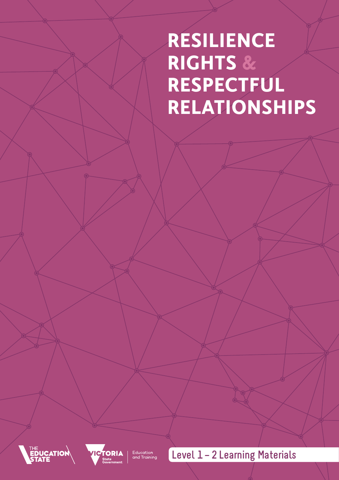# **RESILIENCE RIGHTS & RESPECTFUL RELATIONSHIPS**





Education<br>and Training

**Level 1 – 2 Learning Materials**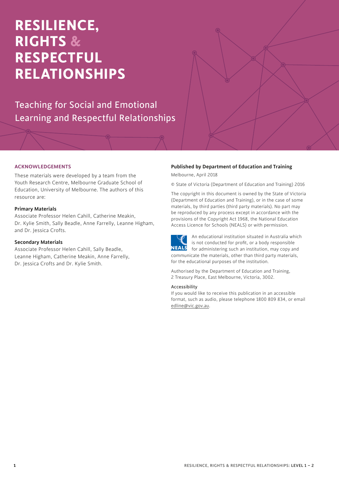# **RESILIENCE, RIGHTS & RESPECTFUL RELATIONSHIPS**

Teaching for Social and Emotional Learning and Respectful Relationships

#### **ACKNOWLEDGEMENTS**

These materials were developed by a team from the Youth Research Centre, Melbourne Graduate School of Education, University of Melbourne. The authors of this resource are:

#### **Primary Materials**

Associate Professor Helen Cahill, Catherine Meakin, Dr. Kylie Smith, Sally Beadle, Anne Farrelly, Leanne Higham, and Dr. Jessica Crofts.

#### **Secondary Materials**

Associate Professor Helen Cahill, Sally Beadle, Leanne Higham, Catherine Meakin, Anne Farrelly, Dr. Jessica Crofts and Dr. Kylie Smith.

#### **Published by Department of Education and Training**

Melbourne, April 2018

© State of Victoria (Department of Education and Training) 2016

The copyright in this document is owned by the State of Victoria (Department of Education and Training), or in the case of some materials, by third parties (third party materials). No part may be reproduced by any process except in accordance with the provisions of the Copyright Act 1968, the National Education Access Licence for Schools (NEALS) or with permission.



An educational institution situated in Australia which is not conducted for profit, or a body responsible for administering such an institution, may copy and communicate the materials, other than third party materials, for the educational purposes of the institution.

Authorised by the Department of Education and Training, 2 Treasury Place, East Melbourne, Victoria, 3002.

#### Accessibility

If you would like to receive this publication in an accessible format, such as audio, please telephone 1800 809 834, or email [edline@vic.gov.au](mailto:edline@vic.gov.au).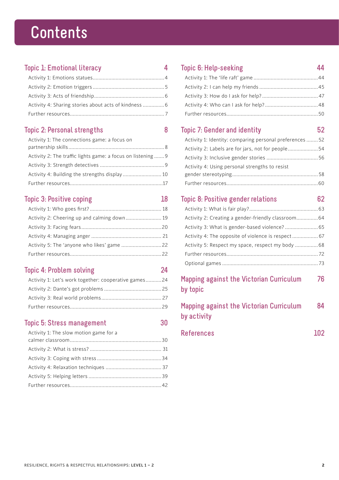# **Contents**

### **Topic 1: Emotional literacy 4**

| Activity 4: Sharing stories about acts of kindness  6 |  |
|-------------------------------------------------------|--|
|                                                       |  |

### **Topic 2: Personal strengths 8**

| Activity 1: The connections game: a focus on                 |  |
|--------------------------------------------------------------|--|
|                                                              |  |
| Activity 2: The traffic lights game: a focus on listening  9 |  |
|                                                              |  |
| Activity 4: Building the strengths display 10                |  |
|                                                              |  |

### **Topic 3: Positive coping 18**

| Activity 2: Cheering up and calming down 19 |  |
|---------------------------------------------|--|
|                                             |  |
|                                             |  |
|                                             |  |
|                                             |  |

#### **Topic 4: Problem solving 24**

| Activity 1: Let's work together: cooperative games24 |  |
|------------------------------------------------------|--|
|                                                      |  |
|                                                      |  |
|                                                      |  |

### **Topic 5: Stress management 30**

| Activity 1: The slow motion game for a |  |
|----------------------------------------|--|
|                                        |  |
|                                        |  |
|                                        |  |
|                                        |  |
|                                        |  |
|                                        |  |

| <b>Topic 6: Help-seeking</b>                                | 44  |
|-------------------------------------------------------------|-----|
|                                                             |     |
|                                                             |     |
|                                                             |     |
|                                                             |     |
|                                                             |     |
| <b>Topic 7: Gender and identity</b>                         | 52  |
| Activity 1: Identity: comparing personal preferences  52    |     |
| Activity 2: Labels are for jars, not for people54           |     |
|                                                             |     |
| Activity 4: Using personal strengths to resist              |     |
|                                                             |     |
|                                                             |     |
| <b>Topic 8: Positive gender relations</b>                   | 62  |
|                                                             |     |
| Activity 2: Creating a gender-friendly classroom 64         |     |
| Activity 3: What is gender-based violence?  65              |     |
| Activity 4: The opposite of violence is respect  67         |     |
| Activity 5: Respect my space, respect my body  68           |     |
|                                                             |     |
|                                                             |     |
| <b>Mapping against the Victorian Curriculum</b><br>by topic | 76  |
| Mapping against the Victorian Curriculum<br>by activity     | 84  |
| <b>References</b>                                           | 102 |
|                                                             |     |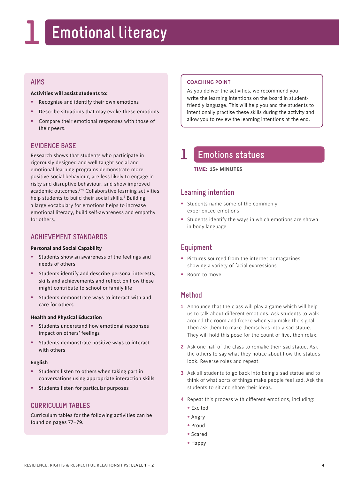# **1 Emotional literacy**

#### **AIMS**

#### **Activities will assist students to:**

- Recognise and identify their own emotions
- Describe situations that may evoke these emotions
- Compare their emotional responses with those of their peers.

#### **EVIDENCE BASE**

Research shows that students who participate in rigorously designed and well taught social and emotional learning programs demonstrate more positive social behaviour, are less likely to engage in risky and disruptive behaviour, and show improved academic outcomes.1–4 Collaborative learning activities help students to build their social skills.<sup>5</sup> Building a large vocabulary for emotions helps to increase emotional literacy, build self-awareness and empathy for others.

#### **ACHIEVEMENT STANDARDS**

#### **Personal and Social Capability**

- Students show an awareness of the feelings and needs of others
- Students identify and describe personal interests, skills and achievements and reflect on how these might contribute to school or family life
- Students demonstrate ways to interact with and care for others

#### **Health and Physical Education**

- Students understand how emotional responses impact on others' feelings
- Students demonstrate positive ways to interact with others

#### **English**

- Students listen to others when taking part in conversations using appropriate interaction skills
- Students listen for particular purposes

#### **CURRICULUM TABLES**

Curriculum tables for the following activities can be found on pages 77–79.

#### **COACHING POINT**

As you deliver the activities, we recommend you write the learning intentions on the board in studentfriendly language. This will help you and the students to intentionally practise these skills during the activity and allow you to review the learning intentions at the end.

### **1 Emotions statues**

**TIME: 15+ MINUTES**

#### **Learning intention**

- Students name some of the commonly experienced emotions
- Students identify the ways in which emotions are shown in body language

#### **Equipment**

- Pictures sourced from the internet or magazines showing a variety of facial expressions
- Room to move

#### **Method**

- **1** Announce that the class will play a game which will help us to talk about different emotions. Ask students to walk around the room and freeze when you make the signal. Then ask them to make themselves into a sad statue. They will hold this pose for the count of five, then relax.
- **2** Ask one half of the class to remake their sad statue. Ask the others to say what they notice about how the statues look. Reverse roles and repeat.
- **3** Ask all students to go back into being a sad statue and to think of what sorts of things make people feel sad. Ask the students to sit and share their ideas.
- **4** Repeat this process with different emotions, including:
	- Excited
	- Angry
	- Proud
	- Scared
	- Happy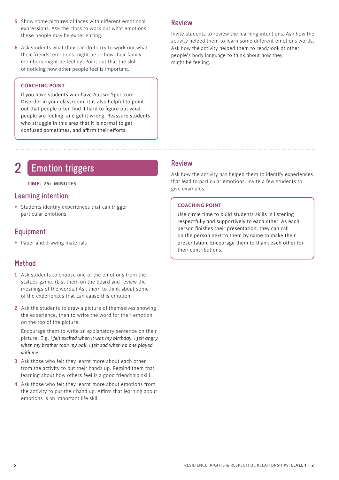- **5** Show some pictures of faces with different emotional expressions. Ask the class to work out what emotions these people may be experiencing.
- **6** Ask students what they can do to try to work out what their friends' emotions might be or how their family members might be feeling. Point out that the skill of noticing how other people feel is important.

#### **COACHING POINT**

If you have students who have Autism Spectrum Disorder in your classroom, it is also helpful to point out that people often find it hard to figure out what people are feeling, and get it wrong. Reassure students who struggle in this area that it is normal to get confused sometimes, and affirm their efforts.

## **2 Emotion triggers**

#### **TIME: 25+ MINUTES**

#### **Learning intention**

• Students identify experiences that can trigger particular emotions

#### **Equipment**

• Paper and drawing materials

#### **Method**

- **1** Ask students to choose one of the emotions from the statues game. (List them on the board and review the meanings of the words.) Ask them to think about some of the experiences that can cause this emotion.
- **2** Ask the students to draw a picture of themselves showing the experience, then to write the word for their emotion on the top of the picture.

 Encourage them to write an explanatory sentence on their picture. E.g. *I felt excited when it was my birthday. I felt angry when my brother took my ball. I felt sad when no one played with me.*

- **3** Ask those who felt they learnt more about each other from the activity to put their hands up. Remind them that learning about how others feel is a good friendship skill.
- **4** Ask those who felt they learnt more about emotions from the activity to put their hand up. Affirm that learning about emotions is an important life skill.

#### **Review**

Invite students to review the learning intentions. Ask how the activity helped them to learn some different emotions words. Ask how the activity helped them to read/look at other people's body language to think about how they might be feeling.

#### **Review**

Ask how the activity has helped them to identify experiences that lead to particular emotions. Invite a few students to give examples.

#### **COACHING POINT**

Use circle time to build students skills in listening respectfully and supportively to each other. As each person finishes their presentation, they can call on the person next to them by name to make their presentation. Encourage them to thank each other for their contributions.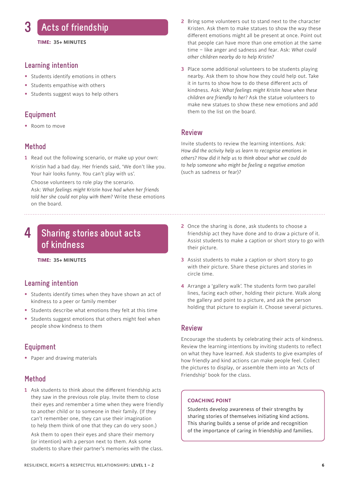**TIME: 35+ MINUTES**

#### **Learning intention**

- Students identify emotions in others
- Students empathise with others
- Students suggest ways to help others

#### **Equipment**

• Room to move

#### **Method**

**1** Read out the following scenario, or make up your own: Kristin had a bad day. Her friends said, 'We don't like you. Your hair looks funny. You can't play with us'.

 Choose volunteers to role play the scenario. Ask: *What feelings might Kristin have had when her friends told her she could not play with them?* Write these emotions on the board.

#### **Sharing stories about acts of kindness 4**

**TIME: 35+ MINUTES**

#### **Learning intention**

- Students identify times when they have shown an act of kindness to a peer or family member
- Students describe what emotions they felt at this time
- Students suggest emotions that others might feel when people show kindness to them

#### **Equipment**

• Paper and drawing materials

#### **Method**

**1** Ask students to think about the different friendship acts they saw in the previous role play. Invite them to close their eyes and remember a time when they were friendly to another child or to someone in their family. (If they can't remember one, they can use their imagination to help them think of one that they can do very soon.)

 Ask them to open their eyes and share their memory (or intention) with a person next to them. Ask some students to share their partner's memories with the class. **3** Place some additional volunteers to be students playing nearby. Ask them to show how they could help out. Take it in turns to show how to do these different acts of kindness. Ask: *What feelings might Kristin have when these children are friendly to her?* Ask the statue volunteers to make new statues to show these new emotions and add them to the list on the board.

#### **Review**

Invite students to review the learning intentions. Ask: *How did the activity help us learn to recognise emotions in others? How did it help us to think about what we could do to help someone who might be feeling a negative emotion* (such as sadness or fear)*?*

- **2** Once the sharing is done, ask students to choose a friendship act they have done and to draw a picture of it. Assist students to make a caption or short story to go with their picture.
- **3** Assist students to make a caption or short story to go with their picture. Share these pictures and stories in circle time.
- **4** Arrange a 'gallery walk'. The students form two parallel lines, facing each other, holding their picture. Walk along the gallery and point to a picture, and ask the person holding that picture to explain it. Choose several pictures.

#### **Review**

Encourage the students by celebrating their acts of kindness. Review the learning intentions by inviting students to reflect on what they have learned. Ask students to give examples of how friendly and kind actions can make people feel. Collect the pictures to display, or assemble them into an 'Acts of Friendship' book for the class.

#### **COACHING POINT**

Students develop awareness of their strengths by sharing stories of themselves initiating kind actions. This sharing builds a sense of pride and recognition of the importance of caring in friendship and families.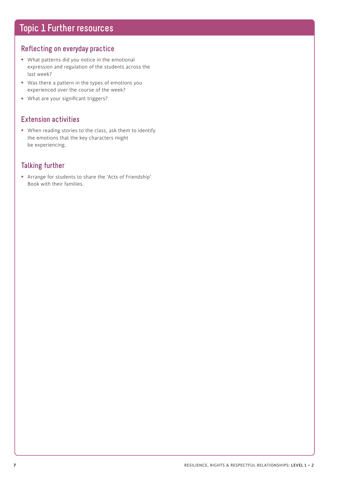## **Topic 1 Further resources**

#### **Reflecting on everyday practice**

- What patterns did you notice in the emotional expression and regulation of the students across the last week?
- Was there a pattern in the types of emotions you experienced over the course of the week?
- What are your significant triggers?

#### **Extension activities**

• When reading stories to the class, ask them to identify the emotions that the key characters might be experiencing.

#### **Talking further**

• Arrange for students to share the 'Acts of Friendship' Book with their families.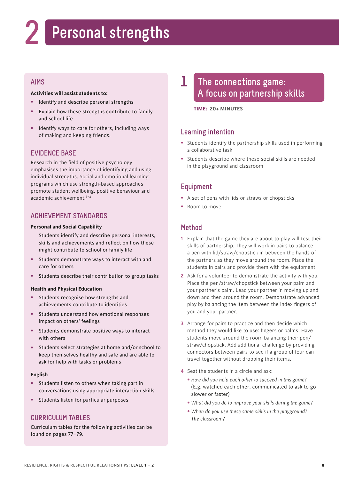# **2 Personal strengths**

#### **AIMS**

#### **Activities will assist students to:**

- Identify and describe personal strengths
- Explain how these strengths contribute to family and school life
- Identify ways to care for others, including ways of making and keeping friends.

#### **EVIDENCE BASE**

Research in the field of positive psychology emphasises the importance of identifying and using individual strengths. Social and emotional learning programs which use strength-based approaches promote student wellbeing, positive behaviour and academic achievement.<sup>6-8</sup>

#### **ACHIEVEMENT STANDARDS**

#### **Personal and Social Capability**

 Students identify and describe personal interests, skills and achievements and reflect on how these might contribute to school or family life

- Students demonstrate ways to interact with and care for others
- Students describe their contribution to group tasks

#### **Health and Physical Education**

- Students recognise how strengths and achievements contribute to identities
- Students understand how emotional responses impact on others' feelings
- Students demonstrate positive ways to interact with others
- Students select strategies at home and/or school to keep themselves healthy and safe and are able to ask for help with tasks or problems

#### **English**

- Students listen to others when taking part in conversations using appropriate interaction skills
- Students listen for particular purposes

#### **CURRICULUM TABLES**

Curriculum tables for the following activities can be found on pages 77–79.

#### **The connections game: A focus on partnership skills 1**

**TIME: 20+ MINUTES**

#### **Learning intention**

- Students identify the partnership skills used in performing a collaborative task
- Students describe where these social skills are needed in the playground and classroom

#### **Equipment**

- A set of pens with lids or straws or chopsticks
- Room to move

#### **Method**

- **1** Explain that the game they are about to play will test their skills of partnership. They will work in pairs to balance a pen with lid/straw/chopstick in between the hands of the partners as they move around the room. Place the students in pairs and provide them with the equipment.
- **2** Ask for a volunteer to demonstrate the activity with you. Place the pen/straw/chopstick between your palm and your partner's palm. Lead your partner in moving up and down and then around the room. Demonstrate advanced play by balancing the item between the index fingers of you and your partner.
- **3** Arrange for pairs to practice and then decide which method they would like to use: fingers or palms. Have students move around the room balancing their pen/ straw/chopstick. Add additional challenge by providing connectors between pairs to see if a group of four can travel together without dropping their items.
- **4** Seat the students in a circle and ask:
	- *How did you help each other to succeed in this game?*  (E.g. watched each other, communicated to ask to go slower or faster)
	- *What did you do to improve your skills during the game?*
	- *When do you use these same skills in the playground? The classroom?*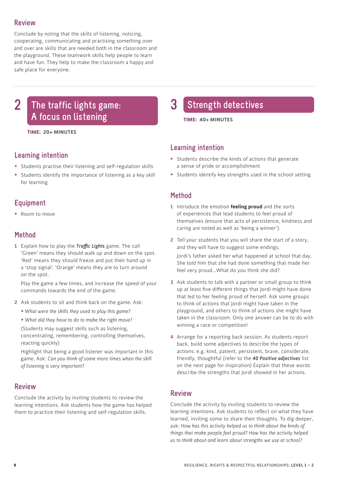#### **Review**

Conclude by noting that the skills of listening, noticing, cooperating, communicating and practising something over and over are skills that are needed both in the classroom and the playground. These teamwork skills help people to learn and have fun. They help to make the classroom a happy and safe place for everyone.

## **2**

## **The traffic lights game: A focus on listening**

**TIME: 20+ MINUTES**

#### **Learning intention**

- Students practise their listening and self-regulation skills
- Students identify the importance of listening as a key skill for learning

#### **Equipment**

• Room to move

#### **Method**

**1** Explain how to play the *Traffic Lights* game. The call 'Green' means they should walk up and down on the spot. 'Red' means they should freeze and put their hand up in a 'stop signal'. 'Orange' means they are to turn around on the spot.

 Play the game a few times, and increase the speed of your commands towards the end of the game.

- **2** Ask students to sit and think back on the game. Ask:
	- *What were the skills they used to play this game?*
	- *What did they have to do to make the right move?*

 (Students may suggest skills such as listening, concentrating, remembering, controlling themselves, reacting quickly)

 Highlight that being a good listener was important in this game. Ask: *Can you think of some more times when the skill of listening is very important?* 

#### **Review**

Conclude the activity by inviting students to review the learning intentions. Ask students how the game has helped them to practice their listening and self-regulation skills.

## **3 Strength detectives**

**TIME: 40+ MINUTES**

#### **Learning intention**

- Students describe the kinds of actions that generate a sense of pride or accomplishment
- Students identify key strengths used in the school setting

#### **Method**

- **1** Introduce the emotion **feeling proud** and the sorts of experiences that lead students to feel proud of themselves (ensure that acts of persistence, kindness and caring are noted as well as 'being a winner').
- **2** Tell your students that you will share the start of a story, and they will have to suggest some endings. Jordi's father asked her what happened at school that day. She told him that she had done something that made her feel very proud...What do you think she did?
- **3** Ask students to talk with a partner or small group to think up at least five different things that Jordi might have done that led to her feeling proud of herself. Ask some groups to think of actions that Jordi might have taken in the playground, and others to think of actions she might have taken in the classroom. Only one answer can be to do with winning a race or competition!
- **4** Arrange for a reporting back session. As students report back, build some adjectives to describe the types of actions: e.g. kind, patient, persistent, brave, considerate, friendly, thoughtful (refer to the *40 Positive adjectives* list on the next page for inspiration) Explain that these words describe the strengths that Jordi showed in her actions.

#### **Review**

Conclude the activity by inviting students to review the learning intentions. Ask students to reflect on what they have learned, inviting some to share their thoughts. To dig deeper, ask: *How has this activity helped us to think about the kinds of things that make people feel proud? How has the activity helped us to think about and learn about strengths we use at school?*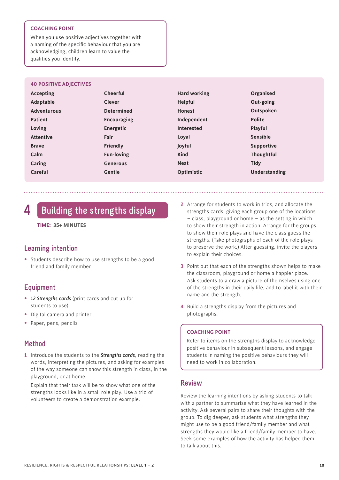#### **COACHING POINT**

When you use positive adjectives together with a naming of the specific behaviour that you are acknowledging, children learn to value the qualities you identify.

| <b>40 POSITIVE ADJECTIVES</b> |                   |                     |                   |
|-------------------------------|-------------------|---------------------|-------------------|
| Accepting                     | <b>Cheerful</b>   | <b>Hard working</b> | Organised         |
| Adaptable                     | <b>Clever</b>     | Helpful             | Out-going         |
| Adventurous                   | <b>Determined</b> | <b>Honest</b>       | Outspoken         |
| Patient                       | Encouraging       | Independent         | <b>Polite</b>     |
| Loving                        | Energetic         | <b>Interested</b>   | Playful           |
| <b>Attentive</b>              | Fair              | Loyal               | Sensible          |
| <b>Brave</b>                  | Friendly          | Joyful              | <b>Supportive</b> |
| Calm                          | <b>Fun-loving</b> | <b>Kind</b>         | Thoughtful        |
| Caring                        | <b>Generous</b>   | <b>Neat</b>         | Tidy              |
| Careful                       | Gentle            | Optimistic          | Understanding     |
|                               |                   |                     |                   |

## **4 Building the strengths display**

#### **TIME: 35+ MINUTES**

#### **Learning intention**

• Students describe how to use strengths to be a good friend and family member

#### **Equipment**

- *12 Strengths cards* (print cards and cut up for students to use)
- Digital camera and printer
- Paper, pens, pencils

#### **Method**

**1** Introduce the students to the *Strengths cards*, reading the words, interpreting the pictures, and asking for examples of the way someone can show this strength in class, in the playground, or at home.

 Explain that their task will be to show what one of the strengths looks like in a small role play. Use a trio of volunteers to create a demonstration example.

- **2** Arrange for students to work in trios, and allocate the strengths cards, giving each group one of the locations – class, playground or home – as the setting in which to show their strength in action. Arrange for the groups to show their role plays and have the class guess the strengths. (Take photographs of each of the role plays to preserve the work.) After guessing, invite the players to explain their choices.
- **3** Point out that each of the strengths shown helps to make the classroom, playground or home a happier place. Ask students to a draw a picture of themselves using one of the strengths in their daily life, and to label it with their name and the strength.
- **4** Build a strengths display from the pictures and photographs.

#### **COACHING POINT**

Refer to items on the strengths display to acknowledge positive behaviour in subsequent lessons, and engage students in naming the positive behaviours they will need to work in collaboration.

#### **Review**

Review the learning intentions by asking students to talk with a partner to summarise what they have learned in the activity. Ask several pairs to share their thoughts with the group. To dig deeper, ask students what strengths they might use to be a good friend/family member and what strengths they would like a friend/family member to have. Seek some examples of how the activity has helped them to talk about this.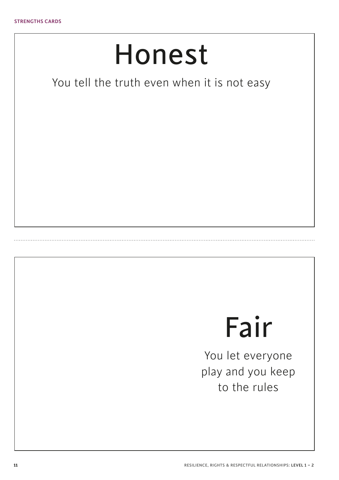# Honest

You tell the truth even when it is not easy

# Fair

You let everyone play and you keep to the rules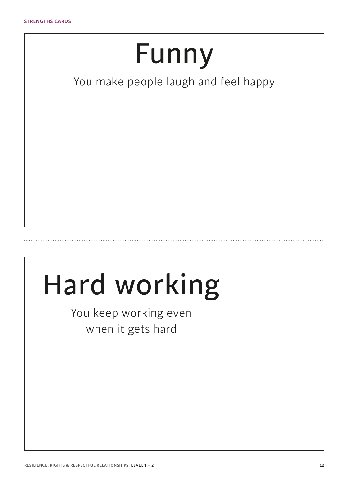# Funny

You make people laugh and feel happy

# Hard working

You keep working even when it gets hard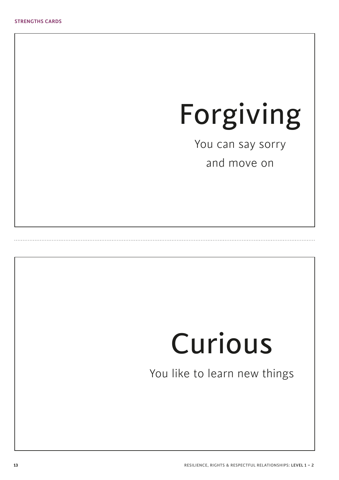# Forgiving

You can say sorry and move on

# Curious

You like to learn new things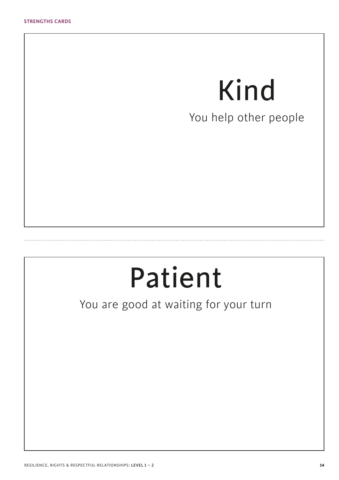# Kind You help other people

# Patient

You are good at waiting for your turn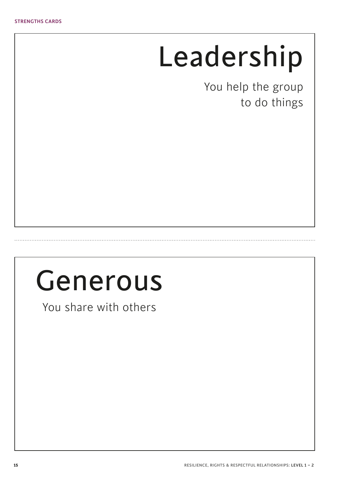# Leadership

You help the group to do things

# Generous

You share with others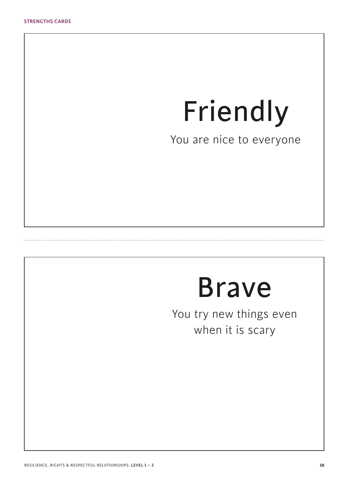# Friendly

You are nice to everyone

# Brave

You try new things even when it is scary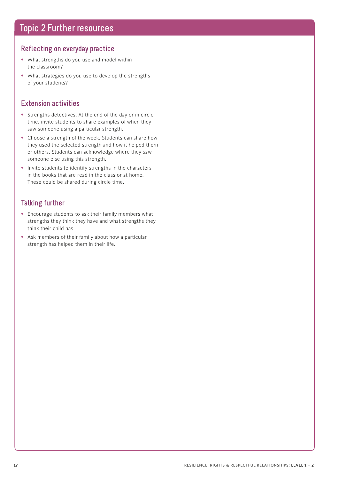### **Topic 2 Further resources**

#### **Reflecting on everyday practice**

- What strengths do you use and model within the classroom?
- What strategies do you use to develop the strengths of your students?

#### **Extension activities**

- Strengths detectives. At the end of the day or in circle time, invite students to share examples of when they saw someone using a particular strength.
- Choose a strength of the week. Students can share how they used the selected strength and how it helped them or others. Students can acknowledge where they saw someone else using this strength.
- Invite students to identify strengths in the characters in the books that are read in the class or at home. These could be shared during circle time.

#### **Talking further**

- Encourage students to ask their family members what strengths they think they have and what strengths they think their child has.
- Ask members of their family about how a particular strength has helped them in their life.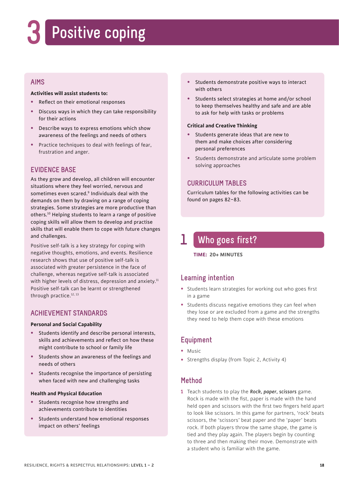# **3 Positive coping**

#### **AIMS**

#### **Activities will assist students to:**

- Reflect on their emotional responses
- Discuss ways in which they can take responsibility for their actions
- Describe ways to express emotions which show awareness of the feelings and needs of others
- Practice techniques to deal with feelings of fear, frustration and anger.

#### **EVIDENCE BASE**

As they grow and develop, all children will encounter situations where they feel worried, nervous and sometimes even scared.9 Individuals deal with the demands on them by drawing on a range of coping strategies. Some strategies are more productive than others.10 Helping students to learn a range of positive coping skills will allow them to develop and practise skills that will enable them to cope with future changes and challenges.

Positive self-talk is a key strategy for coping with negative thoughts, emotions, and events. Resilience research shows that use of positive self-talk is associated with greater persistence in the face of challenge, whereas negative self-talk is associated with higher levels of distress, depression and anxiety.<sup>11</sup> Positive self-talk can be learnt or strengthened through practice.<sup>12, 13</sup>

#### **ACHIEVEMENT STANDARDS**

#### **Personal and Social Capability**

- Students identify and describe personal interests, skills and achievements and reflect on how these might contribute to school or family life
- Students show an awareness of the feelings and needs of others
- Students recognise the importance of persisting when faced with new and challenging tasks

#### **Health and Physical Education**

- Students recognise how strengths and achievements contribute to identities
- Students understand how emotional responses impact on others' feelings
- Students demonstrate positive ways to interact with others
- Students select strategies at home and/or school to keep themselves healthy and safe and are able to ask for help with tasks or problems

#### **Critical and Creative Thinking**

- Students generate ideas that are new to them and make choices after considering personal preferences
- Students demonstrate and articulate some problem solving approaches

#### **CURRICULUM TABLES**

Curriculum tables for the following activities can be found on pages 82–83.

## **1 Who goes first?**

**TIME: 20+ MINUTES**

#### **Learning intention**

- Students learn strategies for working out who goes first in a game
- Students discuss negative emotions they can feel when they lose or are excluded from a game and the strengths they need to help them cope with these emotions

#### **Equipment**

- Music
- Strengths display (from Topic 2, Activity 4)

#### **Method**

**1** Teach students to play the *Rock, paper, scissors* game. Rock is made with the fist, paper is made with the hand held open and scissors with the first two fingers held apart to look like scissors. In this game for partners, 'rock' beats scissors, the 'scissors' beat paper and the 'paper' beats rock. If both players throw the same shape, the game is tied and they play again. The players begin by counting to three and then making their move. Demonstrate with a student who is familiar with the game.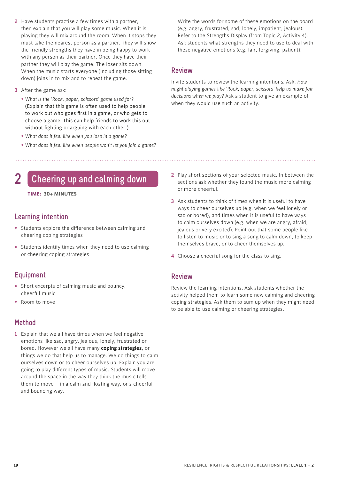- **2** Have students practise a few times with a partner, then explain that you will play some music. When it is playing they will mix around the room. When it stops they must take the nearest person as a partner. They will show the friendly strengths they have in being happy to work with any person as their partner. Once they have their partner they will play the game. The loser sits down. When the music starts everyone (including those sitting down) joins in to mix and to repeat the game.
- **3** After the game ask:
	- *What is the 'Rock, paper, scissors' game used for?*  (Explain that this game is often used to help people to work out who goes first in a game, or who gets to choose a game. This can help friends to work this out without fighting or arguing with each other.)
	- *What does it feel like when you lose in a game?*
	- *What does it feel like when people won't let you join a game?*

 Write the words for some of these emotions on the board (e.g. angry, frustrated, sad, lonely, impatient, jealous). Refer to the Strengths Display (from Topic 2, Activity 4). Ask students what strengths they need to use to deal with these negative emotions (e.g. fair, forgiving, patient).

#### **Review**

Invite students to review the learning intentions. Ask: *How might playing games like 'Rock, paper, scissors' help us make fair decisions when we play?* Ask a student to give an example of when they would use such an activity.

## **2 Cheering up and calming down**

#### **TIME: 30+ MINUTES**

#### **Learning intention**

- Students explore the difference between calming and cheering coping strategies
- Students identify times when they need to use calming or cheering coping strategies

#### **Equipment**

- Short excerpts of calming music and bouncy, cheerful music
- Room to move

#### **Method**

**1** Explain that we all have times when we feel negative emotions like sad, angry, jealous, lonely, frustrated or bored. However we all have many **coping strategies**, or things we do that help us to manage. We do things to calm ourselves down or to cheer ourselves up. Explain you are going to play different types of music. Students will move around the space in the way they think the music tells them to move  $-$  in a calm and floating way, or a cheerful and bouncing way.

- **2** Play short sections of your selected music. In between the sections ask whether they found the music more calming or more cheerful.
- **3** Ask students to think of times when it is useful to have ways to cheer ourselves up (e.g. when we feel lonely or sad or bored), and times when it is useful to have ways to calm ourselves down (e.g. when we are angry, afraid, jealous or very excited). Point out that some people like to listen to music or to sing a song to calm down, to keep themselves brave, or to cheer themselves up.
- **4** Choose a cheerful song for the class to sing.

#### **Review**

Review the learning intentions. Ask students whether the activity helped them to learn some new calming and cheering coping strategies. Ask them to sum up when they might need to be able to use calming or cheering strategies.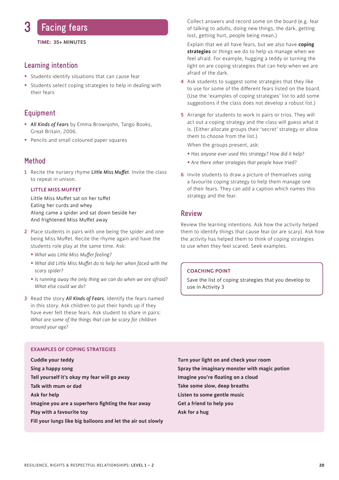**TIME: 35+ MINUTES**

#### **Learning intention**

- Students identify situations that can cause fear
- Students select coping strategies to help in dealing with their fears

#### **Equipment**

- *All Kinds of Fears* by Emma Brownjohn, Tango Books, Great Britain, 2006.
- Pencils and small coloured paper squares

#### **Method**

**1** Recite the nursery rhyme *Little Miss Muffet*. Invite the class to repeat in unison.

#### **LITTLE MISS MUFFET**

Little Miss Muffet sat on her tuffet Eating her curds and whey Along came a spider and sat down beside her And frightened Miss Muffet away

- **2** Place students in pairs with one being the spider and one being Miss Muffet. Recite the rhyme again and have the students role play at the same time. Ask:
	- *What was Little Miss Muffet feeling?*
	- *What did Little Miss Muffet do to help her when faced with the scary spider?*
	- *Is running away the only thing we can do when we are afraid? What else could we do?*
- **3** Read the story *All Kinds of Fears*. Identify the fears named in this story. Ask children to put their hands up if they have ever felt these fears. Ask student to share in pairs: *What are some of the things that can be scary for children around your age?*

 Collect answers and record some on the board (e.g. fear of talking to adults, doing new things, the dark, getting lost, getting hurt, people being mean.)

 Explain that we all have fears, but we also have **coping strategies** or things we do to help us manage when we feel afraid. For example, hugging a teddy or turning the light on are coping strategies that can help when we are afraid of the dark.

- **4** Ask students to suggest some strategies that they like to use for some of the different fears listed on the board. (Use the 'examples of coping strategies' list to add some suggestions if the class does not develop a robust list.)
- **5** Arrange for students to work in pairs or trios. They will act out a coping strategy and the class will guess what it is. (Either allocate groups their 'secret' strategy or allow them to choose from the list.)

When the groups present, ask:

- *Has anyone ever used this strategy? How did it help?*
- *Are there other strategies that people have tried?*
- **6** Invite students to draw a picture of themselves using a favourite coping strategy to help them manage one of their fears. They can add a caption which names this strategy and the fear.

#### **Review**

Review the learning intentions. Ask how the activity helped them to identify things that cause fear (or are scary). Ask how the activity has helped them to think of coping strategies to use when they feel scared. Seek examples.

#### **COACHING POINT**

Save the list of coping strategies that you develop to use in Activity 3

#### **EXAMPLES OF COPING STRATEGIES**

**Cuddle your teddy Sing a happy song Tell yourself it's okay my fear will go away Talk with mum or dad Ask for help Imagine you are a superhero fighting the fear away Play with a favourite toy Fill your lungs like big balloons and let the air out slowly**

**Turn your light on and check your room Spray the imaginary monster with magic potion Imagine you're floating on a cloud Take some slow, deep breaths Listen to some gentle music Get a friend to help you Ask for a hug**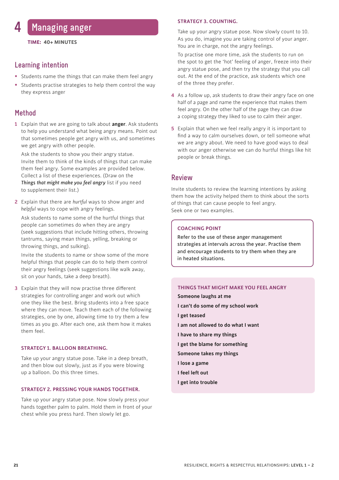#### **Learning intention**

- Students name the things that can make them feel angry
- Students practise strategies to help them control the way they express anger

#### **Method**

**1** Explain that we are going to talk about **anger**. Ask students to help you understand what being angry means. Point out that sometimes people get angry with us, and sometimes we get angry with other people.

 Ask the students to show you their angry statue. Invite them to think of the kinds of things that can make them feel angry. Some examples are provided below. Collect a list of these experiences. (Draw on the *Things that might make you feel angry* list if you need to supplement their list.)

**2** Explain that there are *hurtful* ways to show anger and *helpful* ways to cope with angry feelings.

 Ask students to name some of the hurtful things that people can sometimes do when they are angry (seek suggestions that include hitting others, throwing tantrums, saying mean things, yelling, breaking or throwing things, and sulking).

 Invite the students to name or show some of the more helpful things that people can do to help them control their angry feelings (seek suggestions like walk away, sit on your hands, take a deep breath).

**3** Explain that they will now practise three different strategies for controlling anger and work out which one they like the best. Bring students into a free space where they can move. Teach them each of the following strategies, one by one, allowing time to try them a few times as you go. After each one, ask them how it makes them feel.

#### **STRATEGY 1. BALLOON BREATHING.**

 Take up your angry statue pose. Take in a deep breath, and then blow out slowly, just as if you were blowing up a balloon. Do this three times.

#### **STRATEGY 2. PRESSING YOUR HANDS TOGETHER.**

 Take up your angry statue pose. Now slowly press your hands together palm to palm. Hold them in front of your chest while you press hard. Then slowly let go.

#### **STRATEGY 3. COUNTING.**

 Take up your angry statue pose. Now slowly count to 10. As you do, imagine you are taking control of your anger. You are in charge, not the angry feelings.

 To practise one more time, ask the students to run on the spot to get the 'hot' feeling of anger, freeze into their angry statue pose, and then try the strategy that you call out. At the end of the practice, ask students which one of the three they prefer.

- **4** As a follow up, ask students to draw their angry face on one half of a page and name the experience that makes them feel angry. On the other half of the page they can draw a coping strategy they liked to use to calm their anger.
- **5** Explain that when we feel really angry it is important to find a way to calm ourselves down, or tell someone what we are angry about. We need to have good ways to deal with our anger otherwise we can do hurtful things like hit people or break things.

#### **Review**

Invite students to review the learning intentions by asking them how the activity helped them to think about the sorts of things that can cause people to feel angry. Seek one or two examples.

#### **COACHING POINT**

Refer to the use of these anger management strategies at intervals across the year. Practise them and encourage students to try them when they are in heated situations.

#### **THINGS THAT MIGHT MAKE YOU FEEL ANGRY**

**Someone laughs at me I can't do some of my school work I get teased I am not allowed to do what I want I have to share my things I get the blame for something Someone takes my things I lose a game I feel left out I get into trouble**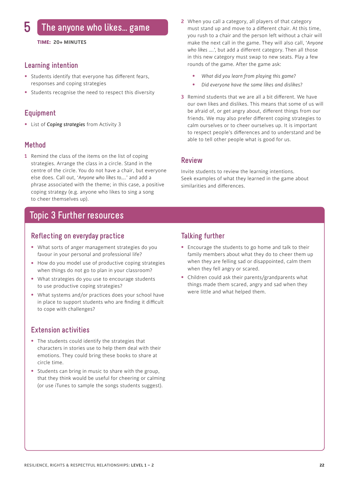**TIME: 20+ MINUTES**

#### **Learning intention**

- Students identify that everyone has different fears, responses and coping strategies
- Students recognise the need to respect this diversity

#### **Equipment**

• List of *Coping strategies* from Activity 3

#### **Method**

**1** Remind the class of the items on the list of coping strategies. Arrange the class in a circle. Stand in the centre of the circle. You do not have a chair, but everyone else does. Call out, '*Anyone who likes to….*' and add a phrase associated with the theme; in this case, a positive coping strategy (e.g. anyone who likes to sing a song to cheer themselves up).

- **2** When you call a category, all players of that category must stand up and move to a different chair. At this time, you rush to a chair and the person left without a chair will make the next call in the game. They will also call, '*Anyone who likes ….*', but add a different category. Then all those in this new category must swap to new seats. Play a few rounds of the game. After the game ask:
	- *What did you learn from playing this game?*
	- *Did everyone have the same likes and dislikes?*
- **3** Remind students that we are all a bit different. We have our own likes and dislikes. This means that some of us will be afraid of, or get angry about, different things from our friends. We may also prefer different coping strategies to calm ourselves or to cheer ourselves up. It is important to respect people's differences and to understand and be able to tell other people what is good for us.

#### **Review**

Invite students to review the learning intentions. Seek examples of what they learned in the game about similarities and differences.

### **Topic 3 Further resources**

#### **Reflecting on everyday practice**

- What sorts of anger management strategies do you favour in your personal and professional life?
- How do you model use of productive coping strategies when things do not go to plan in your classroom?
- What strategies do you use to encourage students to use productive coping strategies?
- What systems and/or practices does your school have in place to support students who are finding it difficult to cope with challenges?

#### **Extension activities**

- The students could identify the strategies that characters in stories use to help them deal with their emotions. They could bring these books to share at circle time.
- Students can bring in music to share with the group, that they think would be useful for cheering or calming (or use iTunes to sample the songs students suggest).

#### **Talking further**

- Encourage the students to go home and talk to their family members about what they do to cheer them up when they are felling sad or disappointed, calm them when they fell angry or scared.
- Children could ask their parents/grandparents what things made them scared, angry and sad when they were little and what helped them.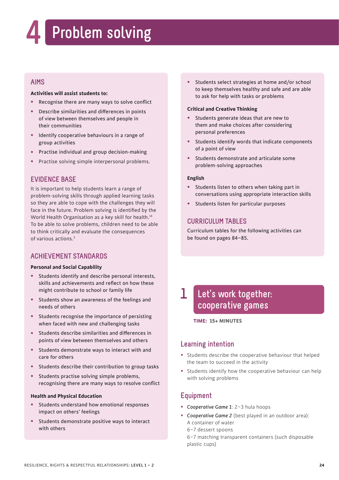# **4 Problem solving**

#### **AIMS**

#### **Activities will assist students to:**

- Recognise there are many ways to solve conflict
- Describe similarities and differences in points of view between themselves and people in their communities
- Identify cooperative behaviours in a range of group activities
- Practise individual and group decision-making
- Practise solving simple interpersonal problems.

#### **EVIDENCE BASE**

It is important to help students learn a range of problem-solving skills through applied learning tasks so they are able to cope with the challenges they will face in the future. Problem solving is identified by the World Health Organisation as a key skill for health.<sup>14</sup> To be able to solve problems, children need to be able to think critically and evaluate the consequences of various actions.3

#### **ACHIEVEMENT STANDARDS**

#### **Personal and Social Capability**

- Students identify and describe personal interests, skills and achievements and reflect on how these might contribute to school or family life
- Students show an awareness of the feelings and needs of others
- Students recognise the importance of persisting when faced with new and challenging tasks
- Students describe similarities and differences in points of view between themselves and others
- Students demonstrate ways to interact with and care for others
- Students describe their contribution to group tasks
- Students practise solving simple problems, recognising there are many ways to resolve conflict

#### **Health and Physical Education**

- Students understand how emotional responses impact on others' feelings
- Students demonstrate positive ways to interact with others

• Students select strategies at home and/or school to keep themselves healthy and safe and are able to ask for help with tasks or problems

#### **Critical and Creative Thinking**

- Students generate ideas that are new to them and make choices after considering personal preferences
- Students identify words that indicate components of a point of view
- Students demonstrate and articulate some problem-solving approaches

#### **English**

- Students listen to others when taking part in conversations using appropriate interaction skills
- Students listen for particular purposes

#### **CURRICULUM TABLES**

Curriculum tables for the following activities can be found on pages 84–85.

#### **Let's work together: cooperative games 1**

**TIME: 15+ MINUTES**

#### **Learning intention**

- Students describe the cooperative behaviour that helped the team to succeed in the activity
- Students identify how the cooperative behaviour can help with solving problems

#### **Equipment**

- *Cooperative Game 1*: 2–3 hula hoops
- *Cooperative Game 2* (best played in an outdoor area): A container of water
	- 6–7 dessert spoons
	- 6–7 matching transparent containers (such disposable plastic cups)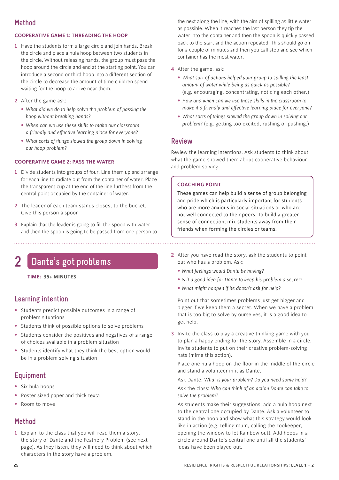#### **Method**

#### **COOPERATIVE GAME 1: THREADING THE HOOP**

- **1** Have the students form a large circle and join hands. Break the circle and place a hula hoop between two students in the circle. Without releasing hands, the group must pass the hoop around the circle and end at the starting point. You can introduce a second or third hoop into a different section of the circle to decrease the amount of time children spend waiting for the hoop to arrive near them.
- **2** After the game ask:
	- *What did we do to help solve the problem of passing the hoop without breaking hands?*
	- *When can we use these skills to make our classroom a friendly and effective learning place for everyone?*
	- *What sorts of things slowed the group down in solving our hoop problem?*

#### **COOPERATIVE GAME 2: PASS THE WATER**

- **1** Divide students into groups of four. Line them up and arrange for each line to radiate out from the container of water. Place the transparent cup at the end of the line furthest from the central point occupied by the container of water.
- **2** The leader of each team stands closest to the bucket. Give this person a spoon
- **3** Explain that the leader is going to fill the spoon with water and then the spoon is going to be passed from one person to

## **2 Dante's got problems**

#### **TIME: 35+ MINUTES**

#### **Learning intention**

- Students predict possible outcomes in a range of problem situations
- Students think of possible options to solve problems
- Students consider the positives and negatives of a range of choices available in a problem situation
- Students identify what they think the best option would be in a problem solving situation

#### **Equipment**

- Six hula hoops
- Poster sized paper and thick texta
- Room to move

#### **Method**

**1** Explain to the class that you will read them a story, the story of Dante and the Feathery Problem (see next page). As they listen, they will need to think about which characters in the story have a problem.

the next along the line, with the aim of spilling as little water as possible. When it reaches the last person they tip the water into the container and then the spoon is quickly passed back to the start and the action repeated. This should go on for a couple of minutes and then you call stop and see which container has the most water.

- **4** After the game, ask:
	- *What sort of actions helped your group to spilling the least amount of water while being as quick as possible?* (e.g. encouraging, concentrating, noticing each other.)
	- *How and when can we use these skills in the classroom to make it a friendly and effective learning place for everyone?*
	- *What sorts of things slowed the group down in solving our problem?* (e.g. getting too excited, rushing or pushing.)

#### **Review**

Review the learning intentions. Ask students to think about what the game showed them about cooperative behaviour and problem solving.

#### **COACHING POINT**

These games can help build a sense of group belonging and pride which is particularly important for students who are more anxious in social situations or who are not well connected to their peers. To build a greater sense of connection, mix students away from their friends when forming the circles or teams.

- **2** After you have read the story, ask the students to point out who has a problem. Ask:
	- *What feelings would Dante be having?*
	- •*Is it a good idea for Dante to keep his problem a secret?*
	- *What might happen if he doesn't ask for help?*

 Point out that sometimes problems just get bigger and bigger if we keep them a secret. When we have a problem that is too big to solve by ourselves, it is a good idea to get help.

**3** Invite the class to play a creative thinking game with you to plan a happy ending for the story. Assemble in a circle. Invite students to put on their creative problem-solving hats (mime this action).

Place one hula hoop on the floor in the middle of the circle and stand a volunteer in it as Dante.

Ask Dante: *What is your problem? Do you need some help?* Ask the class: *Who can think of an action Dante can take to solve the problem?*

 As students make their suggestions, add a hula hoop next to the central one occupied by Dante. Ask a volunteer to stand in the hoop and show what this strategy would look like in action (e.g. telling mum, calling the zookeeper, opening the window to let Rainbow out). Add hoops in a circle around Dante's central one until all the students' ideas have been played out.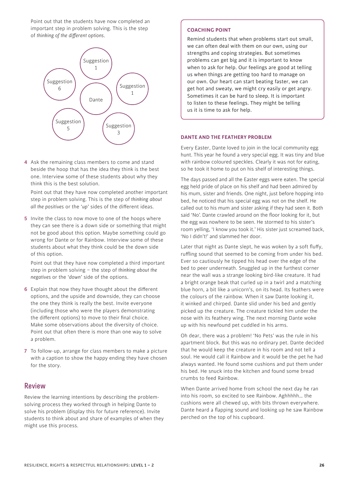Point out that the students have now completed an important step in problem solving. This is the step of *thinking of the different options*.



**4** Ask the remaining class members to come and stand beside the hoop that has the idea they think is the best one. Interview some of these students about why they think this is the best solution.

 Point out that they have now completed another important step in problem solving. This is the step of *thinking about all the positives* or the '*up*' sides of the different ideas.

**5** Invite the class to now move to one of the hoops where they can see there is a down side or something that might not be good about this option. Maybe something could go wrong for Dante or for Rainbow. Interview some of these students about what they think could be the down side of this option.

 Point out that they have now completed a third important step in problem solving – the step of *thinking about the negatives* or the '*down*' side of the options.

- **6** Explain that now they have thought about the different options, and the upside and downside, they can choose the one they think is really the best. Invite everyone (including those who were the players demonstrating the different options) to move to their final choice. Make some observations about the diversity of choice. Point out that often there is more than one way to solve a problem.
- **7** To follow-up, arrange for class members to make a picture with a caption to show the happy ending they have chosen for the story.

#### **Review**

Review the learning intentions by describing the problemsolving process they worked through in helping Dante to solve his problem (display this for future reference). Invite students to think about and share of examples of when they might use this process.

#### **COACHING POINT**

Remind students that when problems start out small, we can often deal with them on our own, using our strengths and coping strategies. But sometimes problems can get big and it is important to know when to ask for help. Our feelings are good at telling us when things are getting too hard to manage on our own. Our heart can start beating faster, we can get hot and sweaty, we might cry easily or get angry. Sometimes it can be hard to sleep. It is important to listen to these feelings. They might be telling us it is time to ask for help.

#### **DANTE AND THE FEATHERY PROBLEM**

Every Easter, Dante loved to join in the local community egg hunt. This year he found a very special egg. It was tiny and blue with rainbow coloured speckles. Clearly it was not for eating, so he took it home to put on his shelf of interesting things.

The days passed and all the Easter eggs were eaten. The special egg held pride of place on his shelf and had been admired by his mum, sister and friends. One night, just before hopping into bed, he noticed that his special egg was not on the shelf. He called out to his mum and sister asking if they had seen it. Both said 'No'. Dante crawled around on the floor looking for it, but the egg was nowhere to be seen. He stormed to his sister's room yelling, 'I know you took it.' His sister just screamed back, 'No I didn't!' and slammed her door.

Later that night as Dante slept, he was woken by a soft fluffy, ruffling sound that seemed to be coming from under his bed. Ever so cautiously he tipped his head over the edge of the bed to peer underneath. Snuggled up in the furthest corner near the wall was a strange looking bird-like creature. It had a bright orange beak that curled up in a twirl and a matching blue horn, a bit like a unicorn's, on its head. Its feathers were the colours of the rainbow. When it saw Dante looking it, it winked and chirped. Dante slid under his bed and gently picked up the creature. The creature tickled him under the nose with its feathery wing. The next morning Dante woke up with his newfound pet cuddled in his arms.

Oh dear, there was a problem! 'No Pets' was the rule in his apartment block. But this was no ordinary pet. Dante decided that he would keep the creature in his room and not tell a soul. He would call it Rainbow and it would be the pet he had always wanted. He found some cushions and put them under his bed. He snuck into the kitchen and found some bread crumbs to feed Rainbow.

When Dante arrived home from school the next day he ran into his room, so excited to see Rainbow. Aghhhhh… the cushions were all chewed up, with bits thrown everywhere. Dante heard a flapping sound and looking up he saw Rainbow perched on the top of his cupboard.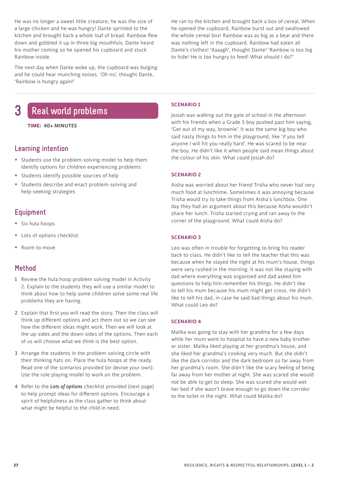He was no longer a sweet little creature; he was the size of a large chicken and he was hungry! Dante sprinted to the kitchen and brought back a whole loaf of bread. Rainbow flew down and gobbled it up in three big mouthfuls. Dante heard his mother coming so he opened his cupboard and stuck Rainbow inside.

The next day when Dante woke up, the cupboard was bulging and he could hear munching noises. 'Oh no', thought Dante, 'Rainbow is hungry again!'

He ran to the kitchen and brought back a box of cereal. When he opened the cupboard, Rainbow burst out and swallowed the whole cereal box! Rainbow was as big as a bear and there was nothing left in the cupboard. Rainbow had eaten all Dante's clothes! 'Aaaagh', thought Dante! 'Rainbow is too big to hide! He is too hungry to feed! What should I do?'

## **3 Real world problems**

**TIME: 40+ MINUTES**

### **Learning intention**

- Students use the problem-solving model to help them identify options for children experiencing problems
- Students identify possible sources of help
- Students describe and enact problem-solving and help-seeking strategies

### **Equipment**

- Six hula hoops
- Lots of options checklist
- Room to move

#### **Method**

- **1** Review the hula hoop problem solving model in Activity 2. Explain to the students they will use a similar model to think about how to help some children solve some real life problems they are having.
- **2** Explain that first you will read the story. Then the class will think up different options and act them out so we can see how the different ideas might work. Then we will look at the up-sides and the down-sides of the options. Then each of us will choose what we think is the best option.
- **3** Arrange the students in the problem-solving circle with their thinking hats on. Place the hula hoops at the ready. Read one of the scenarios provided (or devise your own). Use the role playing model to work on the problem.
- **4** Refer to the *Lots of options* checklist provided (next page) to help prompt ideas for different options. Encourage a spirit of helpfulness as the class gather to think about what might be helpful to the child in need.

#### **SCENARIO 1**

Josiah was walking out the gate of school in the afternoon with his friends when a Grade 5 boy pushed past him saying, 'Get out of my way, brownie'. It was the same big boy who said nasty things to him in the playground, like 'if you tell anyone I will hit you really hard'. He was scared to be near the boy. He didn't like it when people said mean things about the colour of his skin. What could Josiah do?

#### **SCENARIO 2**

Aisha was worried about her friend Trisha who never had very much food at lunchtime. Sometimes it was annoying because Trisha would try to take things from Aisha's lunchbox. One day they had an argument about this because Aisha wouldn't share her lunch. Trisha started crying and ran away to the corner of the playground. What could Aisha do?

#### **SCENARIO 3**

Leo was often in trouble for forgetting to bring his reader back to class. He didn't like to tell the teacher that this was because when he stayed the night at his mum's house, things were very rushed in the morning. It was not like staying with dad where everything was organised and dad asked him questions to help him remember his things. He didn't like to tell his mum because his mum might get cross. He didn't like to tell his dad, in case he said bad things about his mum. What could Leo do?

#### **SCENARIO 4**

Malika was going to stay with her grandma for a few days while her mum went to hospital to have a new baby brother or sister. Malika liked playing at her grandma's house, and she liked her grandma's cooking very much. But she didn't like the dark corridor and the dark bedroom so far away from her grandma's room. She didn't like the scary feeling of being far away from her mother at night. She was scared she would not be able to get to sleep. She was scared she would wet her bed if she wasn't brave enough to go down the corridor to the toilet in the night. What could Malika do?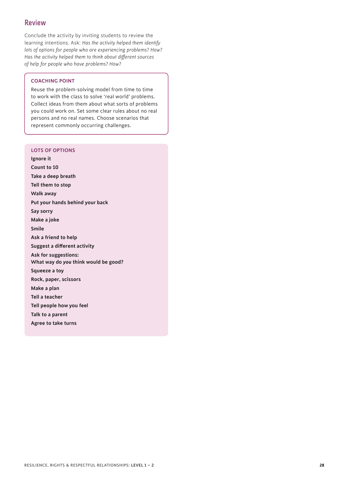#### **Review**

Conclude the activity by inviting students to review the learning intentions. Ask: *Has the activity helped them identify lots of options for people who are experiencing problems? How? Has the activity helped them to think about different sources of help for people who have problems? How?*

#### **COACHING POINT**

Reuse the problem-solving model from time to time to work with the class to solve 'real world' problems. Collect ideas from them about what sorts of problems you could work on. Set some clear rules about no real persons and no real names. Choose scenarios that represent commonly occurring challenges.

#### **Ignore it Count to 10 Take a deep breath Tell them to stop Walk away Put your hands behind your back Say sorry Make a joke Smile Ask a friend to help Suggest a different activity Ask for suggestions: What way do** *you* **think would be good? Squeeze a toy Rock, paper, scissors Make a plan Tell a teacher Tell people how you feel Talk to a parent Agree to take turns LOTS OF OPTIONS**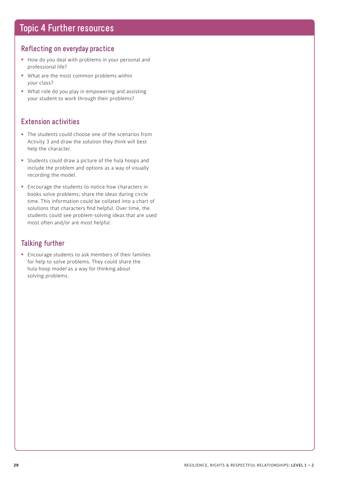#### **Reflecting on everyday practice**

- How do you deal with problems in your personal and professional life?
- What are the most common problems within your class?
- What role do you play in empowering and assisting your student to work through their problems?

#### **Extension activities**

- The students could choose one of the scenarios from Activity 3 and draw the solution they think will best help the character.
- Students could draw a picture of the hula hoops and include the problem and options as a way of visually recording the model.
- Encourage the students to notice how characters in books solve problems; share the ideas during circle time. This information could be collated into a chart of solutions that characters find helpful. Over time, the students could see problem-solving ideas that are used most often and/or are most helpful.

#### **Talking further**

• Encourage students to ask members of their families for help to solve problems. They could share the hula hoop model as a way for thinking about solving problems.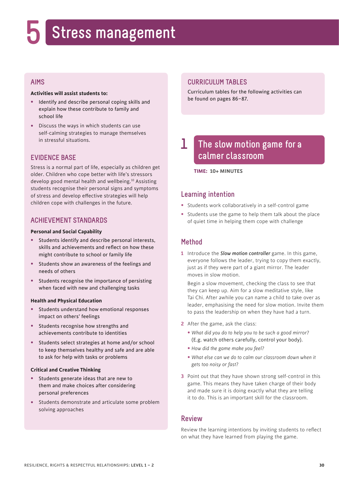# **5 Stress management**

#### **AIMS**

#### **Activities will assist students to:**

- Identify and describe personal coping skills and explain how these contribute to family and school life
- Discuss the ways in which students can use self-calming strategies to manage themselves in stressful situations.

#### **EVIDENCE BASE**

Stress is a normal part of life, especially as children get older. Children who cope better with life's stressors develop good mental health and wellbeing.10 Assisting students recognise their personal signs and symptoms of stress and develop effective strategies will help children cope with challenges in the future.

#### **ACHIEVEMENT STANDARDS**

#### **Personal and Social Capability**

- Students identify and describe personal interests, skills and achievements and reflect on how these might contribute to school or family life
- Students show an awareness of the feelings and needs of others
- Students recognise the importance of persisting when faced with new and challenging tasks

#### **Health and Physical Education**

- Students understand how emotional responses impact on others' feelings
- Students recognise how strengths and achievements contribute to identities
- Students select strategies at home and/or school to keep themselves healthy and safe and are able to ask for help with tasks or problems

#### **Critical and Creative Thinking**

- Students generate ideas that are new to them and make choices after considering personal preferences
- Students demonstrate and articulate some problem solving approaches

#### **CURRICULUM TABLES**

Curriculum tables for the following activities can be found on pages 86–87.

#### **The slow motion game for a calmer classroom 1**

**TIME: 10+ MINUTES**

#### **Learning intention**

- Students work collaboratively in a self-control game
- Students use the game to help them talk about the place of quiet time in helping them cope with challenge

#### **Method**

**1** Introduce the *Slow motion controller* game. In this game, everyone follows the leader, trying to copy them exactly, just as if they were part of a giant mirror. The leader moves in slow motion.

 Begin a slow movement, checking the class to see that they can keep up. Aim for a slow meditative style, like Tai Chi. After awhile you can name a child to take over as leader, emphasising the need for slow motion. Invite them to pass the leadership on when they have had a turn.

- **2** After the game, ask the class:
	- *What did you do to help you to be such a good mirror?*  (E.g. watch others carefully, control your body).
	- *How did the game make you feel?*
	- *What else can we do to calm our classroom down when it gets too noisy or fast?*
- **3**Point out that they have shown strong self-control in this game. This means they have taken charge of their body and made sure it is doing exactly what they are telling it to do. This is an important skill for the classroom.

#### **Review**

Review the learning intentions by inviting students to reflect on what they have learned from playing the game.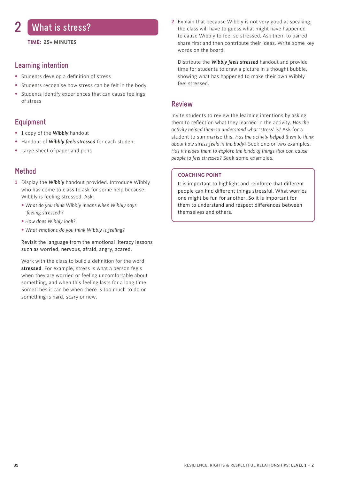#### **Learning intention**

- Students develop a definition of stress
- Students recognise how stress can be felt in the body
- Students identify experiences that can cause feelings of stress

#### **Equipment**

- 1 copy of the *Wibbly* handout
- Handout of *Wibbly feels stressed* for each student
- Large sheet of paper and pens

#### **Method**

- **1** Display the *Wibbly* handout provided. Introduce Wibbly who has come to class to ask for some help because Wibbly is feeling stressed. Ask:
	- *What do you think Wibbly means when Wibbly says 'feeling stressed'?*
	- *How does Wibbly look?*
	- • *What emotions do you think Wibbly is feeling?*

Revisit the language from the emotional literacy lessons such as worried, nervous, afraid, angry, scared.

Work with the class to build a definition for the word **stressed**. For example, stress is what a person feels when they are worried or feeling uncomfortable about something, and when this feeling lasts for a long time. Sometimes it can be when there is too much to do or something is hard, scary or new.

**2** Explain that because Wibbly is not very good at speaking, the class will have to guess what might have happened to cause Wibbly to feel so stressed. Ask them to paired share first and then contribute their ideas. Write some key words on the board.

 Distribute the *Wibbly feels stressed* handout and provide time for students to draw a picture in a thought bubble, showing what has happened to make their own Wibbly feel stressed.

#### **Review**

Invite students to review the learning intentions by asking them to reflect on what they learned in the activity. *Has the activity helped them to understand what 'stress' is?* Ask for a student to summarise this. *Has the activity helped them to think about how stress feels in the body?* Seek one or two examples. *Has it helped them to explore the kinds of things that can cause people to feel stressed?* Seek some examples.

#### **COACHING POINT**

It is important to highlight and reinforce that different people can find different things stressful. What worries one might be fun for another. So it is important for them to understand and respect differences between themselves and others.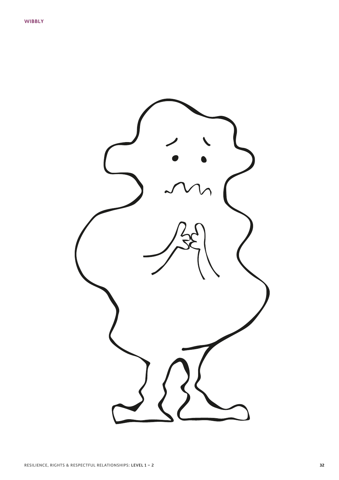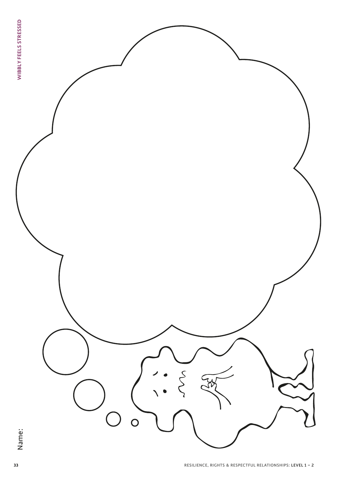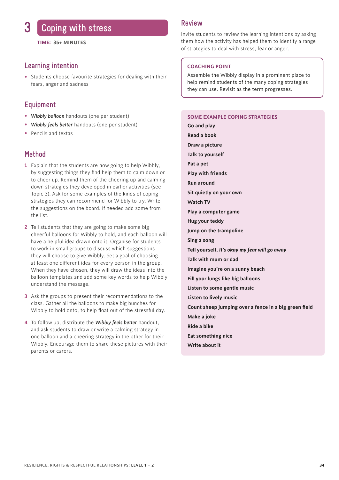**TIME: 35+ MINUTES**

#### **Learning intention**

• Students choose favourite strategies for dealing with their fears, anger and sadness

#### **Equipment**

- *Wibbly balloon* handouts (one per student)
- *Wibbly feels better* handouts (one per student)
- Pencils and textas

#### **Method**

- **1** Explain that the students are now going to help Wibbly, by suggesting things they find help them to calm down or to cheer up. Remind them of the cheering up and calming down strategies they developed in earlier activities (see Topic 3). Ask for some examples of the kinds of coping strategies they can recommend for Wibbly to try. Write the suggestions on the board. If needed add some from the list.
- **2** Tell students that they are going to make some big cheerful balloons for Wibbly to hold, and each balloon will have a helpful idea drawn onto it. Organise for students to work in small groups to discuss which suggestions they will choose to give Wibbly. Set a goal of choosing at least one different idea for every person in the group. When they have chosen, they will draw the ideas into the balloon templates and add some key words to help Wibbly understand the message.
- **3** Ask the groups to present their recommendations to the class. Gather all the balloons to make big bunches for Wibbly to hold onto, to help float out of the stressful day.
- **4** To follow up, distribute the *Wibbly feels better* handout, and ask students to draw or write a calming strategy in one balloon and a cheering strategy in the other for their Wibbly. Encourage them to share these pictures with their parents or carers.

#### **Review**

Invite students to review the learning intentions by asking them how the activity has helped them to identify a range of strategies to deal with stress, fear or anger.

#### **COACHING POINT**

Assemble the Wibbly display in a prominent place to help remind students of the many coping strategies they can use. Revisit as the term progresses.

#### **SOME EXAMPLE COPING STRATEGIES**

**Go and play Read a book Draw a picture Talk to yourself Pat a pet Play with friends Run around Sit quietly on your own Watch TV Play a computer game Hug your teddy Jump on the trampoline Sing a song Tell yourself,** *It's okay my fear will go away* **Talk with mum or dad Imagine you're on a sunny beach Fill your lungs like big balloons Listen to some gentle music Listen to lively music Count sheep jumping over a fence in a big green field Make a joke Ride a bike Eat something nice Write about it**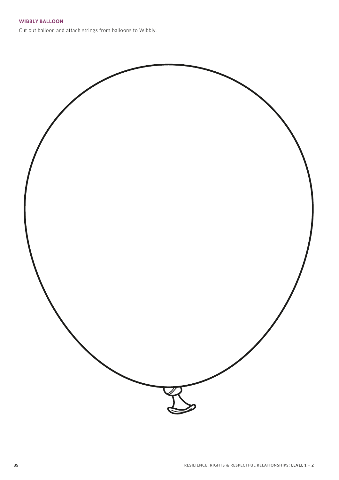#### **WIBBLY BALLOON**

Cut out balloon and attach strings from balloons to Wibbly.

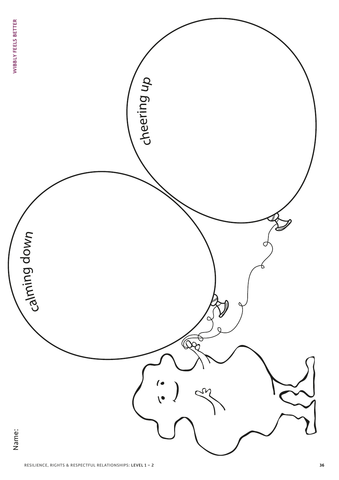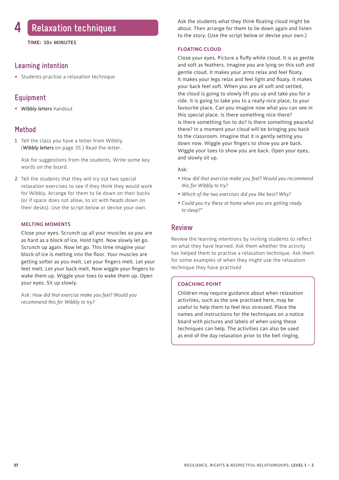## **4 Relaxation techniques**

**TIME: 10+ MINUTES**

### **Learning intention**

• Students practise a relaxation technique

## **Equipment**

• *Wibbly letters* handout

### **Method**

**1** Tell the class you have a letter from Wibbly. (*Wibbly letters* on page 35.) Read the letter.

 Ask for suggestions from the students. Write some key words on the board.

**2** Tell the students that they will try out two special relaxation exercises to see if they think they would work for Wibbly. Arrange for them to lie down on their backs (or if space does not allow, to sit with heads down on their desks). Use the script below or devise your own.

#### **MELTING MOMENTS**

Close your eyes. Scrunch up all your muscles so you are as hard as a block of ice. Hold tight. Now slowly let go. Scrunch up again. Now let go. This time imagine your block of ice is melting into the floor. Your muscles are getting softer as you melt. Let your fingers melt. Let your feet melt. Let your back melt. Now wiggle your fingers to wake them up. Wiggle your toes to wake them up. Open your eyes. Sit up slowly.

 Ask: *How did that exercise make you feel? Would you recommend this for Wibbly to try?*

Ask the students what they think floating cloud might be about. Then arrange for them to lie down again and listen to the story. (Use the script below or devise your own.)

#### **FLOATING CLOUD**

Close your eyes. Picture a fluffy white cloud. It is as gentle and soft as feathers. Imagine you are lying on this soft and gentle cloud. It makes your arms relax and feel floaty. It makes your legs relax and feel light and floaty. It makes your back feel soft. When you are all soft and settled, the cloud is going to slowly lift you up and take you for a ride. It is going to take you to a really nice place, to your favourite place. Can you imagine now what you can see in this special place. Is there something nice there? Is there something fun to do? Is there something peaceful there? In a moment your cloud will be bringing you back to the classroom. Imagine that it is gently setting you down now. Wiggle your fingers to show you are back. Wiggle your toes to show you are back. Open your eyes, and slowly sit up.

#### Ask:

- *How did that exercise make you feel? Would you recommend this for Wibbly to try?*
- *Which of the two exercises did you like best? Why?*
- *Could you try these at home when you are getting ready to sleep?"*

#### **Review**

Review the learning intentions by inviting students to reflect on what they have learned. Ask them whether the activity has helped them to practise a relaxation technique. Ask them for some examples of when they might use the relaxation technique they have practised

#### **COACHING POINT**

Children may require guidance about when relaxation activities, such as the one practised here, may be useful to help them to feel less stressed. Place the names and instructions for the techniques on a notice board with pictures and labels of when using these techniques can help. The activities can also be used as end of the day relaxation prior to the bell ringing.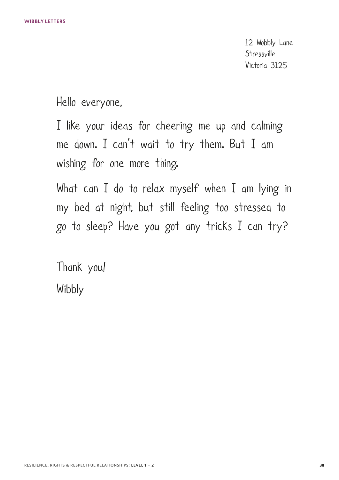12 Wobbly Lane **Stressville** Victoria 3125

Hello everyone,

I like your ideas for cheering me up and calming me down. I can't wait to try them. But I am wishing for one more thing.

What can I do to relax myself when I am lying in my bed at night, but still feeling too stressed to go to sleep? Have you got any tricks I can try?

Thank you! Wibbly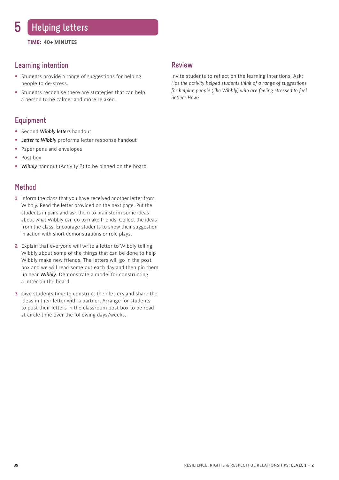## **Learning intention**

- Students provide a range of suggestions for helping people to de-stress.
- Students recognise there are strategies that can help a person to be calmer and more relaxed.

## **Equipment**

- Second *Wibbly letters* handout
- *Letter to Wibbly* proforma letter response handout
- Paper pens and envelopes
- Post box
- *Wibbly* handout (Activity 2) to be pinned on the board.

## **Method**

- **1** Inform the class that you have received another letter from Wibbly. Read the letter provided on the next page. Put the students in pairs and ask them to brainstorm some ideas about what Wibbly can do to make friends. Collect the ideas from the class. Encourage students to show their suggestion in action with short demonstrations or role plays.
- **2** Explain that everyone will write a letter to Wibbly telling Wibbly about some of the things that can be done to help Wibbly make new friends. The letters will go in the post box and we will read some out each day and then pin them up near *Wibbly*. Demonstrate a model for constructing a letter on the board.
- **3** Give students time to construct their letters and share the ideas in their letter with a partner. Arrange for students to post their letters in the classroom post box to be read at circle time over the following days/weeks.

## **Review**

Invite students to reflect on the learning intentions. Ask: *Has the activity helped students think of a range of suggestions for helping people (like Wibbly) who are feeling stressed to feel better? How?*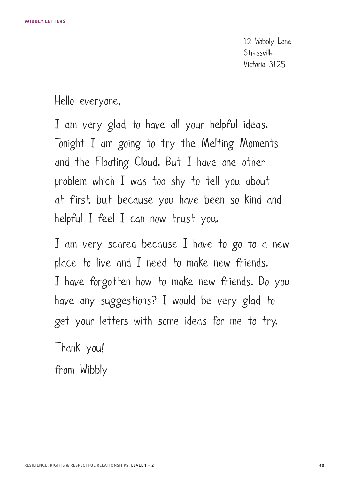12 Wobbly Lane **Stressville** Victoria 3125

Hello everyone,

I am very glad to have all your helpful ideas. Tonight I am going to try the Melting Moments and the Floating Cloud. But I have one other problem which I was too shy to tell you about at first, but because you have been so kind and helpful I feel I can now trust you.

I am very scared because I have to go to a new place to live and I need to make new friends. I have forgotten how to make new friends. Do you have any suggestions? I would be very glad to get your letters with some ideas for me to try.

Thank you!

from Wibbly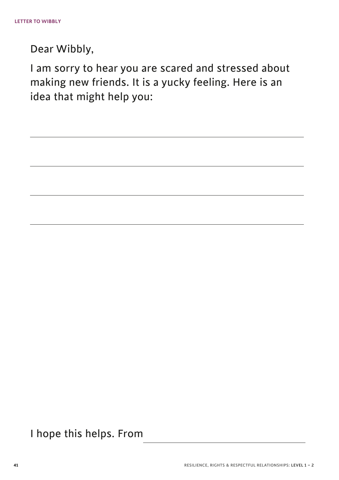# Dear Wibbly,

I am sorry to hear you are scared and stressed about making new friends. It is a yucky feeling. Here is an idea that might help you:

I hope this helps. From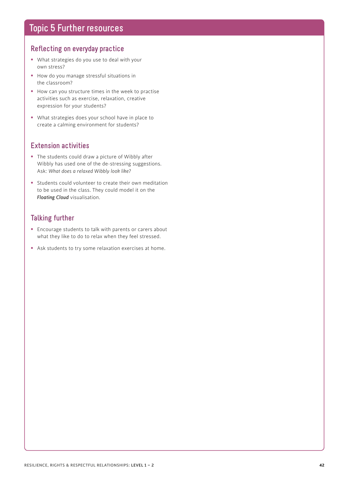## **Topic 5 Further resources**

## **Reflecting on everyday practice**

- What strategies do you use to deal with your own stress?
- How do you manage stressful situations in the classroom?
- How can you structure times in the week to practise activities such as exercise, relaxation, creative expression for your students?
- What strategies does your school have in place to create a calming environment for students?

## **Extension activities**

- The students could draw a picture of Wibbly after Wibbly has used one of the de-stressing suggestions. Ask: *What does a relaxed Wibbly look like?*
- Students could volunteer to create their own meditation to be used in the class. They could model it on the *Floating Cloud* visualisation.

## **Talking further**

- Encourage students to talk with parents or carers about what they like to do to relax when they feel stressed.
- Ask students to try some relaxation exercises at home.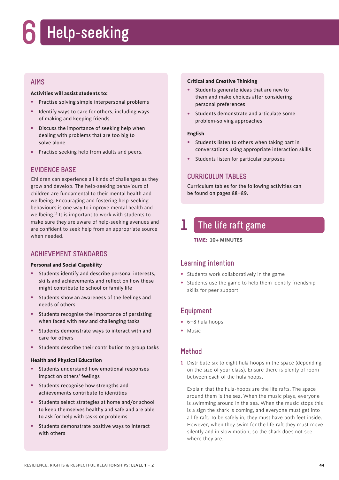# **6 Help-seeking**

## **AIMS**

#### **Activities will assist students to:**

- Practise solving simple interpersonal problems
- Identify ways to care for others, including ways of making and keeping friends
- Discuss the importance of seeking help when dealing with problems that are too big to solve alone
- Practise seeking help from adults and peers.

## **EVIDENCE BASE**

Children can experience all kinds of challenges as they grow and develop. The help-seeking behaviours of children are fundamental to their mental health and wellbeing. Encouraging and fostering help-seeking behaviours is one way to improve mental health and wellbeing.<sup>15</sup> It is important to work with students to make sure they are aware of help-seeking avenues and are confident to seek help from an appropriate source when needed.

## **ACHIEVEMENT STANDARDS**

#### **Personal and Social Capability**

- Students identify and describe personal interests, skills and achievements and reflect on how these might contribute to school or family life
- Students show an awareness of the feelings and needs of others
- Students recognise the importance of persisting when faced with new and challenging tasks
- Students demonstrate ways to interact with and care for others
- Students describe their contribution to group tasks

#### **Health and Physical Education**

- Students understand how emotional responses impact on others' feelings
- Students recognise how strengths and achievements contribute to identities
- Students select strategies at home and/or school to keep themselves healthy and safe and are able to ask for help with tasks or problems
- Students demonstrate positive ways to interact with others

#### **Critical and Creative Thinking**

- Students generate ideas that are new to them and make choices after considering personal preferences
- Students demonstrate and articulate some problem-solving approaches

#### **English**

- Students listen to others when taking part in conversations using appropriate interaction skills
- Students listen for particular purposes

## **CURRICULUM TABLES**

Curriculum tables for the following activities can be found on pages 88–89.

# **1 The life raft game**

**TIME: 10+ MINUTES**

## **Learning intention**

- Students work collaboratively in the game
- Students use the game to help them identify friendship skills for peer support

## **Equipment**

- 6–8 hula hoops
- Music

## **Method**

**1** Distribute six to eight hula hoops in the space (depending on the size of your class). Ensure there is plenty of room between each of the hula hoops.

 Explain that the hula-hoops are the life rafts. The space around them is the sea. When the music plays, everyone is swimming around in the sea. When the music stops this is a sign the shark is coming, and everyone must get into a life raft. To be safely in, they must have both feet inside. However, when they swim for the life raft they must move silently and in slow motion, so the shark does not see where they are.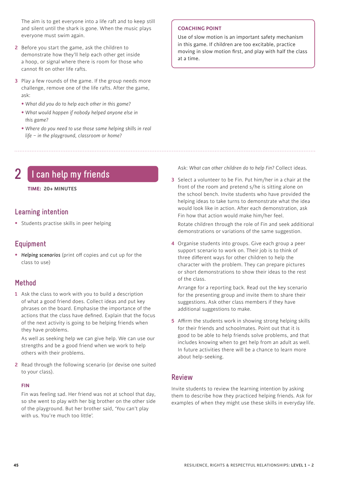The aim is to get everyone into a life raft and to keep still and silent until the shark is gone. When the music plays everyone must swim again.

- **2** Before you start the game, ask the children to demonstrate how they'll help each other get inside a hoop, or signal where there is room for those who cannot fit on other life rafts.
- **3** Play a few rounds of the game. If the group needs more challenge, remove one of the life rafts. After the game, ask:
	- *What did you do to help each other in this game?*
	- *What would happen if nobody helped anyone else in this game?*
	- *Where do you need to use those same helping skills in real life – in the playground, classroom or home?*

# **2 I can help my friends**

#### **TIME: 20+ MINUTES**

## **Learning intention**

• Students practise skills in peer helping

## **Equipment**

• *Helping scenarios* (print off copies and cut up for the class to use)

## **Method**

**1** Ask the class to work with you to build a description of what a good friend does. Collect ideas and put key phrases on the board. Emphasise the importance of the actions that the class have defined. Explain that the focus of the next activity is going to be helping friends when they have problems.

 As well as seeking help we can give help. We can use our strengths and be a good friend when we work to help others with their problems.

**2** Read through the following scenario (or devise one suited to your class).

#### **FIN**

 Fin was feeling sad. Her friend was not at school that day, so she went to play with her big brother on the other side of the playground. But her brother said, 'You can't play with us. You're much too little'.

#### **COACHING POINT**

Use of slow motion is an important safety mechanism in this game. If children are too excitable, practice moving in slow motion first, and play with half the class at a time.

Ask: *What can other children do to help Fin?* Collect ideas.

**3** Select a volunteer to be Fin. Put him/her in a chair at the front of the room and pretend s/he is sitting alone on the school bench. Invite students who have provided the helping ideas to take turns to demonstrate what the idea would look like in action. After each demonstration, ask Fin how that action would make him/her feel.

 Rotate children through the role of Fin and seek additional demonstrations or variations of the same suggestion.

**4** Organise students into groups. Give each group a peer support scenario to work on. Their job is to think of three different ways for other children to help the character with the problem. They can prepare pictures or short demonstrations to show their ideas to the rest of the class.

 Arrange for a reporting back. Read out the key scenario for the presenting group and invite them to share their suggestions. Ask other class members if they have additional suggestions to make.

**5** Affirm the students work in showing strong helping skills for their friends and schoolmates. Point out that it is good to be able to help friends solve problems, and that includes knowing when to get help from an adult as well. In future activities there will be a chance to learn more about help-seeking.

### **Review**

Invite students to review the learning intention by asking them to describe how they practiced helping friends. Ask for examples of when they might use these skills in everyday life.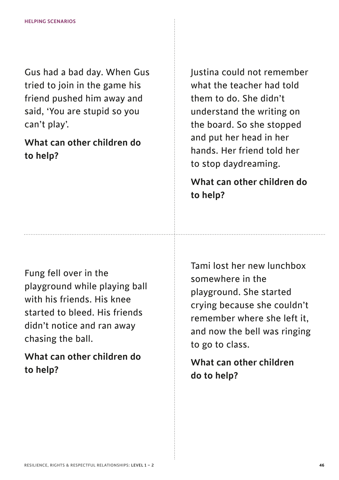Gus had a bad day. When Gus tried to join in the game his friend pushed him away and said, 'You are stupid so you can't play'.

# **What can other children do to help?**

Fung fell over in the playground while playing ball with his friends. His knee started to bleed. His friends didn't notice and ran away chasing the ball.

**What can other children do to help?**

Justina could not remember what the teacher had told them to do. She didn't understand the writing on the board. So she stopped and put her head in her hands. Her friend told her to stop daydreaming.

**What can other children do to help?**

Tami lost her new lunchbox somewhere in the playground. She started crying because she couldn't remember where she left it, and now the bell was ringing to go to class.

**What can other children do to help?**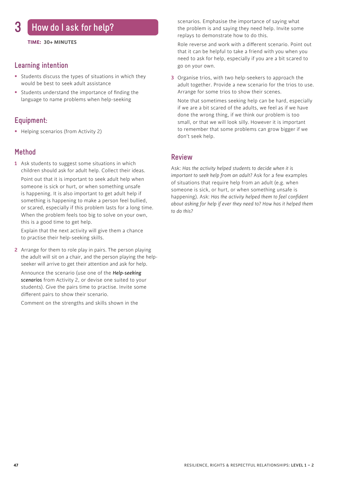## **Learning intention**

- Students discuss the types of situations in which they would be best to seek adult assistance
- Students understand the importance of finding the language to name problems when help-seeking

## **Equipment:**

• Helping scenarios (from Activity 2)

## **Method**

**1** Ask students to suggest some situations in which children should ask for adult help. Collect their ideas.

 Point out that it is important to seek adult help when someone is sick or hurt, or when something unsafe is happening. It is also important to get adult help if something is happening to make a person feel bullied, or scared, especially if this problem lasts for a long time. When the problem feels too big to solve on your own, this is a good time to get help.

 Explain that the next activity will give them a chance to practise their help-seeking skills.

**2** Arrange for them to role play in pairs. The person playing the adult will sit on a chair, and the person playing the helpseeker will arrive to get their attention and ask for help.

 Announce the scenario (use one of the *Help-seeking scenarios* from Activity 2, or devise one suited to your students). Give the pairs time to practise. Invite some different pairs to show their scenario.

Comment on the strengths and skills shown in the

scenarios. Emphasise the importance of saying what the problem is and saying they need help. Invite some replays to demonstrate how to do this.

Role reverse and work with a different scenario. Point out that it can be helpful to take a friend with you when you need to ask for help, especially if you are a bit scared to go on your own.

**3** Organise trios, with two help-seekers to approach the adult together. Provide a new scenario for the trios to use. Arrange for some trios to show their scenes.

 Note that sometimes seeking help can be hard, especially if we are a bit scared of the adults, we feel as if we have done the wrong thing, if we think our problem is too small, or that we will look silly. However it is important to remember that some problems can grow bigger if we don't seek help.

### **Review**

Ask: *Has the activity helped students to decide when it is important to seek help from an adult?* Ask for a few examples of situations that require help from an adult (e.g. when someone is sick, or hurt, or when something unsafe is happening). Ask: *Has the activity helped them to feel confident about asking for help if ever they need to? How has it helped them to do this?*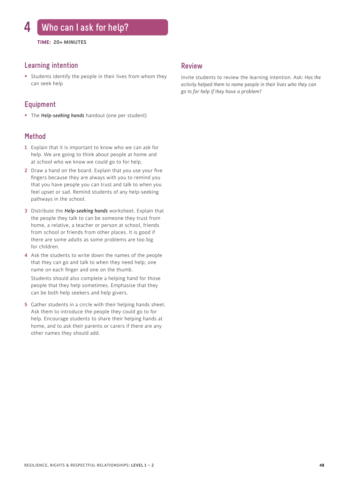**TIME: 20+ MINUTES**

## **Learning intention**

• Students identify the people in their lives from whom they can seek help

## **Equipment**

• The *Help-seeking hands* handout (one per student)

## **Method**

- **1** Explain that it is important to know who we can ask for help. We are going to think about people at home and at school who we know we could go to for help.
- **2** Draw a hand on the board. Explain that you use your five fingers because they are always with you to remind you that you have people you can trust and talk to when you feel upset or sad. Remind students of any help-seeking pathways in the school.
- **3** Distribute the *Help-seeking hands* worksheet. Explain that the people they talk to can be someone they trust from home, a relative, a teacher or person at school, friends from school or friends from other places. It is good if there are some adults as some problems are too big for children.
- **4** Ask the students to write down the names of the people that they can go and talk to when they need help; one name on each finger and one on the thumb.

 Students should also complete a helping hand for those people that they help sometimes. Emphasise that they can be both help seekers and help givers.

**5** Gather students in a circle with their helping hands sheet. Ask them to introduce the people they could go to for help. Encourage students to share their helping hands at home, and to ask their parents or carers if there are any other names they should add.

### **Review**

Invite students to review the learning intention. Ask: *Has the activity helped them to name people in their lives who they can go to for help if they have a problem?*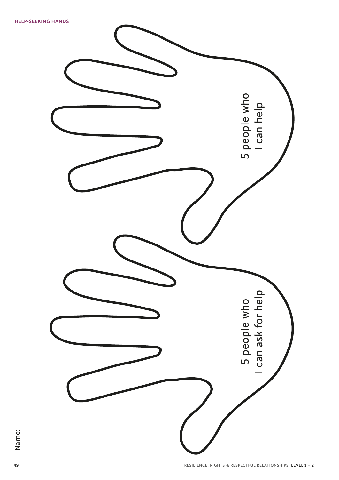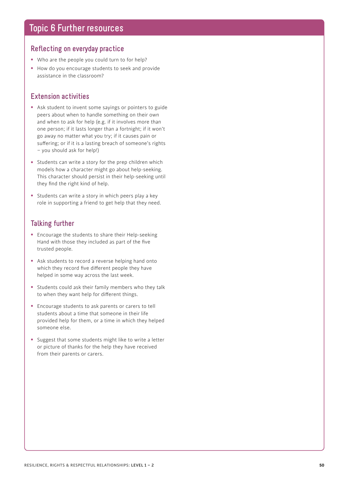## **Reflecting on everyday practice**

- Who are the people you could turn to for help?
- How do you encourage students to seek and provide assistance in the classroom?

## **Extension activities**

- Ask student to invent some sayings or pointers to guide peers about when to handle something on their own and when to ask for help (e.g. if it involves more than one person; if it lasts longer than a fortnight; if it won't go away no matter what you try; if it causes pain or suffering; or if it is a lasting breach of someone's rights – you should ask for help!)
- Students can write a story for the prep children which models how a character might go about help-seeking. This character should persist in their help-seeking until they find the right kind of help.
- Students can write a story in which peers play a key role in supporting a friend to get help that they need.

## **Talking further**

- Encourage the students to share their Help-seeking Hand with those they included as part of the five trusted people.
- Ask students to record a reverse helping hand onto which they record five different people they have helped in some way across the last week.
- Students could ask their family members who they talk to when they want help for different things.
- Encourage students to ask parents or carers to tell students about a time that someone in their life provided help for them, or a time in which they helped someone else.
- Suggest that some students might like to write a letter or picture of thanks for the help they have received from their parents or carers.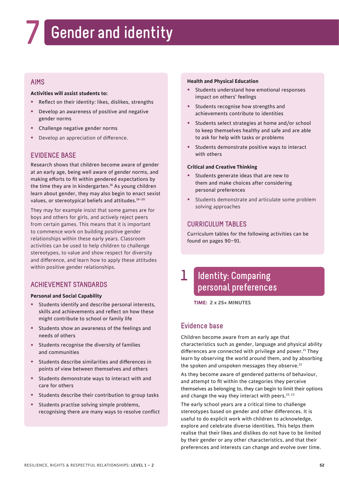# **7 Gender and identity**

## **AIMS**

#### **Activities will assist students to:**

- Reflect on their identity: likes, dislikes, strengths
- Develop an awareness of positive and negative gender norms
- Challenge negative gender norms
- Develop an appreciation of difference.

#### **EVIDENCE BASE**

Research shows that children become aware of gender at an early age, being well aware of gender norms, and making efforts to fit within gendered expectations by the time they are in kindergarten.<sup>16</sup> As young children learn about gender, they may also begin to enact sexist values, or stereotypical beliefs and attitudes.<sup>16-20</sup>

They may for example insist that some games are for boys and others for girls, and actively reject peers from certain games. This means that it is important to commence work on building positive gender relationships within these early years. Classroom activities can be used to help children to challenge stereotypes, to value and show respect for diversity and difference, and learn how to apply these attitudes within positive gender relationships.

## **ACHIEVEMENT STANDARDS**

#### **Personal and Social Capability**

- Students identify and describe personal interests, skills and achievements and reflect on how these might contribute to school or family life
- Students show an awareness of the feelings and needs of others
- Students recognise the diversity of families and communities
- Students describe similarities and differences in points of view between themselves and others
- Students demonstrate ways to interact with and care for others
- Students describe their contribution to group tasks
- Students practise solving simple problems, recognising there are many ways to resolve conflict

#### **Health and Physical Education**

- Students understand how emotional responses impact on others' feelings
- Students recognise how strengths and achievements contribute to identities
- Students select strategies at home and/or school to keep themselves healthy and safe and are able to ask for help with tasks or problems
- Students demonstrate positive ways to interact with others

#### **Critical and Creative Thinking**

- Students generate ideas that are new to them and make choices after considering personal preferences
- Students demonstrate and articulate some problem solving approaches

#### **CURRICULUM TABLES**

Curriculum tables for the following activities can be found on pages 90–91.

#### **Identity: Comparing personal preferences 1**

**TIME: 2 x 25+ MINUTES**

## **Evidence base**

Children become aware from an early age that characteristics such as gender, language and physical ability differences are connected with privilege and power.<sup>21</sup> They learn by observing the world around them, and by absorbing the spoken and unspoken messages they observe. $22$ 

As they become aware of gendered patterns of behaviour, and attempt to fit within the categories they perceive themselves as belonging to, they can begin to limit their options and change the way they interact with peers. $22, 23$ 

The early school years are a critical time to challenge stereotypes based on gender and other differences. It is useful to do explicit work with children to acknowledge, explore and celebrate diverse identities. This helps them realise that their likes and dislikes do not have to be limited by their gender or any other characteristics, and that their preferences and interests can change and evolve over time.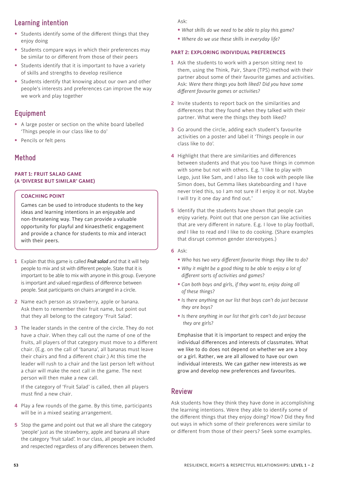## **Learning intention**

- Students identify some of the different things that they enjoy doing
- Students compare ways in which their preferences may be similar to or different from those of their peers
- Students identify that it is important to have a variety of skills and strengths to develop resilience
- Students identify that knowing about our own and other people's interests and preferences can improve the way we work and play together

## **Equipment**

- A large poster or section on the white board labelled 'Things people in our class like to do'
- Pencils or felt pens

## **Method**

#### **PART 1: FRUIT SALAD GAME (A 'DIVERSE BUT SIMILAR' GAME)**

#### **COACHING POINT**

Games can be used to introduce students to the key ideas and learning intentions in an enjoyable and non-threatening way. They can provide a valuable opportunity for playful and kinaesthetic engagement and provide a chance for students to mix and interact with their peers.

- **1** Explain that this game is called *Fruit salad* and that it will help people to mix and sit with different people. State that it is important to be able to mix with anyone in this group. Everyone is important and valued regardless of difference between people. Seat participants on chairs arranged in a circle.
- **2** Name each person as strawberry, apple or banana. Ask them to remember their fruit name, but point out that they all belong to the category 'Fruit Salad'.
- **3** The leader stands in the centre of the circle. They do not have a chair. When they call out the name of one of the fruits, all players of that category must move to a different chair. (E.g. on the call of 'banana', all bananas must leave their chairs and find a different chair.) At this time the leader will rush to a chair and the last person left without a chair will make the next call in the game. The next person will then make a new call.

 If the category of 'Fruit Salad' is called, then all players must find a new chair.

- **4** Play a few rounds of the game. By this time, participants will be in a mixed seating arrangement.
- **5** Stop the game and point out that we all share the category 'people' just as the strawberry, apple and banana all share the category 'fruit salad'. In our class, all people are included and respected regardless of any differences between them.

#### Ask:

- *What skills do we need to be able to play this game?*
- *Where do we use these skills in everyday life?*

#### **PART 2: EXPLORING INDIVIDUAL PREFERENCES**

- **1** Ask the students to work with a person sitting next to them, using the Think, Pair, Share (TPS) method with their partner about some of their favourite games and activities. Ask: *Were there things you both liked? Did you have some different favourite games or activities?*
- **2** Invite students to report back on the similarities and differences that they found when they talked with their partner. What were the things they both liked?
- **3** Go around the circle, adding each student's favourite activities on a poster and label it 'Things people in our class like to do'.
- **4** Highlight that there are similarities and differences between students and that you too have things in common with some but not with others. E.g. 'I like to play with Lego, just like Sam, and I also like to cook with people like Simon does, but Gemma likes skateboarding and I have never tried this, so I am not sure if I enjoy it or not. Maybe I will try it one day and find out.'
- **5** Identify that the students have shown that people can enjoy variety. Point out that one person can like activities that are very different in nature. E.g. I love to play football, *and* I like to read *and* I like to do cooking. (Share examples that disrupt common gender stereotypes.)

#### **6** Ask:

- *Who has two very different favourite things they like to do?*
- *Why it might be a good thing to be able to enjoy a lot of different sorts of activities and games?*
- *Can both boys and girls, if they want to, enjoy doing all of these things?*
- • *Is there anything on our list that boys can't do just because they are boys?*
- •*Is there anything in our list that girls can't do just because they are girls?*

Emphasise that it is important to respect and enjoy the individual differences and interests of classmates. What we like to do does not depend on whether we are a boy or a girl. Rather, we are all allowed to have our own individual interests. We can gather new interests as we grow and develop new preferences and favourites.

## **Review**

Ask students how they think they have done in accomplishing the learning intentions. Were they able to identify some of the different things that they enjoy doing? How? Did they find out ways in which some of their preferences were similar to or different from those of their peers? Seek some examples.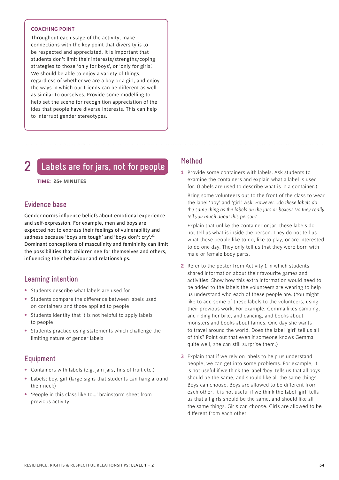#### **COACHING POINT**

Throughout each stage of the activity, make connections with the key point that diversity is to be respected and appreciated. It is important that students don't limit their interests/strengths/coping strategies to those 'only for boys', or 'only for girls'. We should be able to enjoy a variety of things, regardless of whether we are a boy or a girl, and enjoy the ways in which our friends can be different as well as similar to ourselves. Provide some modelling to help set the scene for recognition appreciation of the idea that people have diverse interests. This can help to interrupt gender stereotypes.

# **2 Labels are for jars, not for people**

**TIME: 25+ MINUTES**

### **Evidence base**

Gender norms influence beliefs about emotional experience and self-expression. For example, men and boys are expected not to express their feelings of vulnerability and sadness because 'boys are tough' and 'boys don't cry'.<sup>22</sup> Dominant conceptions of masculinity and femininity can limit the possibilities that children see for themselves and others, influencing their behaviour and relationships.

#### **Learning intention**

- Students describe what labels are used for
- Students compare the difference between labels used on containers and those applied to people
- Students identify that it is not helpful to apply labels to people
- Students practice using statements which challenge the limiting nature of gender labels

### **Equipment**

- Containers with labels (e.g. jam jars, tins of fruit etc.)
- Labels: boy, girl (large signs that students can hang around their neck)
- 'People in this class like to…' brainstorm sheet from previous activity

#### **Method**

**1** Provide some containers with labels. Ask students to examine the containers and explain what a label is used for. (Labels are used to describe what is in a container.) Bring some volunteers out to the front of the class to wear the label 'boy' and 'girl'. Ask: *However...do these labels do the same thing as the labels on the jars or boxes? Do they really tell you much about this person?* 

 Explain that unlike the container or jar, these labels do not tell us what is inside the person. They do not tell us what these people like to do, like to play, or are interested to do one day. They only tell us that they were born with male or female body parts.

- **2** Refer to the poster from Activity 1 in which students shared information about their favourite games and activities. Show how this extra information would need to be added to the labels the volunteers are wearing to help us understand who each of these people are. (You might like to add some of these labels to the volunteers, using their previous work. For example, Gemma likes camping, and riding her bike, and dancing, and books about monsters and books about fairies. One day she wants to travel around the world. Does the label 'girl' tell us all of this? Point out that even if someone knows Gemma quite well, she can still surprise them.)
- **3** Explain that if we rely on labels to help us understand people, we can get into some problems. For example, it is not useful if we think the label 'boy' tells us that all boys should be the same, and should like all the same things. Boys can choose. Boys are allowed to be different from each other. It is not useful if we think the label 'girl' tells us that all girls should be the same, and should like all the same things. Girls can choose. Girls are allowed to be different from each other.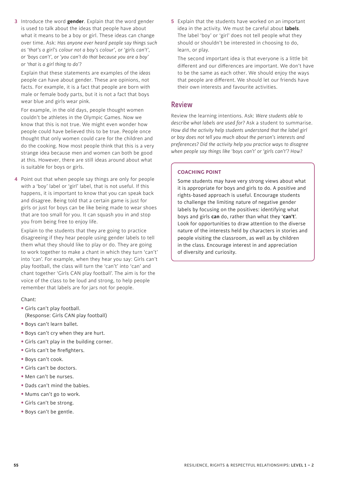**3** Introduce the word **gender**. Explain that the word gender is used to talk about the ideas that people have about what it means to be a boy or girl. These ideas can change over time. Ask: *Has anyone ever heard people say things such as 'that's a girl's colour not a boy's colour', or 'girls can't', or 'boys can't', or 'you can't do that because you are a boy' or 'that is a girl thing to do'?*

 Explain that these statements are examples of the *ideas* people can have about gender. These are opinions, not facts. For example, it is a fact that people are born with male or female body parts, but it is not a fact that boys wear blue and girls wear pink.

 For example, in the old days, people thought women couldn't be athletes in the Olympic Games. Now we know that this is not true. We might even wonder how people could have believed this to be true. People once thought that only women could care for the children and do the cooking. Now most people think that this is a very strange idea because men and women can both be good at this. However, there are still ideas around about what is suitable for boys or girls.

**4** Point out that when people say things are only for people with a 'boy' label or 'girl' label, that is not useful. If this happens, it is important to know that you can speak back and disagree. Being told that a certain game is just for girls or just for boys can be like being made to wear shoes that are too small for you. It can squash you in and stop you from being free to enjoy life.

 Explain to the students that they are going to practice disagreeing if they hear people using gender labels to tell them what they should like to play or do. They are going to work together to make a chant in which they turn 'can't' into 'can'. For example, when they hear you say: Girls can't play football, the class will turn the 'can't' into 'can' and chant together 'Girls CAN play football'. The aim is for the voice of the class to be loud and strong, to help people remember that labels are for jars not for people.

#### Chant:

- Girls can't play football. (Response: Girls CAN play football)
- Boys can't learn ballet.
- Boys can't cry when they are hurt.
- Girls can't play in the building corner.
- Girls can't be firefighters.
- Boys can't cook.
- Girls can't be doctors.
- Men can't be nurses.
- Dads can't mind the babies.
- Mums can't go to work.
- Girls can't be strong.
- Boys can't be gentle.

**5** Explain that the students have worked on an important idea in the activity. We must be careful about **labels**. The label 'boy' or 'girl' does not tell people what they should or shouldn't be interested in choosing to do, learn, or play.

 The second important idea is that everyone is a little bit different and our differences are important. We don't have to be the same as each other. We should enjoy the ways that people are different. We should let our friends have their own interests and favourite activities.

#### **Review**

Review the learning intentions. Ask: *Were students able to describe what labels are used for?* Ask a student to summarise. *How did the activity help students understand that the label girl or boy does not tell you much about the person's interests and preferences? Did the activity help you practice ways to disagree when people say things like 'boys can't' or 'girls can't'? How?*

#### **COACHING POINT**

Some students may have very strong views about what it is appropriate for boys and girls to do. A positive and rights-based approach is useful. Encourage students to challenge the limiting nature of negative gender labels by focusing on the positives: identifying what boys and girls **can** do, rather than what they '**can't**'. Look for opportunities to draw attention to the diverse nature of the interests held by characters in stories and people visiting the classroom, as well as by children in the class. Encourage interest in and appreciation of diversity and curiosity.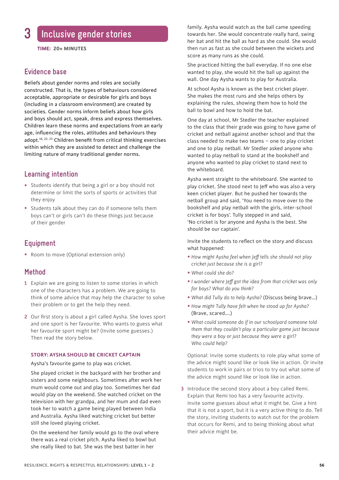**TIME: 20+ MINUTES**

#### **Evidence base**

Beliefs about gender norms and roles are socially constructed. That is, the types of behaviours considered acceptable, appropriate or desirable for girls and boys (including in a classroom environment) are created by societies. Gender norms inform beliefs about how girls and boys should act, speak, dress and express themselves. Children learn these norms and expectations from an early age, influencing the roles, attitudes and behaviours they adopt.16, 22, 23 Children benefit from critical thinking exercises within which they are assisted to detect and challenge the limiting nature of many traditional gender norms.

## **Learning intention**

- Students identify that being a girl or a boy should not determine or limit the sorts of sports or activities that they enjoy
- Students talk about they can do if someone tells them boys can't or girls can't do these things just because of their gender

## **Equipment**

• Room to move (Optional extension only)

## **Method**

- **1** Explain we are going to listen to some stories in which one of the characters has a problem. We are going to think of some advice that may help the character to solve their problem or to get the help they need.
- **2** Our first story is about a girl called Aysha. She loves sport and one sport is her favourite. Who wants to guess what her favourite sport might be? (Invite some guesses.) Then read the story below.

#### **STORY: AYSHA SHOULD BE CRICKET CAPTAIN**

Aysha's favourite game to play was cricket.

She played cricket in the backyard with her brother and sisters and some neighbours. Sometimes after work her mum would come out and play too. Sometimes her dad would play on the weekend. She watched cricket on the television with her grandpa, and her mum and dad even took her to watch a game being played between India and Australia. Aysha liked watching cricket but better still she loved playing cricket.

On the weekend her family would go to the oval where there was a real cricket pitch. Aysha liked to bowl but she really liked to bat. She was the best batter in her

family. Aysha would watch as the ball came speeding towards her. She would concentrate really hard, swing her bat and hit the ball as hard as she could. She would then run as fast as she could between the wickets and score as many runs as she could.

She practiced hitting the ball everyday. If no one else wanted to play, she would hit the ball up against the wall. One day Aysha wants to play for Australia.

At school Aysha is known as the best cricket player. She makes the most runs and she helps others by explaining the rules, showing them how to hold the ball to bowl and how to hold the bat.

One day at school, Mr Stedler the teacher explained to the class that their grade was going to have game of cricket and netball against another school and that the class needed to make two teams – one to play cricket and one to play netball. Mr Stedler asked anyone who wanted to play netball to stand at the bookshelf and anyone who wanted to play cricket to stand next to the whiteboard.

Aysha went straight to the whiteboard. She wanted to play cricket. She stood next to Jeff who was also a very keen cricket player. But he pushed her towards the netball group and said, 'You need to move over to the bookshelf and play netball with the girls, inter-school cricket is for boys'. Tully stepped in and said, 'No cricket is for anyone and Aysha is the best. She should be our captain'.

Invite the students to reflect on the story and discuss what happened:

- *How might Aysha feel when Jeff tells she should not play cricket just because she is a girl?*
- *What could she do?*
- •*I wonder where Jeff got the idea from that cricket was only for boys? What do you think?*
- *What did Tully do to help Aysha?* (Discuss being brave…)
- • *How might Tully have felt when he stood up for Aysha?*  (Brave, scared….)
- • *What could someone do if in our schoolyard someone told them that they couldn't play a particular game just because they were a boy or just because they were a girl? Who could help?*

 Optional: Invite some students to role play what some of the advice might sound like or look like in action. Or invite students to work in pairs or trios to try out what some of the advice might sound like or look like in action.

**3** Introduce the second story about a boy called Remi. Explain that Remi too has a very favourite activity. Invite some guesses about what it might be. Give a hint that it is not a sport, but it is a very active thing to do. Tell the story, inviting students to watch out for the problem that occurs for Remi, and to being thinking about what their advice might be.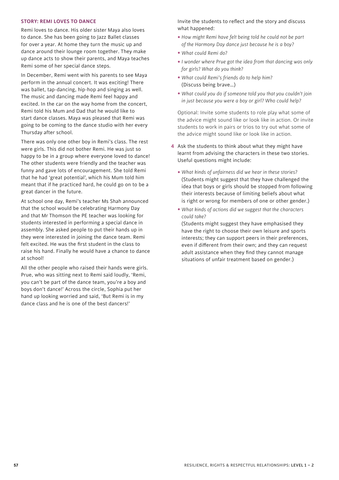#### **STORY: REMI LOVES TO DANCE**

Remi loves to dance. His older sister Maya also loves to dance. She has been going to Jazz Ballet classes for over a year. At home they turn the music up and dance around their lounge room together. They make up dance acts to show their parents, and Maya teaches Remi some of her special dance steps.

In December, Remi went with his parents to see Maya perform in the annual concert. It was exciting! There was ballet, tap-dancing, hip-hop and singing as well. The music and dancing made Remi feel happy and excited. In the car on the way home from the concert, Remi told his Mum and Dad that he would like to start dance classes. Maya was pleased that Remi was going to be coming to the dance studio with her every Thursday after school.

There was only one other boy in Remi's class. The rest were girls. This did not bother Remi. He was just so happy to be in a group where everyone loved to dance! The other students were friendly and the teacher was funny and gave lots of encouragement. She told Remi that he had 'great potential', which his Mum told him meant that if he practiced hard, he could go on to be a great dancer in the future.

At school one day, Remi's teacher Ms Shah announced that the school would be celebrating Harmony Day and that Mr Thomson the PE teacher was looking for students interested in performing a special dance in assembly. She asked people to put their hands up in they were interested in joining the dance team. Remi felt excited. He was the first student in the class to raise his hand. Finally he would have a chance to dance at school!

All the other people who raised their hands were girls. Prue, who was sitting next to Remi said loudly, 'Remi, you can't be part of the dance team, you're a boy and boys don't dance!' Across the circle, Sophia put her hand up looking worried and said, 'But Remi is in my dance class and he is one of the best dancers!'

Invite the students to reflect and the story and discuss what happened:

- *How might Remi have felt being told he could not be part of the Harmony Day dance just because he is a boy?*
- *What could Remi do?*
- • *I wonder where Prue got the idea from that dancing was only for girls? What do you think?*
- • *What could Remi's friends do to help him?* (Discuss being brave…)
- *What could you do if someone told you that you couldn't join in just because you were a boy or girl? Who could help?*

 Optional: Invite some students to role play what some of the advice might sound like or look like in action. Or invite students to work in pairs or trios to try out what some of the advice might sound like or look like in action.

- **4** Ask the students to think about what they might have learnt from advising the characters in these two stories. Useful questions might include:
	- *What kinds of unfairness did we hear in these stories?*  (Students might suggest that they have challenged the idea that boys or girls should be stopped from following their interests because of limiting beliefs about what is right or wrong for members of one or other gender.)
	- *What kinds of actions did we suggest that the characters could take?*

(Students might suggest they have emphasised they have the right to choose their own leisure and sports interests; they can support peers in their preferences, even if different from their own; and they can request adult assistance when they find they cannot manage situations of unfair treatment based on gender.)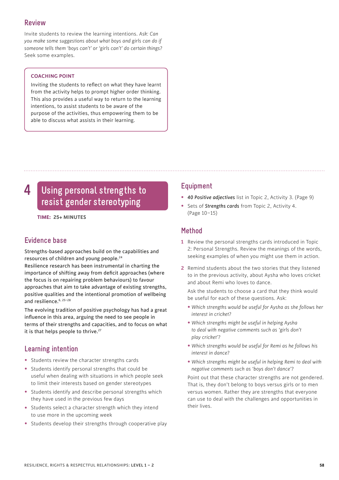### **Review**

Invite students to review the learning intentions. *Ask: Can you make some suggestions about what boys and girls can do if someone tells them 'boys can't' or 'girls can't' do certain things?* Seek some examples.

#### **COACHING POINT**

Inviting the students to reflect on what they have learnt from the activity helps to prompt higher order thinking. This also provides a useful way to return to the learning intentions, to assist students to be aware of the purpose of the activities, thus empowering them to be able to discuss what assists in their learning.

# **Using personal strengths to resist gender stereotyping**

**TIME: 25+ MINUTES**

## **Evidence base**

**4**

Strengths-based approaches build on the capabilities and resources of children and young people.24

Resilience research has been instrumental in charting the importance of shifting away from deficit approaches (where the focus is on repairing problem behaviours) to favour approaches that aim to take advantage of existing strengths, positive qualities and the intentional promotion of wellbeing and resilience.<sup>6, 25-28</sup>

The evolving tradition of positive psychology has had a great influence in this area, arguing the need to see people in terms of their strengths and capacities, and to focus on what it is that helps people to thrive.<sup>27</sup>

## **Learning intention**

- Students review the character strengths cards
- Students identify personal strengths that could be useful when dealing with situations in which people seek to limit their interests based on gender stereotypes
- Students identify and describe personal strengths which they have used in the previous few days
- Students select a character strength which they intend to use more in the upcoming week
- Students develop their strengths through cooperative play

## **Equipment**

- *40 Positive adjectives* list in Topic 2, Activity 3. (Page 9)
- Sets of *Strengths cards* from Topic 2, Activity 4. (Page 10–15)

### **Method**

- **1** Review the personal strengths cards introduced in Topic 2: Personal Strengths. Review the meanings of the words, seeking examples of when you might use them in action.
- **2** Remind students about the two stories that they listened to in the previous activity, about Aysha who loves cricket and about Remi who loves to dance.

 Ask the students to choose a card that they think would be useful for each of these questions. Ask:

- *Which strengths would be useful for Aysha as she follows her interest in cricket?*
- • *Which strengths might be useful in helping Aysha to deal with negative comments such as 'girls don't play cricket'?*
- • *Which strengths would be useful for Remi as he follows his interest in dance?*
- • *Which strengths might be useful in helping Remi to deal with negative comments such as 'boys don't dance'?*

 Point out that these character strengths are not gendered. That is, they don't belong to boys versus girls or to men versus women. Rather they are strengths that everyone can use to deal with the challenges and opportunities in their lives.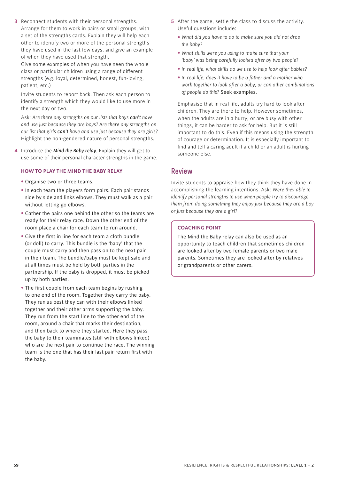**3** Reconnect students with their personal strengths. Arrange for them to work in pairs or small groups, with a set of the strengths cards. Explain they will help each other to identify two or more of the personal strengths they have used in the last few days, and give an example of when they have used that strength.

Give some examples of when you have seen the whole class or particular children using a range of different strengths (e.g. loyal, determined, honest, fun-loving, patient, etc.)

 Invite students to report back. Then ask each person to identify a strength which they would like to use more in the next day or two.

 Ask: *Are there any strengths on our lists that boys can't have and use just because they are boys? Are there any strengths on our list that girls can't have and use just because they are girls?* Highlight the non-gendered nature of personal strengths.

**4** Introduce the *Mind the Baby relay*. Explain they will get to use some of their personal character strengths in the game.

#### **HOW TO PLAY THE MIND THE BABY RELAY**

- Organise two or three teams.
- In each team the players form pairs. Each pair stands side by side and links elbows. They must walk as a pair without letting go elbows.
- Gather the pairs one behind the other so the teams are ready for their relay race. Down the other end of the room place a chair for each team to run around.
- Give the first in line for each team a cloth bundle (or doll) to carry. This bundle is the 'baby' that the couple must carry and then pass on to the next pair in their team. The bundle/baby must be kept safe and at all times must be held by both parties in the partnership. If the baby is dropped, it must be picked up by both parties.
- The first couple from each team begins by rushing to one end of the room. Together they carry the baby. They run as best they can with their elbows linked together and their other arms supporting the baby. They run from the start line to the other end of the room, around a chair that marks their destination, and then back to where they started. Here they pass the baby to their teammates (still with elbows linked) who are the next pair to continue the race. The winning team is the one that has their last pair return first with the baby.
- **5** After the game, settle the class to discuss the activity. Useful questions include:
	- *What did you have to do to make sure you did not drop the baby?*
	- • *What skills were you using to make sure that your 'baby' was being carefully looked after by two people?*
	- • *In real life, what skills do we use to help look after babies?*
	- • *In real life, does it have to be a father and a mother who work together to look after a baby, or can other combinations of people do this?* Seek examples.

 Emphasise that in real life, adults try hard to look after children. They are there to help. However sometimes, when the adults are in a hurry, or are busy with other things, it can be harder to ask for help. But it is still important to do this. Even if this means using the strength of courage or determination. It is especially important to find and tell a caring adult if a child or an adult is hurting someone else.

#### **Review**

Invite students to appraise how they think they have done in accomplishing the learning intentions. Ask: *Were they able to identify personal strengths to use when people try to discourage them from doing something they enjoy just because they are a boy or just because they are a girl?*

#### **COACHING POINT**

The Mind the Baby relay can also be used as an opportunity to teach children that sometimes children are looked after by two female parents or two male parents. Sometimes they are looked after by relatives or grandparents or other carers.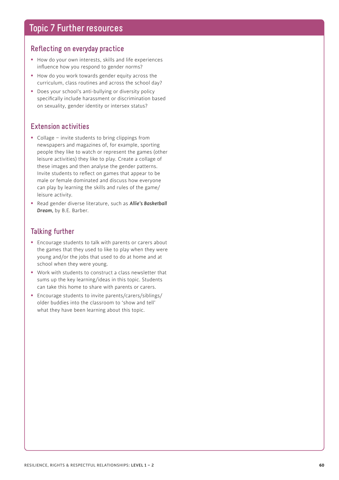## **Reflecting on everyday practice**

- How do your own interests, skills and life experiences influence how you respond to gender norms?
- How do you work towards gender equity across the curriculum, class routines and across the school day?
- Does your school's anti-bullying or diversity policy specifically include harassment or discrimination based on sexuality, gender identity or intersex status?

## **Extension activities**

- Collage invite students to bring clippings from newspapers and magazines of, for example, sporting people they like to watch or represent the games (other leisure activities) they like to play. Create a collage of these images and then analyse the gender patterns. Invite students to reflect on games that appear to be male or female dominated and discuss how everyone can play by learning the skills and rules of the game/ leisure activity.
- Read gender diverse literature, such as *Allie's Basketball Dream,* by B.E*.* Barber*.*

## **Talking further**

- Encourage students to talk with parents or carers about the games that they used to like to play when they were young and/or the jobs that used to do at home and at school when they were young.
- Work with students to construct a class newsletter that sums up the key learning/ideas in this topic. Students can take this home to share with parents or carers.
- Encourage students to invite parents/carers/siblings/ older buddies into the classroom to 'show and tell' what they have been learning about this topic.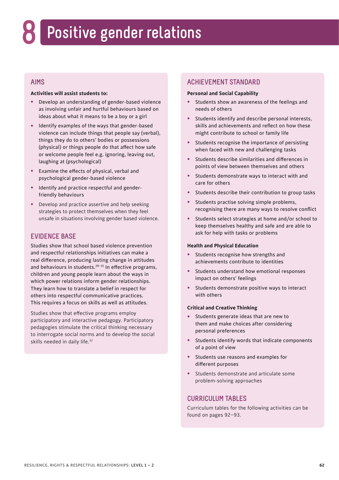# **8 Positive gender relations**

## **AIMS**

#### **Activities will assist students to:**

- Develop an understanding of gender-based violence as involving unfair and hurtful behaviours based on ideas about what it means to be a boy or a girl
- Identify examples of the ways that gender-based violence can include things that people say (verbal), things they do to others' bodies or possessions (physical) or things people do that affect how safe or welcome people feel e.g. ignoring, leaving out, laughing at (psychological)
- Examine the effects of physical, verbal and psychological gender-based violence
- Identify and practice respectful and genderfriendly behaviours
- Develop and practice assertive and help seeking strategies to protect themselves when they feel unsafe in situations involving gender based violence.

## **EVIDENCE BASE**

Studies show that school based violence prevention and respectful relationships initiatives can make a real difference, producing lasting change in attitudes and behaviours in students. $29-31$  In effective programs, children and young people learn about the ways in which power relations inform gender relationships. They learn how to translate a belief in respect for others into respectful communicative practices. This requires a focus on skills as well as attitudes.

Studies show that effective programs employ participatory and interactive pedagogy. Participatory pedagogies stimulate the critical thinking necessary to interrogate social norms and to develop the social skills needed in daily life.<sup>32</sup>

### **ACHIEVEMENT STANDARD**

#### **Personal and Social Capability**

- Students show an awareness of the feelings and needs of others
- Students identify and describe personal interests, skills and achievements and reflect on how these might contribute to school or family life
- Students recognise the importance of persisting when faced with new and challenging tasks
- Students describe similarities and differences in points of view between themselves and others
- Students demonstrate ways to interact with and care for others
- Students describe their contribution to group tasks
- Students practise solving simple problems, recognising there are many ways to resolve conflict
- Students select strategies at home and/or school to keep themselves healthy and safe and are able to ask for help with tasks or problems

#### **Health and Physical Education**

- Students recognise how strengths and achievements contribute to identities
- Students understand how emotional responses impact on others' feelings
- Students demonstrate positive ways to interact with others

#### **Critical and Creative Thinking**

- Students generate ideas that are new to them and make choices after considering personal preferences
- Students identify words that indicate components of a point of view
- Students use reasons and examples for different purposes
- Students demonstrate and articulate some problem-solving approaches

### **CURRICULUM TABLES**

Curriculum tables for the following activities can be found on pages 92–93.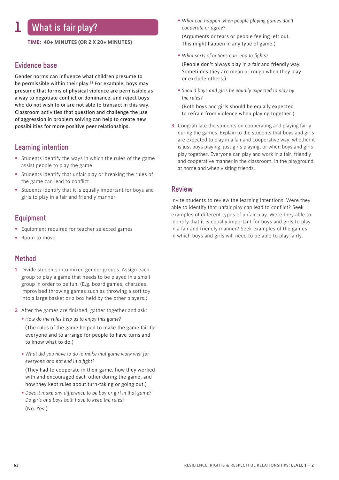# **1 What is fair play?**

**TIME: 40+ MINUTES (OR 2 X 20+ MINUTES)**

## **Evidence base**

Gender norms can influence what children presume to be permissible within their play.<sup>33</sup> For example, boys may presume that forms of physical violence are permissible as a way to negotiate conflict or dominance, and reject boys who do not wish to or are not able to transact in this way. Classroom activities that question and challenge the use of aggression in problem solving can help to create new possibilities for more positive peer relationships.

## **Learning intention**

- Students identify the ways in which the rules of the game assist people to play the game
- Students identify that unfair play or breaking the rules of the game can lead to conflict
- Students identify that it is equally important for boys and girls to play in a fair and friendly manner

## **Equipment**

- Equipment required for teacher selected games
- Room to move

## **Method**

- **1** Divide students into mixed gender groups. Assign each group to play a game that needs to be played in a small group in order to be fun. (E.g. board games, charades, improvised throwing games such as throwing a soft toy into a large basket or a box held by the other players.)
- **2** After the games are finished, gather together and ask:
	- *How do the rules help us to enjoy this game?*

 (The rules of the game helped to make the game fair for everyone and to arrange for people to have turns and to know what to do.)

• *What did you have to do to make that game work well for everyone and not end in a fight?* 

 (They had to cooperate in their game, how they worked with and encouraged each other during the game, and how they kept rules about turn-taking or going out.)

• *Does it make any difference to be boy or girl in that game? Do girls and boys both have to keep the rules?* 

(No. Yes.)

• *What can happen when people playing games don't cooperate or agree?* 

 (Arguments or tears or people feeling left out. This might happen in any type of game.)

• *What sorts of actions can lead to fights?* 

 (People don't always play in a fair and friendly way. Sometimes they are mean or rough when they play or exclude others.)

• *Should boys and girls be equally expected to play by the rules?* 

 (Both boys and girls should be equally expected to refrain from violence when playing together.)

**3** Congratulate the students on cooperating and playing fairly during the games. Explain to the students that boys and girls are expected to play in a fair and cooperative way, whether it is just boys playing, just girls playing, or when boys and girls play together. Everyone can play and work in a fair, friendly and cooperative manner in the classroom, in the playground, at home and when visiting friends.

## **Review**

Invite students to review the learning intentions. Were they able to identify that unfair play can lead to conflict? Seek examples of different types of unfair play. Were they able to identify that it is equally important for boys and girls to play in a fair and friendly manner? Seek examples of the games in which boys and girls will need to be able to play fairly.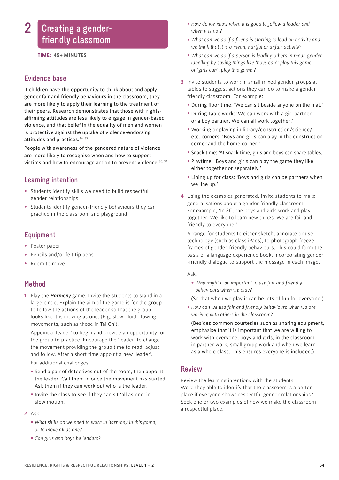# **Creating a genderfriendly classroom**

#### **TIME: 45+ MINUTES**

## **Evidence base**

If children have the opportunity to think about and apply gender fair and friendly behaviours in the classroom, they are more likely to apply their learning to the treatment of their peers. Research demonstrates that those with rightsaffirming attitudes are less likely to engage in gender-based violence, and that belief in the equality of men and women is protective against the uptake of violence-endorsing attitudes and practices.34, 35

People with awareness of the gendered nature of violence are more likely to recognise when and how to support victims and how to encourage action to prevent violence.<sup>36, 37</sup>

## **Learning intention**

- Students identify skills we need to build respectful gender relationships
- Students identify gender-friendly behaviours they can practice in the classroom and playground

## **Equipment**

- Poster paper
- Pencils and/or felt tip pens
- Room to move

## **Method**

**1** Play the *Harmony* game. Invite the students to stand in a large circle. Explain the aim of the game is for the group to follow the actions of the leader so that the group looks like it is moving as one. (E.g. slow, fluid, flowing movements, such as those in Tai Chi).

 Appoint a 'leader' to begin and provide an opportunity for the group to practice. Encourage the 'leader' to change the movement providing the group time to read, adjust and follow. After a short time appoint a new 'leader'.

For additional challenges:

- Send a pair of detectives out of the room, then appoint the leader. Call them in once the movement has started. Ask them if they can work out who is the leader.
- Invite the class to see if they can sit 'all as one' in slow motion.
- **2** Ask:
	- *What skills do we need to work in harmony in this game, or to move all as one?*
	- *Can girls and boys be leaders?*
- *How do we know when it is good to follow a leader and when it is not?*
- *What can we do if a friend is starting to lead an activity and we think that it is a mean, hurtful or unfair activity?*
- *What can we do if a person is leading others in mean gender labelling by saying things like 'boys can't play this game' or 'girls can't play this game'?*
- **3** Invite students to work in small mixed gender groups at tables to suggest actions they can do to make a gender friendly classroom. For example:
	- During floor time: 'We can sit beside anyone on the mat.'
	- During Table work: 'We can work with a girl partner or a boy partner. We can all work together.'
	- Working or playing in library/construction/science/ etc. corners: 'Boys and girls can play in the construction corner and the home corner.'
	- Snack time: 'At snack time, girls and boys can share tables.'
	- Playtime: 'Boys and girls can play the game they like, either together or separately.'
	- Lining up for class: 'Boys and girls can be partners when we line up.'
- **4** Using the examples generated, invite students to make generalisations about a gender friendly classroom. For example, 'In 2C, the boys and girls work and play together. We like to learn new things. We are fair and friendly to everyone.'

 Arrange for students to either sketch, annotate or use technology (such as class iPads), to photograph freezeframes of gender-friendly behaviours. This could form the basis of a language experience book, incorporating gender -friendly dialogue to support the message in each image.

Ask:

• *Why might it be important to use fair and friendly behaviours when we play?* 

(So that when we play it can be lots of fun for everyone.)

• *How can we use fair and friendly behaviours when we are working with others in the classroom?* 

 (Besides common courtesies such as sharing equipment, emphasise that it is important that we are willing to work with everyone, boys and girls, in the classroom in partner work, small group work and when we learn as a whole class. This ensures everyone is included.)

## **Review**

Review the learning intentions with the students. Were they able to identify that the classroom is a better place if everyone shows respectful gender relationships? Seek one or two examples of how we make the classroom a respectful place.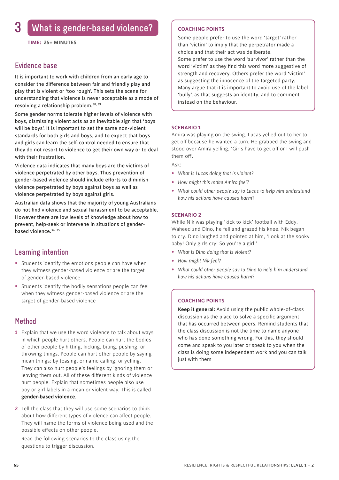**TIME: 25+ MINUTES**

## **Evidence base**

It is important to work with children from an early age to consider the difference between fair and friendly play and play that is violent or 'too rough'. This sets the scene for understanding that violence is never acceptable as a mode of resolving a relationship problem.38, 39

Some gender norms tolerate higher levels of violence with boys, dismissing violent acts as an inevitable sign that 'boys will be boys'. It is important to set the same non-violent standards for both girls and boys, and to expect that boys and girls can learn the self-control needed to ensure that they do not resort to violence to get their own way or to deal with their frustration.

Violence data indicates that many boys are the victims of violence perpetrated by other boys. Thus prevention of gender-based violence should include efforts to diminish violence perpetrated by boys against boys as well as violence perpetrated by boys against girls.

Australian data shows that the majority of young Australians do not find violence and sexual harassment to be acceptable. However there are low levels of knowledge about how to prevent, help-seek or intervene in situations of genderbased violence.<sup>34, 35</sup>

## **Learning intention**

- Students identify the emotions people can have when they witness gender-based violence or are the target of gender-based violence
- Students identify the bodily sensations people can feel when they witness gender-based violence or are the target of gender-based violence

#### **Method**

- **1** Explain that we use the word violence to talk about ways in which people hurt others. People can hurt the bodies of other people by hitting, kicking, biting, pushing, or throwing things. People can hurt other people by saying mean things: by teasing, or name calling, or yelling. They can also hurt people's feelings by ignoring them or leaving them out. All of these different kinds of violence hurt people. Explain that sometimes people also use boy or girl labels in a mean or violent way. This is called **gender-based violence**.
- **2** Tell the class that they will use some scenarios to think about how different types of violence can affect people. They will name the forms of violence being used and the possible effects on other people.

 Read the following scenarios to the class using the questions to trigger discussion.

#### **COACHING POINTS**

Some people prefer to use the word 'target' rather than 'victim' to imply that the perpetrator made a choice and that their act was deliberate.

Some prefer to use the word 'survivor' rather than the word 'victim' as they find this word more suggestive of strength and recovery. Others prefer the word 'victim' as suggesting the innocence of the targeted party. Many argue that it is important to avoid use of the label 'bully', as that suggests an identity, and to comment instead on the behaviour.

#### **SCENARIO 1**

Amira was playing on the swing. Lucas yelled out to her to get off because he wanted a turn. He grabbed the swing and stood over Amira yelling, 'Girls have to get off or I will push them off'.

Ask:

- *What is Lucas doing that is violent?*
- *How might this make Amira feel?*
- *What could other people say to Lucas to help him understand how his actions have caused harm?*

#### **SCENARIO 2**

While Nik was playing 'kick to kick' football with Eddy, Waheed and Dino, he fell and grazed his knee. Nik began to cry. Dino laughed and pointed at him, 'Look at the sooky baby! Only girls cry! So you're a girl!'

- *What is Dino doing that is violent?*
- *How might Nik feel?*
- *What could other people say to Dino to help him understand how his actions have caused harm?*

#### **COACHING POINTS**

**Keep it general:** Avoid using the public whole-of-class discussion as the place to solve a specific argument that has occurred between peers. Remind students that the class discussion is not the time to name anyone who has done something wrong. For this, they should come and speak to you later or speak to you when the class is doing some independent work and you can talk just with them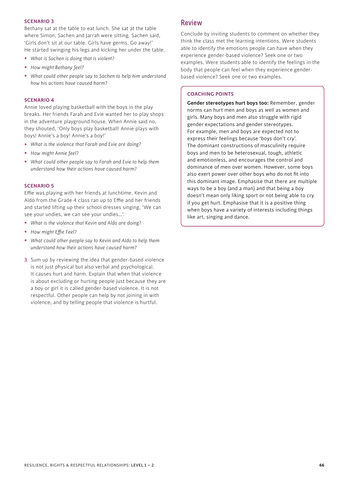#### **SCENARIO 3**

Bethany sat at the table to eat lunch. She sat at the table where Simon, Sachen and Jarrah were sitting. Sachen said, 'Girls don't sit at our table. Girls have germs. Go away!' He started swinging his legs and kicking her under the table.

- *What is Sachen is doing that is violent?*
- *How might Bethany feel?*
- *What could other people say to Sachen to help him understand how his actions have caused harm?*

#### **SCENARIO 4**

Annie loved playing basketball with the boys in the play breaks. Her friends Farah and Evie wanted her to play shops in the adventure playground house. When Annie said no, they shouted, 'Only boys play basketball! Annie plays with boys! Annie's a boy! Annie's a boy!'

- *What is the violence that Farah and Evie are doing?*
- *How might Annie feel?*
- *What could other people say to Farah and Evie to help them understand how their actions have caused harm?*

#### **SCENARIO 5**

Effie was playing with her friends at lunchtime. Kevin and Aldo from the Grade 4 class ran up to Effie and her friends and started lifting up their school dresses singing, 'We can see your undies, we can see your undies…'.

- *What is the violence that Kevin and Aldo are doing?*
- *How might Effie Feel?*
- *What could other people say to Kevin and Aldo to help them understand how their actions have caused harm?*
- **3** Sum up by reviewing the idea that gender-based violence is not just physical but also verbal and psychological. It causes hurt and harm. Explain that when that violence is about excluding or hurting people just because they are a boy or girl it is called gender-based violence. It is not respectful. Other people can help by not joining in with violence, and by telling people that violence is hurtful.

#### **Review**

Conclude by inviting students to comment on whether they think the class met the learning intentions. Were students able to identify the emotions people can have when they experience gender-based violence? Seek one or two examples. Were students able to identify the feelings in the body that people can feel when they experience genderbased violence? Seek one or two examples.

#### **COACHING POINTS**

**Gender stereotypes hurt boys too:** Remember, gender norms can hurt men and boys as well as women and girls. Many boys and men also struggle with rigid gender expectations and gender stereotypes. For example, men and boys are expected not to express their feelings because 'boys don't cry'. The dominant constructions of masculinity require boys and men to be heterosexual, tough, athletic and emotionless, and encourages the control and dominance of men over women. However, some boys also exert power over other boys who do not fit into this dominant image. Emphasise that there are multiple ways to be a boy (and a man) and that being a boy doesn't mean only liking sport or not being able to cry if you get hurt. Emphasise that it is a positive thing when boys have a variety of interests including things like art, singing and dance.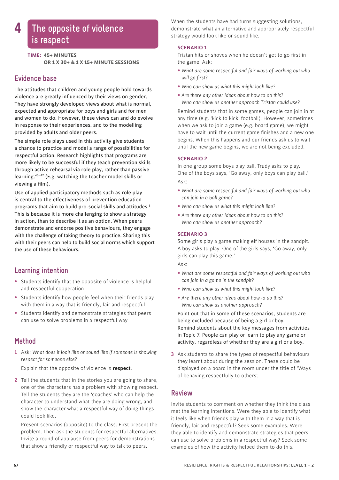## **The opposite of violence is respect**

#### **TIME: 45+ MINUTES OR 1 X 30+ & 1 X 15+ MINUTE SESSIONS**

## **Evidence base**

**4**

The attitudes that children and young people hold towards violence are greatly influenced by their views on gender. They have strongly developed views about what is normal, expected and appropriate for boys and girls and for men and women to do. However, these views can and do evolve in response to their experiences, and to the modelling provided by adults and older peers.

The simple role plays used in this activity give students a chance to practice and model a range of possibilities for respectful action. Research highlights that programs are more likely to be successful if they teach prevention skills through active rehearsal via role play, rather than passive learning.40–42 (E.g. watching the teacher model skills or viewing a film).

Use of applied participatory methods such as role play is central to the effectiveness of prevention education programs that aim to build pro-social skills and attitudes.<sup>5</sup> This is because it is more challenging to show a strategy in action, than to describe it as an option. When peers demonstrate and endorse positive behaviours, they engage with the challenge of taking theory to practice. Sharing this with their peers can help to build social norms which support the use of these behaviours.

## **Learning intention**

- Students identify that the opposite of violence is helpful and respectful cooperation
- Students identify how people feel when their friends play with them in a way that is friendly, fair and respectful
- Students identify and demonstrate strategies that peers can use to solve problems in a respectful way

## **Method**

**1** Ask: *What does it look like or sound like if someone is showing respect for someone else?*

Explain that the opposite of violence is **respect**.

**2** Tell the students that in the stories you are going to share, one of the characters has a problem with showing respect. Tell the students they are the 'coaches' who can help the character to understand what they are doing wrong, and show the character what a respectful way of doing things could look like.

 Present scenarios (opposite) to the class. First present the problem. Then ask the students for respectful alternatives. Invite a round of applause from peers for demonstrations that show a friendly or respectful way to talk to peers.

When the students have had turns suggesting solutions, demonstrate what an alternative and appropriately respectful strategy would look like or sound like.

#### **SCENARIO 1**

Tristan hits or shoves when he doesn't get to go first in the game. Ask:

- *What are some respectful and fair ways of working out who will go first?*
- *Who can show us what this might look like?*
- *Are there any other ideas about how to do this? Who can show us another approach Tristan could use?*

 Remind students that in some games, people can join in at any time (e.g. 'kick to kick' football). However, sometimes when we ask to join a game (e.g. board game), we might have to wait until the current game finishes and a new one begins. When this happens and our friends ask us to wait until the new game begins, we are not being excluded.

#### **SCENARIO 2**

 In one group some boys play ball. Trudy asks to play. One of the boys says, 'Go away, only boys can play ball.' Ask:

- *What are some respectful and fair ways of working out who can join in a ball game?*
- *Who can show us what this might look like?*
- *Are there any other ideas about how to do this? Who can show us another approach?*

#### **SCENARIO 3**

 Some girls play a game making elf houses in the sandpit. A boy asks to play. One of the girls says, 'Go away, only girls can play this game.'

Ask:

- *What are some respectful and fair ways of working out who can join in a game in the sandpit?*
- *Who can show us what this might look like?*
- • *Are there any other ideas about how to do this? Who can show us another approach?*

 Point out that in some of these scenarios, students are being excluded because of being a girl or boy. Remind students about the key messages from activities in Topic 7. People can play or learn to play any game or activity, regardless of whether they are a girl or a boy.

**3** Ask students to share the types of respectful behaviours they learnt about during the session. These could be displayed on a board in the room under the title of 'Ways of behaving respectfully to others'.

### **Review**

Invite students to comment on whether they think the class met the learning intentions. Were they able to identify what it feels like when friends play with them in a way that is friendly, fair and respectful? Seek some examples. Were they able to identify and demonstrate strategies that peers can use to solve problems in a respectful way? Seek some examples of how the activity helped them to do this.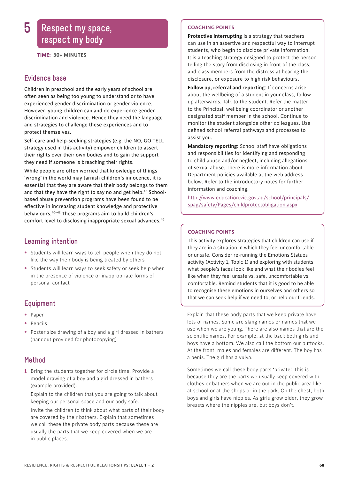# **Respect my space, respect my body**

**TIME: 30+ MINUTES**

## **Evidence base**

Children in preschool and the early years of school are often seen as being too young to understand or to have experienced gender discrimination or gender violence. However, young children can and do experience gender discrimination and violence. Hence they need the language and strategies to challenge these experiences and to protect themselves.

Self-care and help-seeking strategies (e.g. the NO, GO TELL strategy used in this activity) empower children to assert their rights over their own bodies and to gain the support they need if someone is breaching their rights.

While people are often worried that knowledge of things 'wrong' in the world may tarnish children's innocence, it is essential that they are aware that their body belongs to them and that they have the right to say no and get help.<sup>43</sup> Schoolbased abuse prevention programs have been found to be effective in increasing student knowledge and protective behaviours.40–42 These programs aim to build children's comfort level to disclosing inappropriate sexual advances.<sup>40</sup>

## **Learning intention**

- Students will learn ways to tell people when they do not like the way their body is being treated by others
- Students will learn ways to seek safety or seek help when in the presence of violence or inappropriate forms of personal contact

## **Equipment**

- Paper
- Pencils
- Poster size drawing of a boy and a girl dressed in bathers (handout provided for photocopying)

## **Method**

**1** Bring the students together for circle time. Provide a model drawing of a boy and a girl dressed in bathers (example provided).

 Explain to the children that you are going to talk about keeping our personal space and our body safe.

 Invite the children to think about what parts of their body are covered by their bathers. Explain that sometimes we call these the private body parts because these are usually the parts that we keep covered when we are in public places.

#### **COACHING POINTS**

**Protective interrupting** is a strategy that teachers can use in an assertive and respectful way to interrupt students, who begin to disclose private information. It is a teaching strategy designed to protect the person telling the story from disclosing in front of the class; and class members from the distress at hearing the disclosure, or exposure to high risk behaviours.

**Follow up, referral and reporting**: If concerns arise about the wellbeing of a student in your class, follow up afterwards. Talk to the student. Refer the matter to the Principal, wellbeing coordinator or another designated staff member in the school. Continue to monitor the student alongside other colleagues. Use defined school referral pathways and processes to assist you.

**Mandatory reporting**: School staff have obligations and responsibilities for identifying and responding to child abuse and/or neglect, including allegations of sexual abuse. There is more information about Department policies available at the web address below. Refer to the introductory notes for further information and coaching.

<http://www.education.vic.gov.au/school/principals/> spag/safety/Pages/childprotectobligation.aspx

#### **COACHING POINTS**

This activity explores strategies that children can use if they are in a situation in which they feel uncomfortable or unsafe. Consider re-running the Emotions Statues activity (Activity 1, Topic 1) and exploring with students what people's faces look like and what their bodies feel like when they feel unsafe vs. safe, uncomfortable vs. comfortable. Remind students that it is good to be able to recognise these emotions in ourselves and others so that we can seek help if we need to, or help our friends.

 Explain that these body parts that we keep private have lots of names. Some are slang names or names that we use when we are young. There are also names that are the scientific names. For example, at the back both girls and boys have a bottom. We also call the bottom our buttocks. At the front, males and females are different. The boy has a penis. The girl has a vulva.

 Sometimes we call these body parts 'private'. This is because they are the parts we usually keep covered with clothes or bathers when we are out in the public area like at school or at the shops or in the park. On the chest, both boys and girls have nipples. As girls grow older, they grow breasts where the nipples are, but boys don't.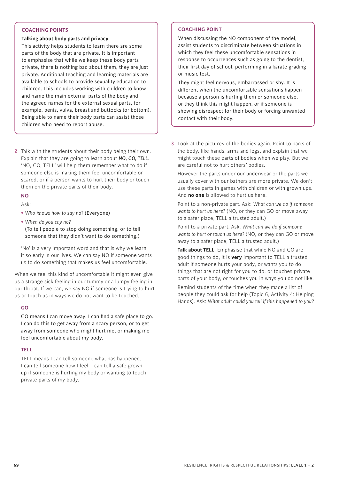#### **COACHING POINTS**

#### **Talking about body parts and privacy**

This activity helps students to learn there are some parts of the body that are private. It is important to emphasise that while we keep these body parts private, there is nothing bad about them, they are just private. Additional teaching and learning materials are available to schools to provide sexuality education to children. This includes working with children to know and name the main external parts of the body and the agreed names for the external sexual parts, for example, penis, vulva, breast and buttocks (or bottom). Being able to name their body parts can assist those children who need to report abuse.

**2** Talk with the students about their body being their own. Explain that they are going to learn about *NO, GO, TELL*. 'NO, GO, TELL' will help them remember what to do if someone else is making them feel uncomfortable or scared, or if a person wants to hurt their body or touch them on the private parts of their body.

#### **NO**

Ask:

- *Who knows how to say no?* (Everyone)
- *When do you say no?* (To tell people to stop doing something, or to tell someone that they didn't want to do something.)

 'No' is a very important word and that is why we learn it so early in our lives. We can say NO if someone wants us to do something that makes us feel uncomfortable.

When we feel this kind of uncomfortable it might even give us a strange sick feeling in our tummy or a lumpy feeling in our throat. If we can, we say NO if someone is trying to hurt us or touch us in ways we do not want to be touched.

#### **GO**

GO means I can move away. I can find a safe place to go. I can do this to get away from a scary person, or to get away from someone who might hurt me, or making me feel uncomfortable about my body.

#### **TELL**

 TELL means I can tell someone what has happened. I can tell someone how I feel. I can tell a safe grown up if someone is hurting my body or wanting to touch private parts of my body.

#### **COACHING POINT**

When discussing the NO component of the model, assist students to discriminate between situations in which they feel these uncomfortable sensations in response to occurrences such as going to the dentist, their first day of school, performing in a karate grading or music test.

They might feel nervous, embarrassed or shy. It is different when the uncomfortable sensations happen because a person is hurting them or someone else, or they think this might happen, or if someone is showing disrespect for their body or forcing unwanted contact with their body.

**3** Look at the pictures of the bodies again. Point to parts of the body, like hands, arms and legs, and explain that we might touch these parts of bodies when we play. But we are careful not to hurt others' bodies.

 However the parts under our underwear or the parts we usually cover with our bathers are more private. We don't use these parts in games with children or with grown ups. And **no one** is allowed to hurt us here.

 Point to a non-private part. Ask: *What can we do if someone wants to hurt us here?* (NO, or they can GO or move away to a safer place, TELL a trusted adult.)

 Point to a private part. Ask: *What can we do if someone wants to hurt or touch us here?* (NO, or they can GO or move away to a safer place, TELL a trusted adult.)

**Talk about TELL**. Emphasise that while NO and GO are good things to do, it is **very** important to TELL a trusted adult if someone hurts your body, or wants you to do things that are not right for you to do, or touches private parts of your body, or touches you in ways you do not like. Remind students of the time when they made a list of people they could ask for help (Topic 6, Activity 4: Helping Hands). Ask: *What adult could you tell if this happened to you?*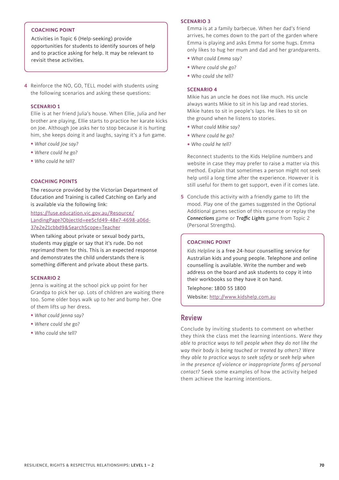#### **COACHING POINT**

Activities in Topic 6 (Help-seeking) provide opportunities for students to identify sources of help and to practice asking for help. It may be relevant to revisit these activities.

**4** Reinforce the NO, GO, TELL model with students using the following scenarios and asking these questions:

#### **SCENARIO 1**

Ellie is at her friend Julia's house. When Ellie, Julia and her brother are playing, Ellie starts to practice her karate kicks on Joe. Although Joe asks her to stop because it is hurting him, she keeps doing it and laughs, saying it's a fun game.

- *What could Joe say?*
- *Where could he go?*
- *Who could he tell?*

#### **COACHING POINTS**

The resource provided by the Victorian Department of Education and Training is called Catching on Early and is available via the following link:

<https://fuse.education.vic.gov.au/Resource/> LandingPage?ObjectId=ee5cfd49-48e7-4698-a06d-37e2e21cbbd9&SearchScope=Teacher

When talking about private or sexual body parts, students may giggle or say that it's rude. Do not reprimand them for this. This is an expected response and demonstrates the child understands there is something different and private about these parts.

#### **SCENARIO 2**

 Jenna is waiting at the school pick up point for her Grandpa to pick her up. Lots of children are waiting there too. Some older boys walk up to her and bump her. One of them lifts up her dress.

- *What could Jenna say?*
- *Where could she go?*
- *Who could she tell?*

#### **SCENARIO 3**

 Emma is at a family barbecue. When her dad's friend arrives, he comes down to the part of the garden where Emma is playing and asks Emma for some hugs. Emma only likes to hug her mum and dad and her grandparents.

- *What could Emma say?*
- *Where could she go?*
- *Who could she tell?*

#### **SCENARIO 4**

 Mikie has an uncle he does not like much. His uncle always wants Mikie to sit in his lap and read stories. Mikie hates to sit in people's laps. He likes to sit on the ground when he listens to stories.

- *What could Mikie say?*
- *Where could he go?*
- *Who could he tell?*

 Reconnect students to the Kids Helpline numbers and website in case they may prefer to raise a matter via this method. Explain that sometimes a person might not seek help until a long time after the experience. However it is still useful for them to get support, even if it comes late.

**5** Conclude this activity with a friendly game to lift the mood. Play one of the games suggested in the Optional Additional games section of this resource or replay the *Connections* game or *Traffic Lights* game from Topic 2 (Personal Strengths).

#### **COACHING POINT**

*Kids Helpline* is a free 24-hour counselling service for Australian kids and young people. Telephone and online counselling is available. Write the number and web address on the board and ask students to copy it into their workbooks so they have it on hand.

Telephone: 1800 55 1800

Website:<http://www.kidshelp.com.au>

#### **Review**

Conclude by inviting students to comment on whether they think the class met the learning intentions. *Were they able to practice ways to tell people when they do not like the way their body is being touched or treated by others? Were they able to practice ways to seek safety or seek help when in the presence of violence or inappropriate forms of personal contact?* Seek some examples of how the activity helped them achieve the learning intentions.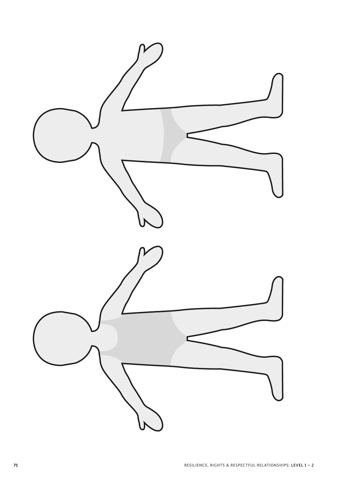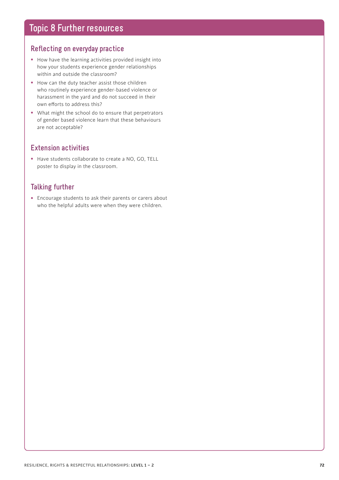## **Reflecting on everyday practice**

- How have the learning activities provided insight into how your students experience gender relationships within and outside the classroom?
- How can the duty teacher assist those children who routinely experience gender-based violence or harassment in the yard and do not succeed in their own efforts to address this?
- What might the school do to ensure that perpetrators of gender based violence learn that these behaviours are not acceptable?

## **Extension activities**

• Have students collaborate to create a NO, GO, TELL poster to display in the classroom.

## **Talking further**

• Encourage students to ask their parents or carers about who the helpful adults were when they were children.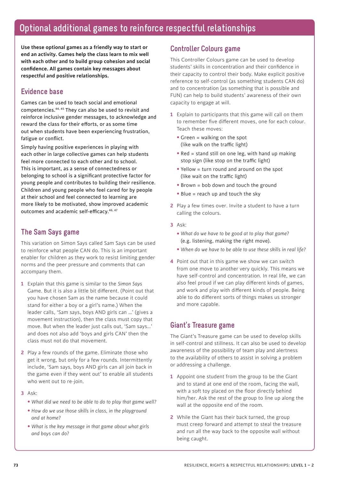## **Optional additional games to reinforce respectful relationships**

**Use these optional games as a friendly way to start or end an activity. Games help the class learn to mix well with each other and to build group cohesion and social confidence. All games contain key messages about respectful and positive relationships.**

## **Evidence base**

Games can be used to teach social and emotional competencies.44, 45 They can also be used to revisit and reinforce inclusive gender messages, to acknowledge and reward the class for their efforts, or as some time out when students have been experiencing frustration, fatigue or conflict.

Simply having positive experiences in playing with each other in large collective games can help students feel more connected to each other and to school. This is important, as a sense of connectedness or belonging to school is a significant protective factor for young people and contributes to building their resilience. Children and young people who feel cared for by people at their school and feel connected to learning are more likely to be motivated, show improved academic outcomes and academic self-efficacy.<sup>46, 47</sup>

## **The Sam Says game**

This variation on Simon Says called Sam Says can be used to reinforce what people CAN do. This is an important enabler for children as they work to resist limiting gender norms and the peer pressure and comments that can accompany them.

- **1** Explain that this game is similar to the *Simon Says* Game. But it is also a little bit different. (Point out that you have chosen Sam as the name because it could stand for either a boy or a girl's name.) When the leader calls, 'Sam says, boys AND girls can …' (gives a movement instruction), then the class must copy that move. But when the leader just calls out, 'Sam says…' and does not also add 'boys and girls CAN' then the class must not do that movement.
- **2** Play a few rounds of the game. Eliminate those who get it wrong, but only for a few rounds. Intermittently include, 'Sam says, boys AND girls can all join back in the game even if they went out' to enable all students who went out to re-join.
- **3** Ask:
	- • *What did we need to be able to do to play that game well?*
	- • *How do we use those skills in class, in the playground and at home?*
	- • *What is the key message in that game about what girls and boys can do?*

## **Controller Colours game**

This Controller Colours game can be used to develop students' skills in concentration and their confidence in their capacity to control their body. Make explicit positive reference to self-control (as something students CAN do) and to concentration (as something that is possible and FUN) can help to build students' awareness of their own capacity to engage at will.

- **1** Explain to participants that this game will call on them to remember five different moves, one for each colour. Teach these moves:
	- Green = walking on the spot (like walk on the traffic light)
	- Red = stand still on one leg, with hand up making stop sign (like stop on the traffic light)
	- Yellow = turn round and around on the spot (like wait on the traffic light)
	- Brown = bob down and touch the ground
	- Blue = reach up and touch the sky
- **2** Play a few times over. Invite a student to have a turn calling the colours.
- **3** Ask:
	- • *What do we have to be good at to play that game?*  (e.g. listening, making the right move).
	- • *When do we have to be able to use these skills in real life?*
- **4** Point out that in this game we show we can switch from one move to another very quickly. This means we have self-control and concentration. In real life, we can also feel proud if we can play different kinds of games, and work and play with different kinds of people. Being able to do different sorts of things makes us stronger and more capable.

## **Giant's Treasure game**

The Giant's Treasure game can be used to develop skills in self-control and stillness. It can also be used to develop awareness of the possibility of team play and alertness to the availability of others to assist in solving a problem or addressing a challenge.

- **1** Appoint one student from the group to be the Giant and to stand at one end of the room, facing the wall, with a soft toy placed on the floor directly behind him/her. Ask the rest of the group to line up along the wall at the opposite end of the room.
- **2** While the Giant has their back turned, the group must creep forward and attempt to steal the treasure and run all the way back to the opposite wall without being caught.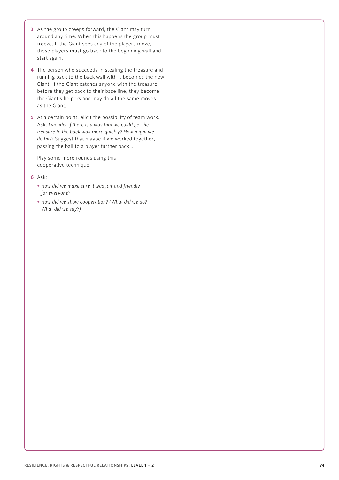- **3** As the group creeps forward, the Giant may turn around any time. When this happens the group must freeze. If the Giant sees any of the players move, those players must go back to the beginning wall and start again.
- **4** The person who succeeds in stealing the treasure and running back to the back wall with it becomes the new Giant. If the Giant catches anyone with the treasure before they get back to their base line, they become the Giant's helpers and may do all the same moves as the Giant.
- **5** At a certain point, elicit the possibility of team work. Ask: *I wonder if there is a way that we could get the treasure to the back wall more quickly? How might we do this?* Suggest that maybe if we worked together, passing the ball to a player further back…

 Play some more rounds using this cooperative technique.

- **6** Ask:
	- *How did we make sure it was fair and friendly for everyone?*
	- *How did we show cooperation? (What did we do? What did we say?)*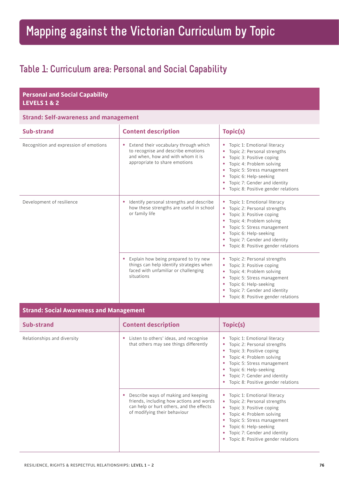## **Mapping against the Victorian Curriculum by Topic**

## **Table 1: Curriculum area: Personal and Social Capability**

### **Personal and Social Capability LEVELS 1 & 2**

#### **Strand: Self-awareness and management**

| <b>Sub-strand</b>                      | <b>Content description</b>                                                                                                                        | Topic(s)                                                                                                                                                                                                                                                                         |
|----------------------------------------|---------------------------------------------------------------------------------------------------------------------------------------------------|----------------------------------------------------------------------------------------------------------------------------------------------------------------------------------------------------------------------------------------------------------------------------------|
| Recognition and expression of emotions | Extend their vocabulary through which<br>to recognise and describe emotions<br>and when, how and with whom it is<br>appropriate to share emotions | Topic 1: Emotional literacy<br>۰<br>Topic 2: Personal strengths<br>Topic 3: Positive coping<br>Topic 4: Problem solving<br>Topic 5: Stress management<br>Topic 6: Help-seeking<br>Topic 7: Gender and identity<br>Topic 8: Positive gender relations<br>۰                        |
| Development of resilience              | Identify personal strengths and describe<br>۰<br>how these strengths are useful in school<br>or family life                                       | Topic 1: Emotional literacy<br>۰<br>Topic 2: Personal strengths<br>$\bullet$<br>Topic 3: Positive coping<br>Topic 4: Problem solving<br>۰<br>Topic 5: Stress management<br>۰<br>Topic 6: Help-seeking<br>Topic 7: Gender and identity<br>Topic 8: Positive gender relations<br>۰ |
|                                        | Explain how being prepared to try new<br>۰<br>things can help identify strategies when<br>faced with unfamiliar or challenging<br>situations      | Topic 2: Personal strengths<br>Topic 3: Positive coping<br>Topic 4: Problem solving<br>Topic 5: Stress management<br>۰<br>Topic 6: Help-seeking<br>۰<br>Topic 7: Gender and identity<br>Topic 8: Positive gender relations                                                       |

| <b>Strand: Social Awareness and Management</b> |                                                                                                                                                                          |                                                                                                                                                                                                                                                                   |
|------------------------------------------------|--------------------------------------------------------------------------------------------------------------------------------------------------------------------------|-------------------------------------------------------------------------------------------------------------------------------------------------------------------------------------------------------------------------------------------------------------------|
| Sub-strand                                     | <b>Content description</b>                                                                                                                                               | Topic(s)                                                                                                                                                                                                                                                          |
| Relationships and diversity                    | Listen to others' ideas, and recognise<br>that others may see things differently                                                                                         | Topic 1: Emotional literacy<br>Topic 2: Personal strengths<br>$\bullet$<br>Topic 3: Positive coping<br>Topic 4: Problem solving<br>Topic 5: Stress management<br>Topic 6: Help-seeking<br>Topic 7: Gender and identity<br>Topic 8: Positive gender relations      |
|                                                | Describe ways of making and keeping<br>$\bullet$<br>friends, including how actions and words<br>can help or hurt others, and the effects<br>of modifying their behaviour | Topic 1: Emotional literacy<br>Topic 2: Personal strengths<br>۰<br>Topic 3: Positive coping<br>$\bullet$<br>Topic 4: Problem solving<br>Topic 5: Stress management<br>Topic 6: Help-seeking<br>Topic 7: Gender and identity<br>Topic 8: Positive gender relations |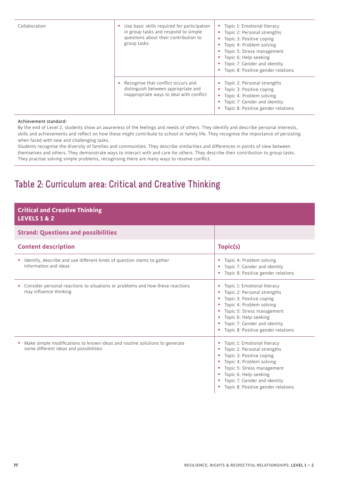| Collaboration | Use basic skills required for participation<br>$\bullet$<br>in group tasks and respond to simple<br>questions about their contribution to<br>group tasks | • Topic 1: Emotional literacy<br>• Topic 2: Personal strengths<br>Topic 3: Positive coping<br>Topic 4: Problem solving<br>$\bullet$<br>Topic 5: Stress management<br>$\bullet$<br>Topic 6: Help-seeking<br>Topic 7: Gender and identity<br>$\bullet$<br>Topic 8: Positive gender relations<br>$\bullet$ |
|---------------|----------------------------------------------------------------------------------------------------------------------------------------------------------|---------------------------------------------------------------------------------------------------------------------------------------------------------------------------------------------------------------------------------------------------------------------------------------------------------|
|               | Recognise that conflict occurs and<br>distinguish between appropriate and<br>inappropriate ways to deal with conflict                                    | Topic 2: Personal strengths<br>Topic 3: Positive coping<br>$\bullet$<br>Topic 4: Problem solving<br>$\bullet$<br>Topic 7: Gender and identity<br>Topic 8: Positive gender relations                                                                                                                     |

#### Achievement standard:

By the end of Level 2, students show an awareness of the feelings and needs of others. They identify and describe personal interests, skills and achievements and reflect on how these might contribute to school or family life. They recognise the importance of persisting when faced with new and challenging tasks.

Students recognise the diversity of families and communities. They describe similarities and differences in points of view between themselves and others. They demonstrate ways to interact with and care for others. They describe their contribution to group tasks. They practise solving simple problems, recognising there are many ways to resolve conflict.

## **Table 2: Curriculum area: Critical and Creative Thinking**

| <b>Critical and Creative Thinking</b><br><b>LEVELS 1 &amp; 2</b>                                                     |                                                                                                                                                                                                                                                                   |
|----------------------------------------------------------------------------------------------------------------------|-------------------------------------------------------------------------------------------------------------------------------------------------------------------------------------------------------------------------------------------------------------------|
| <b>Strand: Questions and possibilities</b>                                                                           |                                                                                                                                                                                                                                                                   |
| <b>Content description</b>                                                                                           | Topic(s)                                                                                                                                                                                                                                                          |
| Identify, describe and use different kinds of question stems to gather<br>$\bullet$<br>information and ideas         | Topic 4: Problem solving<br>Topic 7: Gender and identity<br>$\bullet$<br>Topic 8: Positive gender relations<br>$\bullet$                                                                                                                                          |
| Consider personal reactions to situations or problems and how these reactions<br>may influence thinking              | Topic 1: Emotional literacy<br>۰<br>Topic 2: Personal strengths<br>$\bullet$<br>Topic 3: Positive coping<br>Topic 4: Problem solving<br>Topic 5: Stress management<br>Topic 6: Help-seeking<br>Topic 7: Gender and identity<br>Topic 8: Positive gender relations |
| Make simple modifications to known ideas and routine solutions to generate<br>some different ideas and possibilities | Topic 1: Emotional literacy<br>۰<br>Topic 2: Personal strengths<br>Topic 3: Positive coping<br>Topic 4: Problem solving<br>Topic 5: Stress management<br>Topic 6: Help-seeking<br>Topic 7: Gender and identity<br>$\bullet$<br>Topic 8: Positive gender relations |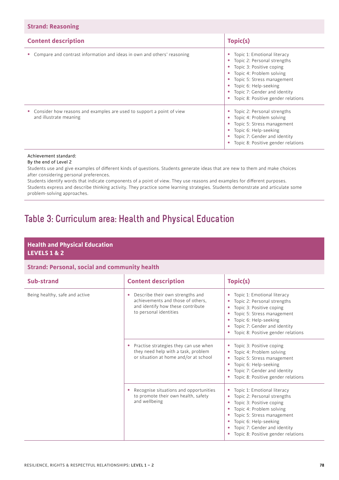| <b>Strand: Reasoning</b>                                                                        |                                                                                                                                                                                                                                                   |  |
|-------------------------------------------------------------------------------------------------|---------------------------------------------------------------------------------------------------------------------------------------------------------------------------------------------------------------------------------------------------|--|
| <b>Content description</b>                                                                      | Topic(s)                                                                                                                                                                                                                                          |  |
| Compare and contrast information and ideas in own and others' reasoning                         | Topic 1: Emotional literacy<br>Topic 2: Personal strengths<br>Topic 3: Positive coping<br>• Topic 4: Problem solving<br>Topic 5: Stress management<br>Topic 6: Help-seeking<br>Topic 7: Gender and identity<br>Topic 8: Positive gender relations |  |
| Consider how reasons and examples are used to support a point of view<br>and illustrate meaning | Topic 2: Personal strengths<br>Topic 4: Problem solving<br>Topic 5: Stress management<br>Topic 6: Help-seeking<br>Topic 7: Gender and identity<br>Topic 8: Positive gender relations                                                              |  |

#### Achievement standard:

#### By the end of Level 2

Students use and give examples of different kinds of questions. Students generate ideas that are new to them and make choices after considering personal preferences.

Students identify words that indicate components of a point of view. They use reasons and examples for different purposes. Students express and describe thinking activity. They practice some learning strategies. Students demonstrate and articulate some problem-solving approaches.

## **Table 3: Curriculum area: Health and Physical Education**

### **Health and Physical Education LEVELS 1 & 2**

#### **Strand: Personal, social and community health**

| Sub-strand                     | <b>Content description</b>                                                                                                           | Topic(s)                                                                                                                                                                                                                                                                    |
|--------------------------------|--------------------------------------------------------------------------------------------------------------------------------------|-----------------------------------------------------------------------------------------------------------------------------------------------------------------------------------------------------------------------------------------------------------------------------|
| Being healthy, safe and active | Describe their own strengths and<br>achievements and those of others,<br>and identify how these contribute<br>to personal identities | Topic 1: Emotional literacy<br>۰<br>Topic 2: Personal strengths<br>Topic 3: Positive coping<br>Topic 5: Stress management<br>٠<br>Topic 6: Help-seeking<br>٠<br>Topic 7: Gender and identity<br>Topic 8: Positive gender relations                                          |
|                                | Practise strategies they can use when<br>۰<br>they need help with a task, problem<br>or situation at home and/or at school           | Topic 3: Positive coping<br>$\bullet$<br>Topic 4: Problem solving<br>$\bullet$<br>Topic 5: Stress management<br>۰<br>Topic 6: Help-seeking<br>٠<br>Topic 7: Gender and identity<br>Topic 8: Positive gender relations                                                       |
|                                | Recognise situations and opportunities<br>$\bullet$<br>to promote their own health, safety<br>and wellbeing                          | Topic 1: Emotional literacy<br>$\bullet$<br>Topic 2: Personal strengths<br>۰<br>Topic 3: Positive coping<br>٠<br>Topic 4: Problem solving<br>Topic 5: Stress management<br>Topic 6: Help-seeking<br>٠<br>Topic 7: Gender and identity<br>Topic 8: Positive gender relations |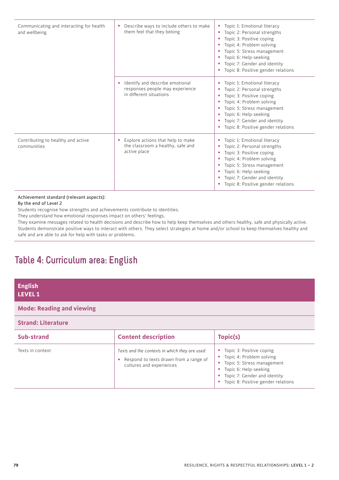| Communicating and interacting for health<br>and wellbeing | Describe ways to include others to make<br>them feel that they belong                         | • Topic 1: Emotional literacy<br>Topic 2: Personal strengths<br>۰<br>Topic 3: Positive coping<br>$\bullet$<br>Topic 4: Problem solving<br>Topic 5: Stress management<br>Topic 6: Help-seeking<br>$\bullet$<br>Topic 7: Gender and identity<br>Topic 8: Positive gender relations                 |
|-----------------------------------------------------------|-----------------------------------------------------------------------------------------------|--------------------------------------------------------------------------------------------------------------------------------------------------------------------------------------------------------------------------------------------------------------------------------------------------|
|                                                           | Identify and describe emotional<br>responses people may experience<br>in different situations | Topic 1: Emotional literacy<br>Topic 2: Personal strengths<br>Topic 3: Positive coping<br>۰<br>Topic 4: Problem solving<br>۰<br>Topic 5: Stress management<br>Topic 6: Help-seeking<br>Topic 7: Gender and identity<br>$\bullet$<br>Topic 8: Positive gender relations                           |
| Contributing to healthy and active<br>communities         | Explore actions that help to make<br>the classroom a healthy, safe and<br>active place        | Topic 1: Emotional literacy<br>Topic 2: Personal strengths<br>$\bullet$<br>Topic 3: Positive coping<br>0<br>Topic 4: Problem solving<br>$\bullet$<br>Topic 5: Stress management<br>۰<br>Topic 6: Help-seeking<br>Topic 7: Gender and identity<br>$\bullet$<br>Topic 8: Positive gender relations |

## Achievement standard (relevant aspects):

By the end of Level 2

Students recognise how strengths and achievements contribute to identities.

They understand how emotional responses impact on others' feelings.

They examine messages related to health decisions and describe how to help keep themselves and others healthy, safe and physically active. Students demonstrate positive ways to interact with others. They select strategies at home and/or school to keep themselves healthy and safe and are able to ask for help with tasks or problems.

## **Table 4: Curriculum area: English**

| <b>English</b><br><b>LEVEL 1</b> |                                                                                                                          |                                                                                                                              |
|----------------------------------|--------------------------------------------------------------------------------------------------------------------------|------------------------------------------------------------------------------------------------------------------------------|
| <b>Mode: Reading and viewing</b> |                                                                                                                          |                                                                                                                              |
| <b>Strand: Literature</b>        |                                                                                                                          |                                                                                                                              |
| Sub-strand                       | <b>Content description</b>                                                                                               | Topic(s)                                                                                                                     |
| Texts in context                 | Texts and the contexts in which they are used<br>Respond to texts drawn from a range of<br>۰<br>cultures and experiences | • Topic 3: Positive coping<br>Topic 4: Problem solving<br>Topic 5: Stress management<br>$\bullet$<br>• Topic 6: Help-seeking |

• Topic 7: Gender and identity • Topic 8: Positive gender relations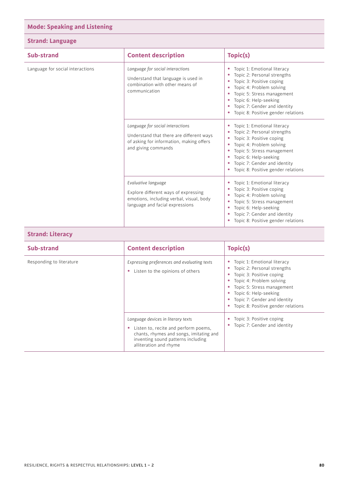| <b>Mode: Speaking and Listening</b> |                                                                                                                                                 |                                                                                                                                                                                                                                                                       |
|-------------------------------------|-------------------------------------------------------------------------------------------------------------------------------------------------|-----------------------------------------------------------------------------------------------------------------------------------------------------------------------------------------------------------------------------------------------------------------------|
| <b>Strand: Language</b>             |                                                                                                                                                 |                                                                                                                                                                                                                                                                       |
| Sub-strand                          | <b>Content description</b>                                                                                                                      | Topic(s)                                                                                                                                                                                                                                                              |
| Language for social interactions    | Language for social interactions<br>Understand that language is used in<br>combination with other means of<br>communication                     | Topic 1: Emotional literacy<br>$\bullet$<br>Topic 2: Personal strengths<br>Topic 3: Positive coping<br>۰<br>Topic 4: Problem solving<br>Topic 5: Stress management<br>Topic 6: Help-seeking<br>• Topic 7: Gender and identity<br>• Topic 8: Positive gender relations |
|                                     | Language for social interactions<br>Understand that there are different ways<br>of asking for information, making offers<br>and giving commands | • Topic 1: Emotional literacy<br>Topic 2: Personal strengths<br>Topic 3: Positive coping<br>Topic 4: Problem solving<br>Topic 5: Stress management<br>۰<br>Topic 6: Help-seeking<br>Topic 7: Gender and identity<br>• Topic 8: Positive gender relations              |
|                                     | Evaluative language<br>Explore different ways of expressing<br>emotions, including verbal, visual, body<br>language and facial expressions      | Topic 1: Emotional literacy<br>Topic 3: Positive coping<br>۰<br>Topic 4: Problem solving<br>Topic 5: Stress management<br>۰<br>Topic 6: Help-seeking<br>۰<br>Topic 7: Gender and identity<br>۰<br>• Topic 8: Positive gender relations                                |

### **Strand: Literacy**

| Sub-strand               | <b>Content description</b>                                                                                                                                                            | Topic(s)                                                                                                                                                                                                                                          |
|--------------------------|---------------------------------------------------------------------------------------------------------------------------------------------------------------------------------------|---------------------------------------------------------------------------------------------------------------------------------------------------------------------------------------------------------------------------------------------------|
| Responding to literature | Expressing preferences and evaluating texts<br>Listen to the opinions of others<br>۰                                                                                                  | • Topic 1: Emotional literacy<br>Topic 2: Personal strengths<br>Topic 3: Positive coping<br>Topic 4: Problem solving<br>Topic 5: Stress management<br>Topic 6: Help-seeking<br>Topic 7: Gender and identity<br>Topic 8: Positive gender relations |
|                          | Language devices in literary texts<br>Listen to, recite and perform poems,<br>chants, rhymes and songs, imitating and<br>inventing sound patterns including<br>alliteration and rhyme | Topic 3: Positive coping<br>$\bullet$<br>Topic 7: Gender and identity                                                                                                                                                                             |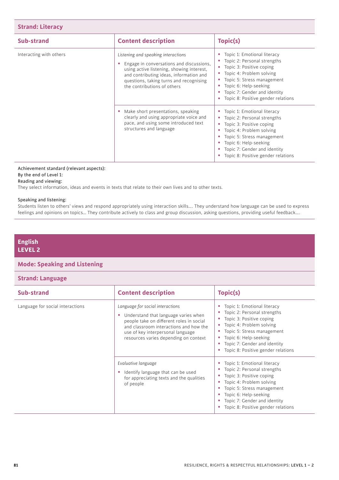| <b>Strand: Literacy</b> |                                                                                                                                                                                                                                                   |                                                                                                                                                                                                                                                                                                                       |
|-------------------------|---------------------------------------------------------------------------------------------------------------------------------------------------------------------------------------------------------------------------------------------------|-----------------------------------------------------------------------------------------------------------------------------------------------------------------------------------------------------------------------------------------------------------------------------------------------------------------------|
| Sub-strand              | <b>Content description</b>                                                                                                                                                                                                                        | Topic(s)                                                                                                                                                                                                                                                                                                              |
| Interacting with others | Listening and speaking interactions<br>Engage in conversations and discussions,<br>using active listening, showing interest,<br>and contributing ideas, information and<br>questions, taking turns and recognising<br>the contributions of others | Topic 1: Emotional literacy<br>۰<br>Topic 2: Personal strengths<br>Topic 3: Positive coping<br>$\bullet$<br>Topic 4: Problem solving<br>$\bullet$<br>Topic 5: Stress management<br>Topic 6: Help-seeking<br>$\bullet$<br>Topic 7: Gender and identity<br>$\bullet$<br>Topic 8: Positive gender relations<br>$\bullet$ |
|                         | Make short presentations, speaking<br>$\bullet$<br>clearly and using appropriate voice and<br>pace, and using some introduced text<br>structures and language                                                                                     | Topic 1: Emotional literacy<br>$\bullet$<br>Topic 2: Personal strengths<br>۰<br>Topic 3: Positive coping<br>۰<br>Topic 4: Problem solving<br>۰<br>Topic 5: Stress management<br>Topic 6: Help-seeking<br>Topic 7: Gender and identity<br>$\bullet$<br>Topic 8: Positive gender relations<br>$\bullet$                 |

Achievement standard (relevant aspects):

By the end of Level 1:

Reading and viewing:

They select information, ideas and events in texts that relate to their own lives and to other texts.

#### Speaking and listening:

Students listen to others' views and respond appropriately using interaction skills…. They understand how language can be used to express feelings and opinions on topics… They contribute actively to class and group discussion, asking questions, providing useful feedback….

### **English LEVEL 2**

#### **Mode: Speaking and Listening**

#### **Strand: Language**

| Sub-strand                       | <b>Content description</b>                                                                                                                                                                                                                   | Topic(s)                                                                                                                                                                                                                                        |
|----------------------------------|----------------------------------------------------------------------------------------------------------------------------------------------------------------------------------------------------------------------------------------------|-------------------------------------------------------------------------------------------------------------------------------------------------------------------------------------------------------------------------------------------------|
| Language for social interactions | Language for social interactions<br>Understand that language varies when<br>people take on different roles in social<br>and classroom interactions and how the<br>use of key interpersonal language<br>resources varies depending on context | Topic 1: Emotional literacy<br>Topic 2: Personal strengths<br>Topic 3: Positive coping<br>Topic 4: Problem solving<br>Topic 5: Stress management<br>Topic 6: Help-seeking<br>Topic 7: Gender and identity<br>Topic 8: Positive gender relations |
|                                  | Evaluative language<br>Identify language that can be used<br>for appreciating texts and the qualities<br>of people                                                                                                                           | Topic 1: Emotional literacy<br>Topic 2: Personal strengths<br>Topic 3: Positive coping<br>Topic 4: Problem solving<br>Topic 5: Stress management<br>Topic 6: Help-seeking<br>Topic 7: Gender and identity<br>Topic 8: Positive gender relations |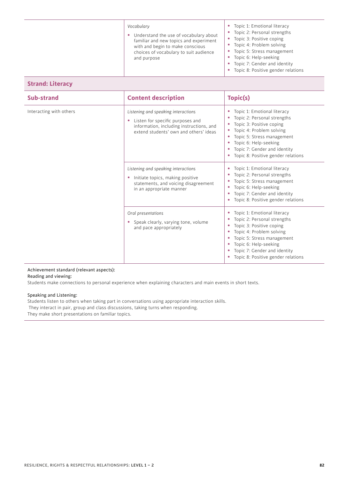#### *Vocabulary*

- Understand the use of vocabulary about familiar and new topics and experiment with and begin to make conscious choices of vocabulary to suit audience and purpose
- Topic 1: Emotional literacy • Topic 2: Personal strengths • Topic 3: Positive coping<br>• Topic 4: Problem solving • Topic 4: Problem solving
- Topic 5: Stress management
- Topic 6: Help-seeking
	- Topic 7: Gender and identity
- Topic 8: Positive gender relations

#### **Strand: Literacy**

| <b>Sub-strand</b>       | <b>Content description</b>                                                                                                                                         | Topic(s)                                                                                                                                                                                                                                             |
|-------------------------|--------------------------------------------------------------------------------------------------------------------------------------------------------------------|------------------------------------------------------------------------------------------------------------------------------------------------------------------------------------------------------------------------------------------------------|
| Interacting with others | Listening and speaking interactions<br>Listen for specific purposes and<br>۰<br>information, including instructions, and<br>extend students' own and others' ideas | Topic 1: Emotional literacy<br>۰<br>Topic 2: Personal strengths<br>Topic 3: Positive coping<br>Topic 4: Problem solving<br>Topic 5: Stress management<br>Topic 6: Help-seeking<br>Topic 7: Gender and identity<br>Topic 8: Positive gender relations |
|                         | Listening and speaking interactions<br>Initiate topics, making positive<br>۰<br>statements, and voicing disagreement<br>in an appropriate manner                   | Topic 1: Emotional literacy<br>Topic 2: Personal strengths<br>Topic 5: Stress management<br>Topic 6: Help-seeking<br>Topic 7: Gender and identity<br>Topic 8: Positive gender relations                                                              |
|                         | Oral presentations<br>Speak clearly, varying tone, volume<br>۰<br>and pace appropriately                                                                           | Topic 1: Emotional literacy<br>Topic 2: Personal strengths<br>Topic 3: Positive coping<br>Topic 4: Problem solving<br>Topic 5: Stress management<br>Topic 6: Help-seeking<br>Topic 7: Gender and identity<br>Topic 8: Positive gender relations      |

#### Achievement standard (relevant aspects):

Reading and viewing:

Students make connections to personal experience when explaining characters and main events in short texts.

#### Speaking and Listening:

Students listen to others when taking part in conversations using appropriate interaction skills. They interact in pair, group and class discussions, taking turns when responding. They make short presentations on familiar topics.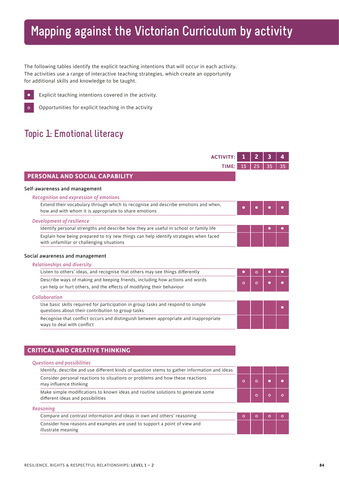## **Mapping against the Victorian Curriculum by activity**

The following tables identify the explicit teaching intentions that will occur in each activity. The activities use a range of interactive teaching strategies, which create an opportunity for additional skills and knowledge to be taught.

• Explicit teaching intentions covered in the activity.



Opportunities for explicit teaching in the activity

## **Topic 1: Emotional literacy**

| <b>ACTIVITY:</b>                                                                                                                            |           |         |    | ◢  |
|---------------------------------------------------------------------------------------------------------------------------------------------|-----------|---------|----|----|
| TIME:                                                                                                                                       |           |         | 35 | 35 |
| PERSONAL AND SOCIAL CAPABILITY                                                                                                              |           |         |    |    |
| Self-awareness and management                                                                                                               |           |         |    |    |
| Recognition and expression of emotions                                                                                                      |           |         |    |    |
| Extend their vocabulary through which to recognise and describe emotions and when,<br>how and with whom it is appropriate to share emotions | c         |         |    |    |
| Development of resilience                                                                                                                   |           |         |    |    |
| Identify personal strengths and describe how they are useful in school or family life                                                       |           |         |    |    |
| Explain how being prepared to try new things can help identify strategies when faced<br>with unfamiliar or challenging situations           |           |         |    |    |
| Social awareness and management                                                                                                             |           |         |    |    |
| <b>Relationships and diversity</b>                                                                                                          |           |         |    |    |
| Listen to others' ideas, and recognise that others may see things differently                                                               | $\bullet$ | $\circ$ |    |    |
|                                                                                                                                             |           |         |    |    |
| Describe ways of making and keeping friends, including how actions and words                                                                | $\circ$   | $\circ$ |    |    |
| can help or hurt others, and the effects of modifying their behaviour                                                                       |           |         |    |    |
| Collaboration                                                                                                                               |           |         |    |    |
| Use basic skills required for participation in group tasks and respond to simple<br>questions about their contribution to group tasks       |           |         |    | o  |

#### **CRITICAL AND CREATIVE THINKING**

| Identify, describe and use different kinds of question stems to gather information and ideas                         |  |  |
|----------------------------------------------------------------------------------------------------------------------|--|--|
| Consider personal reactions to situations or problems and how these reactions<br>may influence thinking              |  |  |
| Make simple modifications to known ideas and routine solutions to generate some<br>different ideas and possibilities |  |  |

 Compare and contrast information and ideas in own and others' reasoning  $\circ$  Consider how reasons and examples are used to support a point of view and illustrate meaning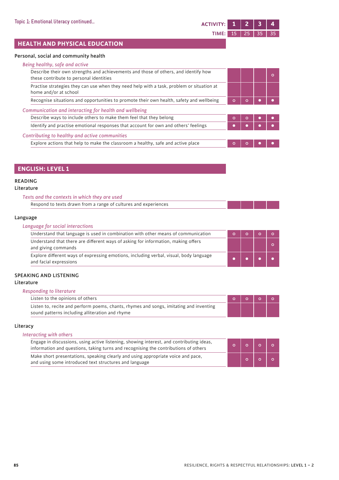## **HEALTH AND PHYSICAL EDUCATION**

#### Personal, social and community health

| Being healthy, safe and active                                                                                                 |          |   |         |
|--------------------------------------------------------------------------------------------------------------------------------|----------|---|---------|
| Describe their own strengths and achievements and those of others, and identify how<br>these contribute to personal identities |          |   | $\circ$ |
| Practise strategies they can use when they need help with a task, problem or situation at<br>home and/or at school             |          |   |         |
| Recognise situations and opportunities to promote their own health, safety and wellbeing                                       | $\Omega$ | O |         |
|                                                                                                                                |          |   |         |
|                                                                                                                                |          |   |         |
| Communication and interacting for health and wellbeing<br>Describe ways to include others to make them feel that they belong   | O        | O |         |
| Identify and practise emotional responses that account for own and others' feelings                                            |          |   |         |
| Contributing to healthy and active communities                                                                                 |          |   |         |

## **ENGLISH: LEVEL 1**

#### READING

#### Literature

#### *Texts and the contexts in which they are used*

|  | Respond to texts drawn from a range of cultures and experiences |  |  |  |
|--|-----------------------------------------------------------------|--|--|--|
|--|-----------------------------------------------------------------|--|--|--|

#### Language

#### *Language for social interactions*

| Understand that language is used in combination with other means of communication                                |  |  |
|------------------------------------------------------------------------------------------------------------------|--|--|
| Understand that there are different ways of asking for information, making offers<br>and giving commands         |  |  |
| Explore different ways of expressing emotions, including verbal, visual, body language<br>and facial expressions |  |  |

#### SPEAKING AND LISTENING

#### Literature

#### *Responding to literature*

| Listen to the opinions of others                                                       |  |  |
|----------------------------------------------------------------------------------------|--|--|
| Listen to, recite and perform poems, chants, rhymes and songs, imitating and inventing |  |  |
| sound patterns including alliteration and rhyme                                        |  |  |

#### Literacy

#### *Interacting with others*

| Engage in discussions, using active listening, showing interest, and contributing ideas,<br>information and questions, taking turns and recognising the contributions of others |  |  |
|---------------------------------------------------------------------------------------------------------------------------------------------------------------------------------|--|--|
| Make short presentations, speaking clearly and using appropriate voice and pace,<br>and using some introduced text structures and language                                      |  |  |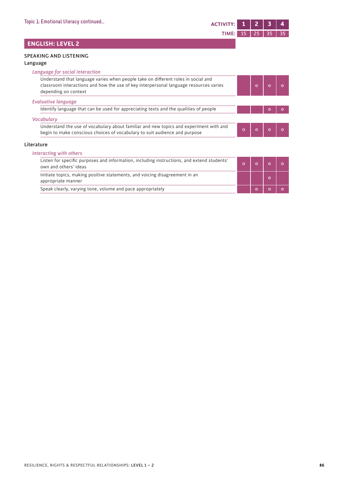#### SPEAKING AND LISTENING

### Language

| Language for social interaction                                                                                                                                                                    |         |         |          |
|----------------------------------------------------------------------------------------------------------------------------------------------------------------------------------------------------|---------|---------|----------|
| Understand that language varies when people take on different roles in social and<br>classroom interactions and how the use of key interpersonal language resources varies<br>depending on context |         | $\circ$ | $\Omega$ |
| Evaluative language                                                                                                                                                                                |         |         |          |
| Identify language that can be used for appreciating texts and the qualities of people                                                                                                              |         |         | $\Omega$ |
| Vocabulary                                                                                                                                                                                         |         |         |          |
| Understand the use of vocabulary about familiar and new topics and experiment with and<br>begin to make conscious choices of vocabulary to suit audience and purpose                               | $\circ$ | $\circ$ | $\Omega$ |
| Literature<br>Interacting with others                                                                                                                                                              |         |         |          |

| Listen for specific purposes and information, including instructions, and extend students'<br>own and others' ideas |  |  |
|---------------------------------------------------------------------------------------------------------------------|--|--|
| Initiate topics, making positive statements, and voicing disagreement in an<br>appropriate manner                   |  |  |
| Speak clearly, varying tone, volume and pace appropriately                                                          |  |  |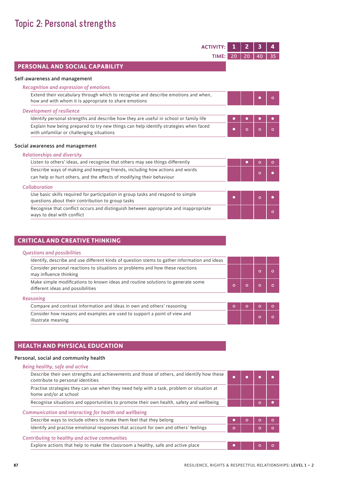## **Topic 2: Personal strengths**

|                                                                                                                                                       | <b>ACTIVITY:</b> |           |           |           |    |
|-------------------------------------------------------------------------------------------------------------------------------------------------------|------------------|-----------|-----------|-----------|----|
|                                                                                                                                                       | TIME:            | 20        | 20        | 40        | 35 |
| PERSONAL AND SOCIAL CAPABILITY                                                                                                                        |                  |           |           |           |    |
| Self-awareness and management                                                                                                                         |                  |           |           |           |    |
| Recognition and expression of emotions                                                                                                                |                  |           |           |           |    |
| Extend their vocabulary through which to recognise and describe emotions and when,<br>how and with whom it is appropriate to share emotions           |                  |           |           | n         | O  |
| Development of resilience                                                                                                                             |                  |           |           |           |    |
| Identify personal strengths and describe how they are useful in school or family life                                                                 |                  | $\bullet$ | $\bullet$ | $\bullet$ |    |
| Explain how being prepared to try new things can help identify strategies when faced<br>with unfamiliar or challenging situations                     |                  | $\bullet$ | $\circ$   | $\circ$   | O  |
| Social awareness and management                                                                                                                       |                  |           |           |           |    |
| <b>Relationships and diversity</b>                                                                                                                    |                  |           |           |           |    |
| Listen to others' ideas, and recognise that others may see things differently                                                                         |                  |           | $\bullet$ | $\circ$   | O  |
| Describe ways of making and keeping friends, including how actions and words<br>can help or hurt others, and the effects of modifying their behaviour |                  |           |           | O         |    |
| Collaboration                                                                                                                                         |                  |           |           |           |    |
| Use basic skills required for participation in group tasks and respond to simple<br>questions about their contribution to group tasks                 |                  | ۰         |           | $\circ$   |    |
| Recognise that conflict occurs and distinguish between appropriate and inappropriate<br>ways to deal with conflict                                    |                  |           |           |           | O  |

## **CRITICAL AND CREATIVE THINKING**

| <b>Questions and possibilities</b>                                                                                   |          |          |          |          |
|----------------------------------------------------------------------------------------------------------------------|----------|----------|----------|----------|
| Identify, describe and use different kinds of question stems to gather information and ideas                         |          |          |          |          |
| Consider personal reactions to situations or problems and how these reactions<br>may influence thinking              |          |          | $\circ$  |          |
| Make simple modifications to known ideas and routine solutions to generate some<br>different ideas and possibilities | $\circ$  | O        | $\Omega$ |          |
| Reasoning                                                                                                            |          |          |          |          |
| Compare and contrast information and ideas in own and others' reasoning                                              | $\Omega$ | $\Omega$ | $\Omega$ | $\Omega$ |
| Consider how reasons and examples are used to support a point of view and                                            |          |          |          |          |

**HEALTH AND PHYSICAL EDUCATION**

#### Personal, social and community health

illustrate meaning

| Describe their own strengths and achievements and those of others, and identify how these<br>contribute to personal identities |          |         |          |          |
|--------------------------------------------------------------------------------------------------------------------------------|----------|---------|----------|----------|
| Practise strategies they can use when they need help with a task, problem or situation at<br>home and/or at school             |          |         |          |          |
| Recognise situations and opportunities to promote their own health, safety and wellbeing                                       |          |         | O        |          |
| Communication and interacting for health and wellbeing                                                                         |          |         |          |          |
| Describe ways to include others to make them feel that they belong                                                             | ۰        | $\circ$ | $\Omega$ | $\Omega$ |
| Identify and practise emotional responses that account for own and others' feelings                                            | $\Omega$ |         | O        | $\Omega$ |
| Contributing to healthy and active communities                                                                                 |          |         |          |          |
| Explore actions that help to make the classroom a healthy, safe and active place                                               |          |         | O        | $\Omega$ |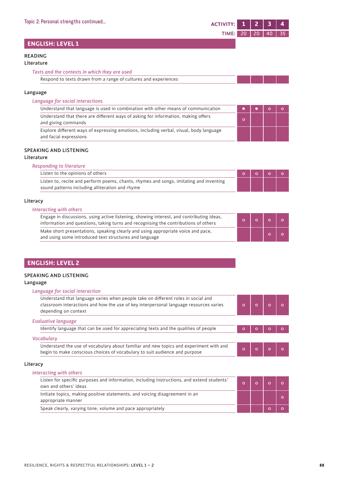$\circ$ 

## **ENGLISH: LEVEL 1**

## READING

#### Literature

| Texts and the contexts in which they are used                   |  |  |
|-----------------------------------------------------------------|--|--|
| Respond to texts drawn from a range of cultures and experiences |  |  |

#### Language

| Language for social interactions                                                                                 |         |  |  |
|------------------------------------------------------------------------------------------------------------------|---------|--|--|
| Understand that language is used in combination with other means of communication                                |         |  |  |
| Understand that there are different ways of asking for information, making offers<br>and giving commands         | $\circ$ |  |  |
| Explore different ways of expressing emotions, including verbal, visual, body language<br>and facial expressions |         |  |  |

#### SPEAKING AND LISTENING

#### Literature

| Responding to literature                                                               |  |  |
|----------------------------------------------------------------------------------------|--|--|
| Listen to the opinions of others                                                       |  |  |
| Listen to, recite and perform poems, chants, rhymes and songs, imitating and inventing |  |  |
| sound patterns including alliteration and rhyme                                        |  |  |

#### Literacy

#### *Interacting with others*

| Engage in discussions, using active listening, showing interest, and contributing ideas,<br>information and questions, taking turns and recognising the contributions of others |  |  |
|---------------------------------------------------------------------------------------------------------------------------------------------------------------------------------|--|--|
| Make short presentations, speaking clearly and using appropriate voice and pace,<br>and using some introduced text structures and language                                      |  |  |

#### **ENGLISH: LEVEL 2**

#### SPEAKING AND LISTENING

#### Language

| Language for social interaction |  |  |  |  |
|---------------------------------|--|--|--|--|
|---------------------------------|--|--|--|--|

| Understand that language varies when people take on different roles in social and<br>classroom interactions and how the use of key interpersonal language resources varies<br>depending on context | $\Omega$ |  |  |
|----------------------------------------------------------------------------------------------------------------------------------------------------------------------------------------------------|----------|--|--|
| Evaluative language                                                                                                                                                                                |          |  |  |
| Identify language that can be used for appreciating texts and the qualities of people                                                                                                              | $\Omega$ |  |  |
| Vocabulary                                                                                                                                                                                         |          |  |  |
| Understand the use of vocabulary about familiar and new topics and experiment with and<br>begin to make conscious choices of vocabulary to suit audience and purpose                               | $\Omega$ |  |  |

|  | $\Omega$ |
|--|----------|
|  |          |
|  |          |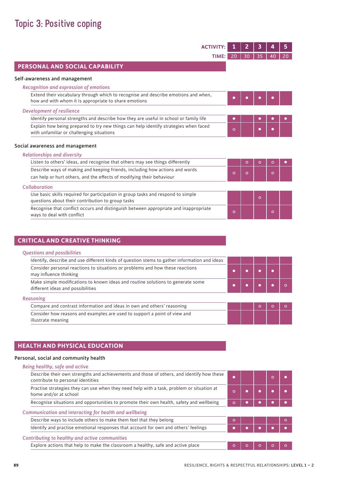## **Topic 3: Positive coping**

| <b>ACTIVITY:</b>                                                                                                                            |           | $\overline{2}$ | 3         | 4         | 5 |
|---------------------------------------------------------------------------------------------------------------------------------------------|-----------|----------------|-----------|-----------|---|
| TIME:                                                                                                                                       | 20        | 30             | 35        |           |   |
| PERSONAL AND SOCIAL CAPABILITY                                                                                                              |           |                |           |           |   |
| Self-awareness and management                                                                                                               |           |                |           |           |   |
| Recognition and expression of emotions                                                                                                      |           |                |           |           |   |
| Extend their vocabulary through which to recognise and describe emotions and when,<br>how and with whom it is appropriate to share emotions |           | ٠              |           |           |   |
| Development of resilience                                                                                                                   |           |                |           |           |   |
| Identify personal strengths and describe how they are useful in school or family life                                                       | $\bullet$ |                | $\bullet$ | $\bullet$ |   |
| Explain how being prepared to try new things can help identify strategies when faced<br>with unfamiliar or challenging situations           | $\circ$   |                | ∩         | $\bullet$ |   |
| Social awareness and management                                                                                                             |           |                |           |           |   |
| <b>Relationships and diversity</b>                                                                                                          |           |                |           |           |   |
| Listen to others' ideas, and recognise that others may see things differently                                                               |           | $\circ$        | $\circ$   | $\circ$   |   |
| Describe ways of making and keeping friends, including how actions and words                                                                | $\circ$   | $\circ$        |           | $\circ$   |   |
| can help or hurt others, and the effects of modifying their behaviour                                                                       |           |                |           |           |   |
| Collaboration                                                                                                                               |           |                |           |           |   |
| Use basic skills required for participation in group tasks and respond to simple<br>questions about their contribution to group tasks       |           |                | $\circ$   |           |   |
| Recognise that conflict occurs and distinguish between appropriate and inappropriate<br>ways to deal with conflict                          | $\circ$   |                |           | O         |   |

## **CRITICAL AND CREATIVE THINKING**

| <b>Questions and possibilities</b>                                                                                   |  |          |  |
|----------------------------------------------------------------------------------------------------------------------|--|----------|--|
| Identify, describe and use different kinds of question stems to gather information and ideas                         |  |          |  |
| Consider personal reactions to situations or problems and how these reactions<br>may influence thinking              |  |          |  |
| Make simple modifications to known ideas and routine solutions to generate some<br>different ideas and possibilities |  |          |  |
| Reasoning                                                                                                            |  |          |  |
| Compare and contrast information and ideas in own and others' reasoning                                              |  | $\Omega$ |  |
| Consider how reasons and examples are used to support a point of view and                                            |  |          |  |

**HEALTH AND PHYSICAL EDUCATION**

#### Personal, social and community health

illustrate meaning

| Describe their own strengths and achievements and those of others, and identify how these<br>contribute to personal identities | e       |  | $\circ$ |         |
|--------------------------------------------------------------------------------------------------------------------------------|---------|--|---------|---------|
| Practise strategies they can use when they need help with a task, problem or situation at<br>home and/or at school             | $\circ$ |  |         |         |
| Recognise situations and opportunities to promote their own health, safety and wellbeing                                       | O       |  |         |         |
|                                                                                                                                |         |  |         |         |
| Communication and interacting for health and wellbeing                                                                         |         |  |         |         |
| Describe ways to include others to make them feel that they belong                                                             | O       |  |         | $\circ$ |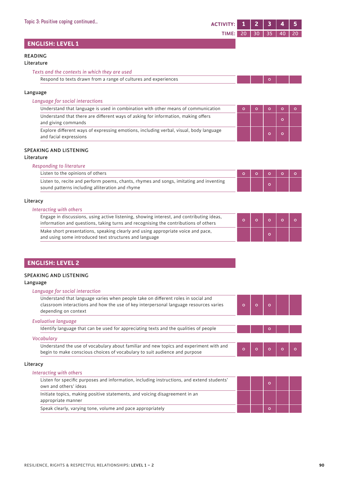### READING

#### Literature

| Texts and the contexts in which they are used                   |  |  |  |
|-----------------------------------------------------------------|--|--|--|
| Respond to texts drawn from a range of cultures and experiences |  |  |  |

#### Language

| Language for social interactions                                                                                 |  |  |  |
|------------------------------------------------------------------------------------------------------------------|--|--|--|
| Understand that language is used in combination with other means of communication                                |  |  |  |
| Understand that there are different ways of asking for information, making offers<br>and giving commands         |  |  |  |
| Explore different ways of expressing emotions, including verbal, visual, body language<br>and facial expressions |  |  |  |

#### SPEAKING AND LISTENING

#### Literature

|  | <b>Responding to literature</b> |  |  |
|--|---------------------------------|--|--|
|  |                                 |  |  |

| Listen to the opinions of others                                                                                                          |  | lolololo |  |
|-------------------------------------------------------------------------------------------------------------------------------------------|--|----------|--|
| Listen to, recite and perform poems, chants, rhymes and songs, imitating and inventing<br>sound patterns including alliteration and rhyme |  |          |  |

#### Literacy

#### *Interacting with others*

| Engage in discussions, using active listening, showing interest, and contributing ideas,<br>information and questions, taking turns and recognising the contributions of others |  |  |  |
|---------------------------------------------------------------------------------------------------------------------------------------------------------------------------------|--|--|--|
| Make short presentations, speaking clearly and using appropriate voice and pace,<br>and using some introduced text structures and language                                      |  |  |  |

#### **ENGLISH: LEVEL 2**

#### SPEAKING AND LISTENING

#### Language

| Language for social interaction |  |  |  |  |
|---------------------------------|--|--|--|--|
|---------------------------------|--|--|--|--|

| Understand that language varies when people take on different roles in social and<br>classroom interactions and how the use of key interpersonal language resources varies<br>depending on context |          |          |  |
|----------------------------------------------------------------------------------------------------------------------------------------------------------------------------------------------------|----------|----------|--|
| Evaluative language                                                                                                                                                                                |          |          |  |
| Identify language that can be used for appreciating texts and the qualities of people                                                                                                              |          | $\Omega$ |  |
| Vocabulary                                                                                                                                                                                         |          |          |  |
| Understand the use of vocabulary about familiar and new topics and experiment with and<br>begin to make conscious choices of vocabulary to suit audience and purpose                               | $\Omega$ |          |  |

| Interacting with others                                                                                             |  |          |  |
|---------------------------------------------------------------------------------------------------------------------|--|----------|--|
| Listen for specific purposes and information, including instructions, and extend students'<br>own and others' ideas |  | $\Omega$ |  |
| Initiate topics, making positive statements, and voicing disagreement in an<br>appropriate manner                   |  |          |  |
| Speak clearly, varying tone, volume and pace appropriately                                                          |  | $\Omega$ |  |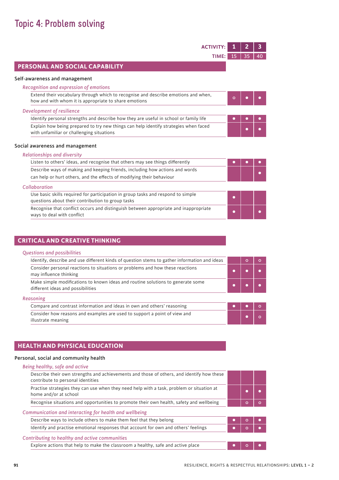## **Topic 4: Problem solving**

| <b>ACTIVIT</b>                                                                                                                              |           |           | 3         |
|---------------------------------------------------------------------------------------------------------------------------------------------|-----------|-----------|-----------|
| TIME:                                                                                                                                       | 15        | 35        | 40        |
| PERSONAL AND SOCIAL CAPABILITY                                                                                                              |           |           |           |
| Self-awareness and management                                                                                                               |           |           |           |
| Recognition and expression of emotions                                                                                                      |           |           |           |
| Extend their vocabulary through which to recognise and describe emotions and when,<br>how and with whom it is appropriate to share emotions | $\circ$   |           |           |
| Development of resilience                                                                                                                   |           |           |           |
| Identify personal strengths and describe how they are useful in school or family life                                                       | $\bullet$ |           | $\bullet$ |
| Explain how being prepared to try new things can help identify strategies when faced<br>with unfamiliar or challenging situations           |           | $\bullet$ | с         |
| Social awareness and management                                                                                                             |           |           |           |
| <b>Relationships and diversity</b>                                                                                                          |           |           |           |
| Listen to others' ideas, and recognise that others may see things differently                                                               | ●         |           |           |
| Describe ways of making and keeping friends, including how actions and words                                                                |           |           | o         |
| can help or hurt others, and the effects of modifying their behaviour                                                                       |           |           |           |
| Collaboration                                                                                                                               |           |           |           |
| Use basic skills required for participation in group tasks and respond to simple<br>questions about their contribution to group tasks       | $\bullet$ |           |           |
| Recognise that conflict occurs and distinguish between appropriate and inappropriate<br>ways to deal with conflict                          | $\bullet$ |           |           |

## **CRITICAL AND CREATIVE THINKING**

| <b>Questions and possibilities</b>                                                                                   |   |         |
|----------------------------------------------------------------------------------------------------------------------|---|---------|
| Identify, describe and use different kinds of question stems to gather information and ideas                         |   | $\circ$ |
| Consider personal reactions to situations or problems and how these reactions<br>may influence thinking              | o |         |
| Make simple modifications to known ideas and routine solutions to generate some<br>different ideas and possibilities | e |         |
| Reasoning                                                                                                            |   |         |
| Compare and contrast information and ideas in own and others' reasoning                                              |   |         |
| Consider how reasons and examples are used to support a point of view and<br>illustrate meaning                      |   |         |

#### **HEALTH AND PHYSICAL EDUCATION**

#### Personal, social and community health

| Describe their own strengths and achievements and those of others, and identify how these<br>contribute to personal identities |   |   |
|--------------------------------------------------------------------------------------------------------------------------------|---|---|
| Practise strategies they can use when they need help with a task, problem or situation at<br>home and/or at school             |   |   |
| Recognise situations and opportunities to promote their own health, safety and wellbeing                                       | O | O |
| Communication and interacting for health and wellbeing                                                                         |   |   |
| Describe ways to include others to make them feel that they belong                                                             | о |   |
| Identify and practise emotional responses that account for own and others' feelings                                            |   |   |
| Contributing to healthy and active communities                                                                                 |   |   |
|                                                                                                                                |   |   |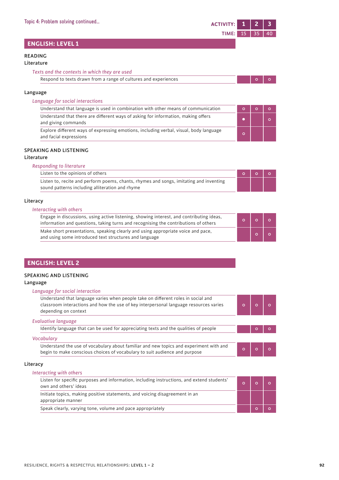## READING

### Literature

| Texts and the contexts in which they are used                   |                   |  |
|-----------------------------------------------------------------|-------------------|--|
| Respond to texts drawn from a range of cultures and experiences | $  \circ   \circ$ |  |

#### Language

| Language for social interactions                                                                                 |  |
|------------------------------------------------------------------------------------------------------------------|--|
| Understand that language is used in combination with other means of communication                                |  |
| Understand that there are different ways of asking for information, making offers<br>and giving commands         |  |
| Explore different ways of expressing emotions, including verbal, visual, body language<br>and facial expressions |  |

#### SPEAKING AND LISTENING

#### Literature

| <b>Responding to literature</b> |  |  |
|---------------------------------|--|--|
|---------------------------------|--|--|

| Listen to the opinions of others                                                       |  |  |
|----------------------------------------------------------------------------------------|--|--|
| Listen to, recite and perform poems, chants, rhymes and songs, imitating and inventing |  |  |
| sound patterns including alliteration and rhyme                                        |  |  |

#### Literacy

#### *Interacting with others*

| Engage in discussions, using active listening, showing interest, and contributing ideas,<br>information and questions, taking turns and recognising the contributions of others |  |  |
|---------------------------------------------------------------------------------------------------------------------------------------------------------------------------------|--|--|
| Make short presentations, speaking clearly and using appropriate voice and pace,<br>and using some introduced text structures and language                                      |  |  |

## **ENGLISH: LEVEL 2**

#### SPEAKING AND LISTENING

#### Language

#### *Language for social interaction*

| Interacting with others                                                                                             |  |  |
|---------------------------------------------------------------------------------------------------------------------|--|--|
| Listen for specific purposes and information, including instructions, and extend students'<br>own and others' ideas |  |  |
| Initiate topics, making positive statements, and voicing disagreement in an<br>appropriate manner                   |  |  |
| Speak clearly, varying tone, volume and pace appropriately                                                          |  |  |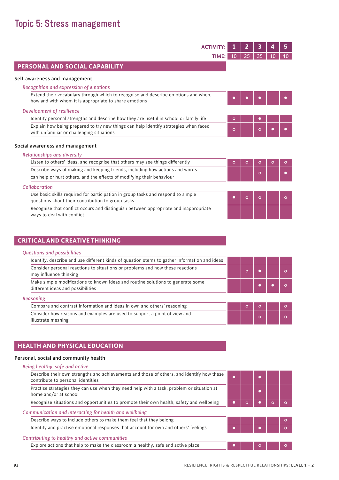## **Topic 5: Stress management**

|                                                                                                                                                       | <b>ACTIVITY:</b> |           | 2         | 3       |           | 5       |
|-------------------------------------------------------------------------------------------------------------------------------------------------------|------------------|-----------|-----------|---------|-----------|---------|
|                                                                                                                                                       | TIME:            |           | 25        | 35      |           |         |
| PERSONAL AND SOCIAL CAPABILITY                                                                                                                        |                  |           |           |         |           |         |
| Self-awareness and management                                                                                                                         |                  |           |           |         |           |         |
| Recognition and expression of emotions                                                                                                                |                  |           |           |         |           |         |
| Extend their vocabulary through which to recognise and describe emotions and when,<br>how and with whom it is appropriate to share emotions           |                  | O         | $\bullet$ |         |           |         |
| Development of resilience                                                                                                                             |                  |           |           |         |           |         |
| Identify personal strengths and describe how they are useful in school or family life                                                                 |                  | $\circ$   |           |         |           |         |
| Explain how being prepared to try new things can help identify strategies when faced<br>with unfamiliar or challenging situations                     |                  | $\circ$   |           | $\circ$ | $\bullet$ |         |
| Social awareness and management                                                                                                                       |                  |           |           |         |           |         |
| <b>Relationships and diversity</b>                                                                                                                    |                  |           |           |         |           |         |
| Listen to others' ideas, and recognise that others may see things differently                                                                         |                  | $\circ$   | $\circ$   | $\circ$ | O         | $\circ$ |
| Describe ways of making and keeping friends, including how actions and words<br>can help or hurt others, and the effects of modifying their behaviour |                  |           |           | $\circ$ |           | о       |
| Collaboration                                                                                                                                         |                  |           |           |         |           |         |
| Use basic skills required for participation in group tasks and respond to simple<br>questions about their contribution to group tasks                 |                  | $\bullet$ | $\circ$   | $\circ$ |           | $\circ$ |
| Recognise that conflict occurs and distinguish between appropriate and inappropriate<br>ways to deal with conflict                                    |                  |           |           |         |           |         |

## **CRITICAL AND CREATIVE THINKING**

| <b>Questions and possibilities</b>                                                                                   |          |          |  |
|----------------------------------------------------------------------------------------------------------------------|----------|----------|--|
| Identify, describe and use different kinds of question stems to gather information and ideas                         |          |          |  |
| Consider personal reactions to situations or problems and how these reactions<br>may influence thinking              | $\Omega$ |          |  |
| Make simple modifications to known ideas and routine solutions to generate some<br>different ideas and possibilities |          |          |  |
| Reasoning                                                                                                            |          |          |  |
| Compare and contrast information and ideas in own and others' reasoning                                              | $\circ$  | $\Omega$ |  |
| Consider how reasons and examples are used to support a point of view and<br>illustrate meaning                      |          | O        |  |

## **HEALTH AND PHYSICAL EDUCATION**

### Personal, social and community health

| Describe their own strengths and achievements and those of others, and identify how these<br>contribute to personal identities | O |         |   |          |
|--------------------------------------------------------------------------------------------------------------------------------|---|---------|---|----------|
| Practise strategies they can use when they need help with a task, problem or situation at<br>home and/or at school             |   |         | O |          |
| Recognise situations and opportunities to promote their own health, safety and wellbeing                                       |   | $\circ$ |   |          |
| Communication and interacting for health and wellbeing                                                                         |   |         |   |          |
|                                                                                                                                |   |         |   |          |
| Describe ways to include others to make them feel that they belong                                                             |   |         |   | $\Omega$ |
| Identify and practise emotional responses that account for own and others' feelings                                            |   |         |   | O        |
| Contributing to healthy and active communities                                                                                 |   |         |   |          |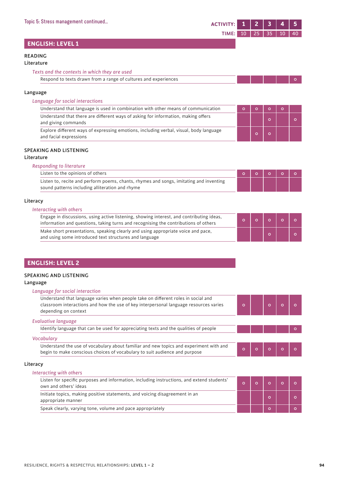### READING

#### Literature

| Texts and the contexts in which they are used                   |  |  |  |
|-----------------------------------------------------------------|--|--|--|
| Respond to texts drawn from a range of cultures and experiences |  |  |  |

#### Language

| Language for social interactions                                                                                 |  |  |  |
|------------------------------------------------------------------------------------------------------------------|--|--|--|
| Understand that language is used in combination with other means of communication                                |  |  |  |
| Understand that there are different ways of asking for information, making offers<br>and giving commands         |  |  |  |
| Explore different ways of expressing emotions, including verbal, visual, body language<br>and facial expressions |  |  |  |

#### SPEAKING AND LISTENING

#### Literature

| Responding to literature                                                               |  |  |  |
|----------------------------------------------------------------------------------------|--|--|--|
| Listen to the opinions of others                                                       |  |  |  |
| Listen to, recite and perform poems, chants, rhymes and songs, imitating and inventing |  |  |  |
| sound patterns including alliteration and rhyme                                        |  |  |  |

#### Literacy

#### *Interacting with others*

| Engage in discussions, using active listening, showing interest, and contributing ideas,<br>information and questions, taking turns and recognising the contributions of others |  |  |  |
|---------------------------------------------------------------------------------------------------------------------------------------------------------------------------------|--|--|--|
| Make short presentations, speaking clearly and using appropriate voice and pace,<br>and using some introduced text structures and language                                      |  |  |  |

#### **ENGLISH: LEVEL 2**

#### SPEAKING AND LISTENING

#### Language

| Language for social interaction |  |  |  |  |
|---------------------------------|--|--|--|--|
|---------------------------------|--|--|--|--|

| Understand that language varies when people take on different roles in social and<br>classroom interactions and how the use of key interpersonal language resources varies<br>depending on context |  | $\circ$ |  |
|----------------------------------------------------------------------------------------------------------------------------------------------------------------------------------------------------|--|---------|--|
| Evaluative language                                                                                                                                                                                |  |         |  |
| Identify language that can be used for appreciating texts and the qualities of people                                                                                                              |  |         |  |
| Vocabulary                                                                                                                                                                                         |  |         |  |
| Understand the use of vocabulary about familiar and new topics and experiment with and<br>begin to make conscious choices of vocabulary to suit audience and purpose                               |  |         |  |

| Interacting with others                                                                                             |  |  |  |
|---------------------------------------------------------------------------------------------------------------------|--|--|--|
| Listen for specific purposes and information, including instructions, and extend students'<br>own and others' ideas |  |  |  |
| Initiate topics, making positive statements, and voicing disagreement in an<br>appropriate manner                   |  |  |  |
| Speak clearly, varying tone, volume and pace appropriately                                                          |  |  |  |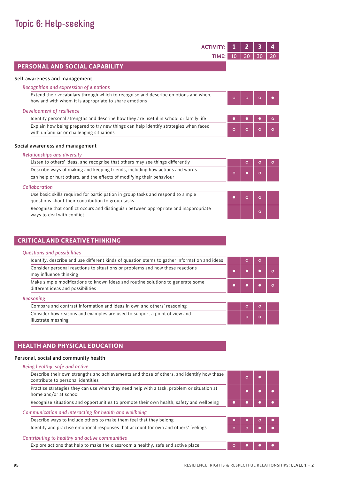## **Topic 6: Help-seeking**

| <b>ACTIVITY:</b>                                                                                                                            |           | 2         |           | 4       |
|---------------------------------------------------------------------------------------------------------------------------------------------|-----------|-----------|-----------|---------|
| TIME:                                                                                                                                       | 10        | 20        | 30        | 20      |
| PERSONAL AND SOCIAL CAPABILITY                                                                                                              |           |           |           |         |
| Self-awareness and management                                                                                                               |           |           |           |         |
| Recognition and expression of emotions                                                                                                      |           |           |           |         |
| Extend their vocabulary through which to recognise and describe emotions and when,<br>how and with whom it is appropriate to share emotions | $\circ$   | $\circ$   | $\circ$   |         |
| Development of resilience                                                                                                                   |           |           |           |         |
| Identify personal strengths and describe how they are useful in school or family life                                                       | $\bullet$ | $\bullet$ | $\bullet$ | $\circ$ |
| Explain how being prepared to try new things can help identify strategies when faced<br>with unfamiliar or challenging situations           | $\circ$   | $\circ$   | $\circ$   | Ō       |
| Social awareness and management                                                                                                             |           |           |           |         |
| <b>Relationships and diversity</b>                                                                                                          |           |           |           |         |
| Listen to others' ideas, and recognise that others may see things differently                                                               |           | $\circ$   | $\circ$   | $\circ$ |
| Describe ways of making and keeping friends, including how actions and words                                                                | $\circ$   | $\bullet$ | $\circ$   |         |
| can help or hurt others, and the effects of modifying their behaviour                                                                       |           |           |           |         |
| Collaboration                                                                                                                               |           |           |           |         |
| Use basic skills required for participation in group tasks and respond to simple<br>questions about their contribution to group tasks       | $\bullet$ | $\circ$   | $\circ$   |         |
| Recognise that conflict occurs and distinguish between appropriate and inappropriate<br>ways to deal with conflict                          |           |           | $\circ$   |         |

## **CRITICAL AND CREATIVE THINKING**

| Identify, describe and use different kinds of question stems to gather information and ideas<br>Consider personal reactions to situations or problems and how these reactions |  |  |
|-------------------------------------------------------------------------------------------------------------------------------------------------------------------------------|--|--|
|                                                                                                                                                                               |  |  |
| may influence thinking                                                                                                                                                        |  |  |
| Make simple modifications to known ideas and routine solutions to generate some<br>different ideas and possibilities                                                          |  |  |

 Compare and contrast information and ideas in own and others' reasoning Consider how reasons and examples are used to support a point of view and  $\circ$ illustrate meaning

## **HEALTH AND PHYSICAL EDUCATION**

## Personal, social and community health

| Describe their own strengths and achievements and those of others, and identify how these<br>contribute to personal identities |          | Ō       |         |  |
|--------------------------------------------------------------------------------------------------------------------------------|----------|---------|---------|--|
| Practise strategies they can use when they need help with a task, problem or situation at<br>home and/or at school             |          |         |         |  |
| Recognise situations and opportunities to promote their own health, safety and wellbeing                                       |          |         |         |  |
| Communication and interacting for health and wellbeing                                                                         |          |         |         |  |
| Describe ways to include others to make them feel that they belong                                                             |          |         | $\circ$ |  |
| Identify and practise emotional responses that account for own and others' feelings                                            | $\Omega$ | $\circ$ |         |  |
|                                                                                                                                |          |         |         |  |
| Contributing to healthy and active communities                                                                                 |          |         |         |  |

 $\circ$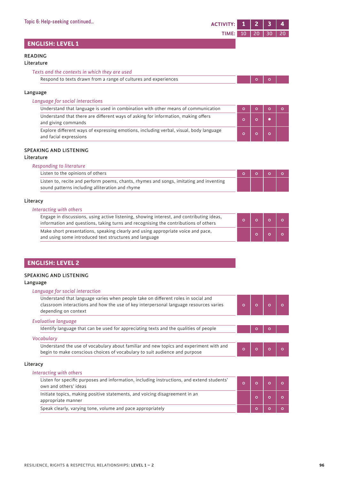## READING

#### Literature

| Texts and the contexts in which they are used                   |  |  |
|-----------------------------------------------------------------|--|--|
| Respond to texts drawn from a range of cultures and experiences |  |  |

#### Language

| Language for social interactions                                                                                 |          |  |  |
|------------------------------------------------------------------------------------------------------------------|----------|--|--|
| Understand that language is used in combination with other means of communication                                | $\Omega$ |  |  |
| Understand that there are different ways of asking for information, making offers<br>and giving commands         | $\Omega$ |  |  |
| Explore different ways of expressing emotions, including verbal, visual, body language<br>and facial expressions |          |  |  |

#### SPEAKING AND LISTENING

#### Literature

| Responding to literature                                                                                                                  |  |  |
|-------------------------------------------------------------------------------------------------------------------------------------------|--|--|
| Listen to the opinions of others                                                                                                          |  |  |
| Listen to, recite and perform poems, chants, rhymes and songs, imitating and inventing<br>sound patterns including alliteration and rhyme |  |  |

#### Literacy

#### *Interacting with others*

| Engage in discussions, using active listening, showing interest, and contributing ideas,<br>information and questions, taking turns and recognising the contributions of others |  |  |
|---------------------------------------------------------------------------------------------------------------------------------------------------------------------------------|--|--|
| Make short presentations, speaking clearly and using appropriate voice and pace,<br>and using some introduced text structures and language                                      |  |  |

## **ENGLISH: LEVEL 2**

#### SPEAKING AND LISTENING

#### Language

| Language for social interaction |  |  |  |  |
|---------------------------------|--|--|--|--|
|---------------------------------|--|--|--|--|

| Understand that language varies when people take on different roles in social and<br>classroom interactions and how the use of key interpersonal language resources varies<br>depending on context | $\Omega$ |  |  |
|----------------------------------------------------------------------------------------------------------------------------------------------------------------------------------------------------|----------|--|--|
| Evaluative language                                                                                                                                                                                |          |  |  |
| Identify language that can be used for appreciating texts and the qualities of people                                                                                                              |          |  |  |
| Vocabulary                                                                                                                                                                                         |          |  |  |
| Understand the use of vocabulary about familiar and new topics and experiment with and<br>begin to make conscious choices of vocabulary to suit audience and purpose                               | $\Omega$ |  |  |

| Interacting with others                                                                                             |  |  |
|---------------------------------------------------------------------------------------------------------------------|--|--|
| Listen for specific purposes and information, including instructions, and extend students'<br>own and others' ideas |  |  |
| Initiate topics, making positive statements, and voicing disagreement in an<br>appropriate manner                   |  |  |
| Speak clearly, varying tone, volume and pace appropriately                                                          |  |  |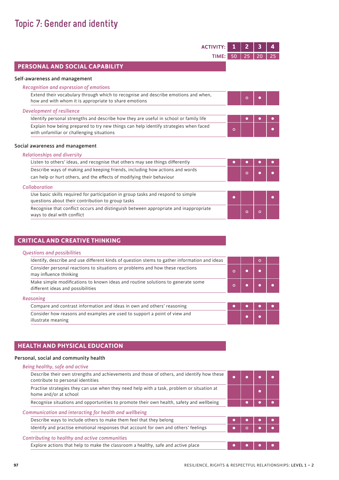| <b>ACTIVITY:</b>                                                                                                                                      |           | 2       | З       | 4              |
|-------------------------------------------------------------------------------------------------------------------------------------------------------|-----------|---------|---------|----------------|
| TIME:                                                                                                                                                 | 50        | 25      | 20      | 25             |
| PERSONAL AND SOCIAL CAPABILITY                                                                                                                        |           |         |         |                |
| Self-awareness and management                                                                                                                         |           |         |         |                |
| Recognition and expression of emotions                                                                                                                |           |         |         |                |
| Extend their vocabulary through which to recognise and describe emotions and when,<br>how and with whom it is appropriate to share emotions           |           | $\circ$ |         |                |
| Development of resilience                                                                                                                             |           |         |         |                |
| Identify personal strengths and describe how they are useful in school or family life                                                                 |           | o       |         |                |
| Explain how being prepared to try new things can help identify strategies when faced<br>with unfamiliar or challenging situations                     | $\circ$   |         |         | O              |
| Social awareness and management                                                                                                                       |           |         |         |                |
| <b>Relationships and diversity</b>                                                                                                                    |           |         |         |                |
| Listen to others' ideas, and recognise that others may see things differently                                                                         | $\bullet$ | 0       |         |                |
| Describe ways of making and keeping friends, including how actions and words<br>can help or hurt others, and the effects of modifying their behaviour |           | O       | ∩       |                |
| Collaboration                                                                                                                                         |           |         |         |                |
| Use basic skills required for participation in group tasks and respond to simple<br>questions about their contribution to group tasks                 | $\bullet$ |         |         | $\blacksquare$ |
| Recognise that conflict occurs and distinguish between appropriate and inappropriate<br>ways to deal with conflict                                    |           | Ō       | $\circ$ |                |

## **CRITICAL AND CREATIVE THINKING**

| Identify, describe and use different kinds of question stems to gather information and ideas                         |         | $\Omega$ |
|----------------------------------------------------------------------------------------------------------------------|---------|----------|
| Consider personal reactions to situations or problems and how these reactions<br>may influence thinking              | $\circ$ |          |
| Make simple modifications to known ideas and routine solutions to generate some<br>different ideas and possibilities | $\circ$ |          |
| Reasoning                                                                                                            |         |          |
| Compare and contrast information and ideas in own and others' reasoning                                              |         |          |
| Consider how reasons and examples are used to support a point of view and<br>illustrate meaning                      |         |          |

## **HEALTH AND PHYSICAL EDUCATION**

### Personal, social and community health

| Describe their own strengths and achievements and those of others, and identify how these<br>contribute to personal identities | œ |  |  |
|--------------------------------------------------------------------------------------------------------------------------------|---|--|--|
| Practise strategies they can use when they need help with a task, problem or situation at<br>home and/or at school             |   |  |  |
| Recognise situations and opportunities to promote their own health, safety and wellbeing                                       |   |  |  |
| Communication and interacting for health and wellbeing                                                                         |   |  |  |
| Describe ways to include others to make them feel that they belong                                                             |   |  |  |
| Identify and practise emotional responses that account for own and others' feelings                                            |   |  |  |
|                                                                                                                                |   |  |  |
| Contributing to healthy and active communities                                                                                 |   |  |  |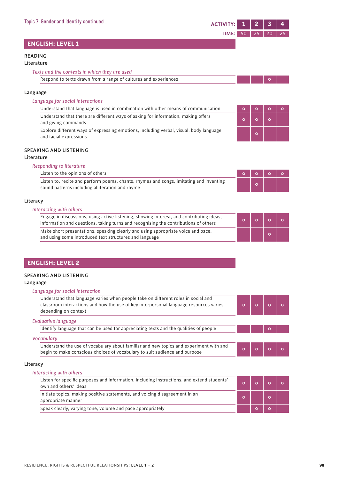## READING

#### Literature

| Texts and the contexts in which they are used                   |  |  |
|-----------------------------------------------------------------|--|--|
| Respond to texts drawn from a range of cultures and experiences |  |  |

#### Language

| Language for social interactions                                                                                 |          |  |  |
|------------------------------------------------------------------------------------------------------------------|----------|--|--|
| Understand that language is used in combination with other means of communication                                | $\Omega$ |  |  |
| Understand that there are different ways of asking for information, making offers<br>and giving commands         | $\Omega$ |  |  |
| Explore different ways of expressing emotions, including verbal, visual, body language<br>and facial expressions |          |  |  |

#### SPEAKING AND LISTENING

#### Literature

| Responding to literature                                                                                                                  |  |  |
|-------------------------------------------------------------------------------------------------------------------------------------------|--|--|
| Listen to the opinions of others                                                                                                          |  |  |
| Listen to, recite and perform poems, chants, rhymes and songs, imitating and inventing<br>sound patterns including alliteration and rhyme |  |  |

#### Literacy

#### *Interacting with others*

| Engage in discussions, using active listening, showing interest, and contributing ideas,<br>information and questions, taking turns and recognising the contributions of others |  |  |
|---------------------------------------------------------------------------------------------------------------------------------------------------------------------------------|--|--|
| Make short presentations, speaking clearly and using appropriate voice and pace,<br>and using some introduced text structures and language                                      |  |  |

#### **ENGLISH: LEVEL 2**

#### SPEAKING AND LISTENING

#### Language

| Language for social interaction |  |  |  |  |
|---------------------------------|--|--|--|--|
|---------------------------------|--|--|--|--|

| Understand that language varies when people take on different roles in social and<br>classroom interactions and how the use of key interpersonal language resources varies<br>depending on context | $\circ$  |   |  |
|----------------------------------------------------------------------------------------------------------------------------------------------------------------------------------------------------|----------|---|--|
| Evaluative language                                                                                                                                                                                |          |   |  |
| Identify language that can be used for appreciating texts and the qualities of people                                                                                                              |          | O |  |
| Vocabulary                                                                                                                                                                                         |          |   |  |
| Understand the use of vocabulary about familiar and new topics and experiment with and<br>begin to make conscious choices of vocabulary to suit audience and purpose                               | $\Omega$ |   |  |

| Interacting with others                                                                                             |         |  |  |
|---------------------------------------------------------------------------------------------------------------------|---------|--|--|
| Listen for specific purposes and information, including instructions, and extend students'<br>own and others' ideas |         |  |  |
| Initiate topics, making positive statements, and voicing disagreement in an<br>appropriate manner                   | $\circ$ |  |  |
| Speak clearly, varying tone, volume and pace appropriately                                                          |         |  |  |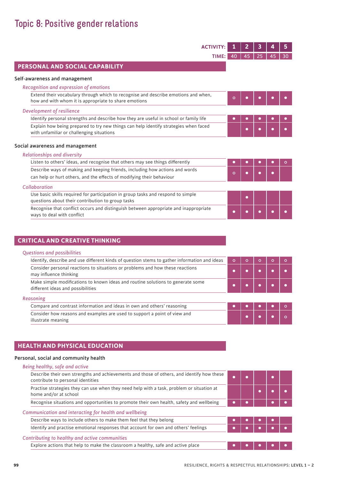## **Topic 8: Positive gender relations**

| <b>ACTIVITY</b>                                                                                                                             |           | 2         | 3  |           | 5       |
|---------------------------------------------------------------------------------------------------------------------------------------------|-----------|-----------|----|-----------|---------|
| TIME:                                                                                                                                       |           | 45        | 25 |           | 30      |
| PERSONAL AND SOCIAL CAPABILITY                                                                                                              |           |           |    |           |         |
| Self-awareness and management                                                                                                               |           |           |    |           |         |
| Recognition and expression of emotions                                                                                                      |           |           |    |           |         |
| Extend their vocabulary through which to recognise and describe emotions and when,<br>how and with whom it is appropriate to share emotions | $\circ$   | с         |    |           |         |
| Development of resilience                                                                                                                   |           |           |    |           |         |
| Identify personal strengths and describe how they are useful in school or family life                                                       | 0         | $\bullet$ | n  |           |         |
| Explain how being prepared to try new things can help identify strategies when faced<br>with unfamiliar or challenging situations           |           | $\bullet$ |    | $\bullet$ |         |
|                                                                                                                                             |           |           |    |           |         |
| Social awareness and management                                                                                                             |           |           |    |           |         |
| <b>Relationships and diversity</b>                                                                                                          |           |           |    |           |         |
| Listen to others' ideas, and recognise that others may see things differently                                                               | $\bullet$ | $\bullet$ |    | $\bullet$ | $\circ$ |
| Describe ways of making and keeping friends, including how actions and words                                                                |           |           |    |           |         |
| can help or hurt others, and the effects of modifying their behaviour                                                                       | $\circ$   | $\bullet$ | o  | ۰         |         |
| Collaboration                                                                                                                               |           |           |    |           |         |
| Use basic skills required for participation in group tasks and respond to simple<br>questions about their contribution to group tasks       |           | $\bullet$ |    |           |         |

## **CRITICAL AND CREATIVE THINKING**

| <b>Questions and possibilities</b>                                                                                   |  |          |          |   |
|----------------------------------------------------------------------------------------------------------------------|--|----------|----------|---|
| Identify, describe and use different kinds of question stems to gather information and ideas                         |  | $\Omega$ | $\Omega$ | O |
| Consider personal reactions to situations or problems and how these reactions<br>may influence thinking              |  |          |          |   |
| Make simple modifications to known ideas and routine solutions to generate some<br>different ideas and possibilities |  |          |          |   |
| Reasoning                                                                                                            |  |          |          |   |
| Compare and contrast information and ideas in own and others' reasoning                                              |  |          |          |   |
| Consider how reasons and examples are used to support a point of view and<br>illustrate meaning                      |  |          |          |   |

## **HEALTH AND PHYSICAL EDUCATION**

## Personal, social and community health

| Describe their own strengths and achievements and those of others, and identify how these<br>contribute to personal identities |  |   |  |
|--------------------------------------------------------------------------------------------------------------------------------|--|---|--|
| Practise strategies they can use when they need help with a task, problem or situation at<br>home and/or at school             |  | œ |  |
| Recognise situations and opportunities to promote their own health, safety and wellbeing                                       |  |   |  |
|                                                                                                                                |  |   |  |
| Communication and interacting for health and wellbeing                                                                         |  |   |  |
| Describe ways to include others to make them feel that they belong                                                             |  |   |  |
| Identify and practise emotional responses that account for own and others' feelings                                            |  |   |  |
| Contributing to healthy and active communities                                                                                 |  |   |  |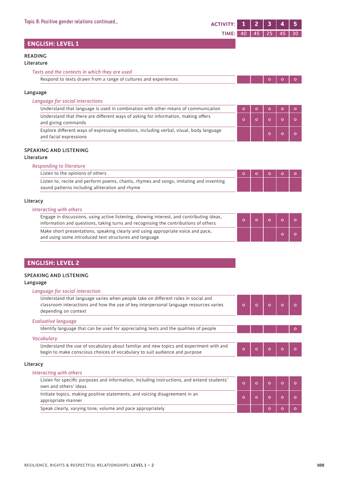### READING

#### Literature

| Texts and the contexts in which they are used                   |  |  |  |
|-----------------------------------------------------------------|--|--|--|
| Respond to texts drawn from a range of cultures and experiences |  |  |  |

#### Language

| Language for social interactions                                                                                 |  |  |
|------------------------------------------------------------------------------------------------------------------|--|--|
| Understand that language is used in combination with other means of communication                                |  |  |
| Understand that there are different ways of asking for information, making offers<br>and giving commands         |  |  |
| Explore different ways of expressing emotions, including verbal, visual, body language<br>and facial expressions |  |  |

#### SPEAKING AND LISTENING

#### Literature

| Responding to literature                                                                                                                  |  |  |  |
|-------------------------------------------------------------------------------------------------------------------------------------------|--|--|--|
| Listen to the opinions of others                                                                                                          |  |  |  |
| Listen to, recite and perform poems, chants, rhymes and songs, imitating and inventing<br>sound patterns including alliteration and rhyme |  |  |  |

#### Literacy

#### *Interacting with others*

| Engage in discussions, using active listening, showing interest, and contributing ideas,<br>information and questions, taking turns and recognising the contributions of others |  |  |  |
|---------------------------------------------------------------------------------------------------------------------------------------------------------------------------------|--|--|--|
| Make short presentations, speaking clearly and using appropriate voice and pace,<br>and using some introduced text structures and language                                      |  |  |  |

#### **ENGLISH: LEVEL 2**

#### SPEAKING AND LISTENING

#### Language

| Language for social interaction |  |  |  |  |
|---------------------------------|--|--|--|--|
|---------------------------------|--|--|--|--|

| Understand that language varies when people take on different roles in social and<br>classroom interactions and how the use of key interpersonal language resources varies<br>depending on context |         |         |          |
|----------------------------------------------------------------------------------------------------------------------------------------------------------------------------------------------------|---------|---------|----------|
| Evaluative language                                                                                                                                                                                |         |         |          |
| Identify language that can be used for appreciating texts and the qualities of people                                                                                                              |         |         | $\Omega$ |
| Vocabulary                                                                                                                                                                                         |         |         |          |
| Understand the use of vocabulary about familiar and new topics and experiment with and<br>begin to make conscious choices of vocabulary to suit audience and purpose                               | $\circ$ | $\circ$ |          |

| Listen for specific purposes and information, including instructions, and extend students'<br>own and others' ideas |  |  |  |
|---------------------------------------------------------------------------------------------------------------------|--|--|--|
| Initiate topics, making positive statements, and voicing disagreement in an<br>appropriate manner                   |  |  |  |
| Speak clearly, varying tone, volume and pace appropriately                                                          |  |  |  |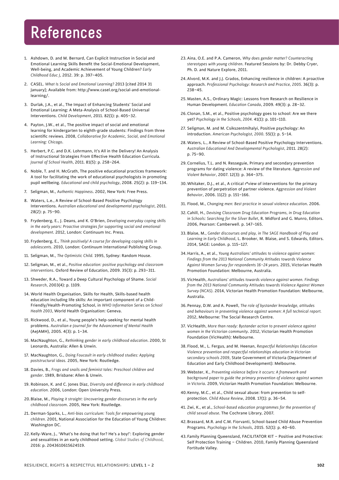# **References**

- 1. Ashdown, D. and M. Bernard, Can Explicit Instruction in Social and Emotional Learning Skills Benefit the Social-Emotional Development, Well-being, and Academic Achievement of Young Children? *Early Childhood Educ J*, 2012. 39: p. 397–405.
- 2. CASEL. *What Is Social and Emotional Learning?* 2013 [cited 2014 31 [January\]; Available from: h](http://www.casel.org/social-and-emotional-learning/.3)[ttp://www.casel.org/social](http://www.casel.org/social)[-and-emotional](http://www.casel.org/social-and-emotional-learning/.3)learning/.
- [3. D](http://www.casel.org/social-and-emotional-learning/.3)urlak, J.A., et al., The Impact of Enhancing Students' Social and Emotional Learning: A Meta-Analysis of School-Based Universal Interventions. *Child Development*, 2011. 82(1): p. 405–32.
- 4. Payton, J.W., et al., The positive impact of social and emotional learning for kindergarten to eighth-grade students: Findings from three scientific reviews. 2008, *Collaborative for Academic, Social, and Emotional Learning: Chicago*.
- 5. Herbert, P.C. and D.K. Lohrmann, It's All in the Delivery! An Analysis of Instructional Strategies From Effective Health Education Curricula. *Journal of School Health*, 2011. 81(5): p. 258–264.
- 6. Noble, T. and H. McGrath, The positive educational practices framework: A tool for facilitating the work of educational psychologists in promoting pupil wellbeing. *Educational and child psychology*, 2008. 25(2): p. 119–134.
- 7. Seligman, M., *Authentic Happiness*. 2002, New York: Free Press.
- 8. Waters, L.e., A Review of School-Based Positive Psychology Interventions. *Australian educational and developmental psychologist*, 2011. 28(2): p. 75–90.
- 9. Frydenberg, E., J. Deans, and K. O'Brien, *Developing everyday coping skills in the early years: Proactive strategies for supporting social and emotional development*. 2012, London: Continuum Inc. Press.
- 10. Frydenberg, E., *Think positively! A course for developing coping skills in adolescents*. 2010, London: Continuum International Publishing Group.
- 11. Seligman, M., *The Optimistic Child.* 1995, Sydney: Random House.
- 12. Seligman, M., et al., *Positive education: positive psychology and classroom interventions*. Oxford Review of Education, 2009. 35(3): p. 293–311.
- 13. Shweder, R.A., Toward a Deep Cultural Psychology of Shame. *Social Research*, 2003(4): p. 1109.
- 14. World Health Organisation, Skills for Health, Skills-based health education including life skills: An important component of a Child-Friendly/Health-Promoting School, in *WHO Information Series on School Health 2003*, World Health Organisation: Geneva.
- 15. Rickwood, D., et al., Young people's help-seeking for mental health problems. *Australian e-Journal for the Advancement of Mental Health* (AeJAMH), 2005. 4(3): p. 1–34.
- 16. MacNaughton, G., *Rethinking gender in early childhood education*. 2000, St Leonards, Australia: Allen & Unwin.
- 17. MacNaughton, G., *Doing Foucault in early childhood studies: Applying poststructural ideas.* 2005, New York: Routledge.
- 18. Davies, B., *Frogs and snails and feminist tales: Preschool children and gender*. 1989, Brisbane: Allen & Unwin.
- 19. Robinson, K. and C. Jones Diaz, *Diversity and difference in early childhood education.* 2006, London: Open University Press.
- 20. Blaise, M., *Playing it straight: Uncovering gender discourses in the early childhood classroom*. 2005, New York: Routledge.
- 21. Derman-Sparks, L., *Anti-bias curriculum: Tools for empowering young children.* 2001, National Association for the Education of Young Children: Washington DC.
- 22. Kelly-Ware, J., 'What's he doing that for? He's a boy!': Exploring gender and sexualities in an early childhood setting. *Global Studies of Childhood*, 2016: p. 2043610615624519.
- 23. Aina, O.E. and P.A. Cameron, *Why does gender matter? Counteracting stereotypes with young children*. Featured Sessions by: Dr. Debby Cryer, Ph. D. and Nature Explore, 2011.
- 24. Alvord, M.K. and J.J. Grados, Enhancing resilience in children: A proactive approach. *Professional Psychology: Research and Practice, 2005*. 36(3): p. 238–45.
- 25. Masten, A.S., Ordinary Magic: Lessons from Research on Resilience in Human Development. *Education Canada*, 2009. 49(3): p. 28–32.
- 26. Clonan, S.M., et al., Positive psychology goes to school: Are we there yet? *Psychology in the Schools, 2004.* 41(1): p. 101–110.
- 27. Seligman, M. and M. Csikszentmihalyi, Positive psychology: An introduction. *American Psychologist, 2000*. 55(1): p. 5–14.
- 28. Waters, L., A Review of School-Based Positive Psychology Interventions. *Australian Educational And Developmental Psychologist*, 2011. 28(2): p. 75–90.
- 29. Cornelius, T.L. and N. Resseguie, Primary and secondary prevention programs for dating violence: A review of the literature. *Aggression and Violent Behavior*, 2007. 12(3): p. 364–375.
- 30. Whitaker, D.J., et al., A critical review of interventions for the primary prevention of perpetration of partner violence. *Aggression and Violent Behavior*, 2006. 11(2): p. 151–166.
- 31. Flood, M., *Changing men: Best practice in sexual violence education*. 2006.
- 32. Cahill, H., *Devising Classroom Drug Education Programs, in Drug Education in Schools: Searching for the Silver Bullet*, R. Midford and G. Munro, Editors. 2006, Pearson: Camberwell. p. 147–165.
- 33. Blaise, M., *Gender discourses and play, in The SAGE Handbook of Play and Learning in Early Childhood*, L. Brooker, M. Blaise, and S. Edwards, Editors. 2014, SAGE: London. p. 115–127.
- 34. Harris, A., et al., *Young Australians' attitudes to violence against women: Findings from the 2013 National Community Attitudes towards Violence Against Women Survey for respondents 16–24 years*. 2015, Victorian Health Promotion Foundation: Melbourne, Australia.
- 35. VicHealth, *Australians' attitudes towards violence against women. Findings from the 2013 National Community Attitudes towards Violence Against Women Survey (NCAS)*. 2014, Victorian Health Promotion Foundation: Melbourne, Australia.
- 36. Pennay, D.W. and A. Powell, *The role of bystander knowledge, attitudes and behaviours in preventing violence against women: A full technical report.* 2012, Melbourne: The Social Research Centre.
- 37. VicHealth, *More than ready: Bystander action to prevent violence against women in the Victorian community*. 2012, Victorian Health Promotion Foundation (VicHealth): Melbourne.
- 38. Flood, M., L. Fergus, and M. Heenan, *Respectful Relationships Education Violence prevention and respectful relationships education in Victorian secondary schools 2009*, State Government of Victoria (Department of Education and Early Childhood Development): Melbourne.
- 39. Webster, K., *Preventing violence before it occurs: A framework and background paper to guide the primary prevention of violence against women in Victoria*. 2009, Victorian Health Promotion Foundation: Melbourne.
- 40. Kenny, M.C., et al., Child sexual abuse: from prevention to selfprotection. *Child Abuse Review*, 2008. 17(1): p. 36–54.
- 41. Zwi, K., et al., *School-based education programmes for the prevention of child sexual abuse*. The Cochrane Library, 2007.
- 42. Brassard, M.R. and C.M. Fiorvanti, School-based Child Abuse Prevention Programs. *Psychology in the Schools*, 2015. 52(1): p. 40–60.
- 43. Family Planning Queensland, FACILITATOR KIT Positive and Protective: Self Protection Training – Children. 2010, Family Planning Queensland Fortitude Valley.